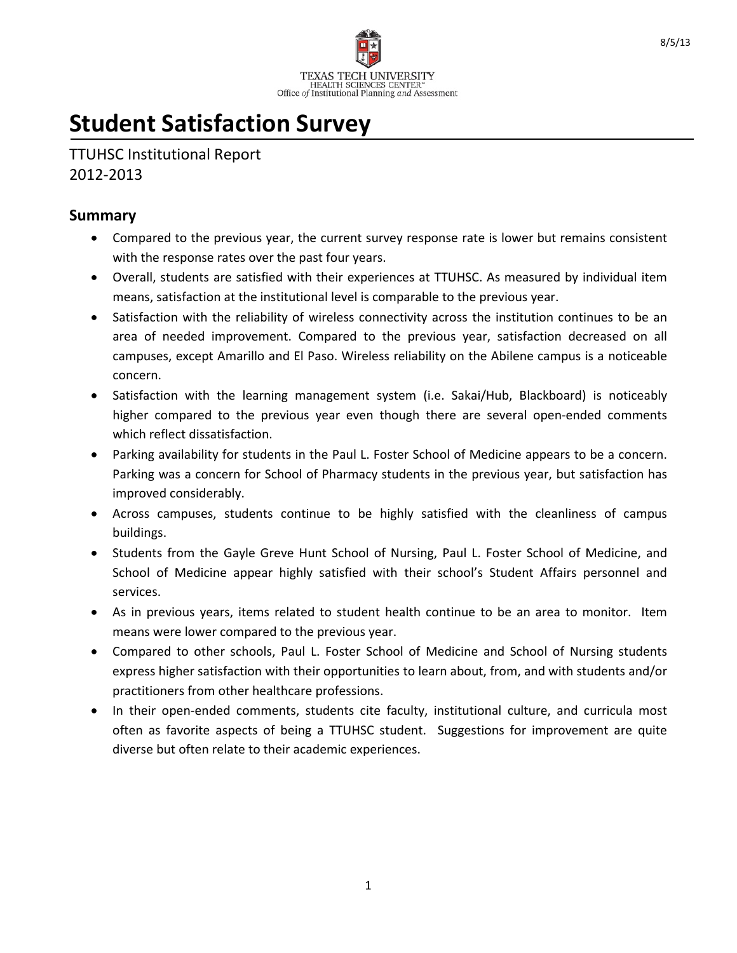

# **Student Satisfaction Survey**

TTUHSC Institutional Report 2012-2013

#### **Summary**

- Compared to the previous year, the current survey response rate is lower but remains consistent with the response rates over the past four years.
- Overall, students are satisfied with their experiences at TTUHSC. As measured by individual item means, satisfaction at the institutional level is comparable to the previous year.
- Satisfaction with the reliability of wireless connectivity across the institution continues to be an area of needed improvement. Compared to the previous year, satisfaction decreased on all campuses, except Amarillo and El Paso. Wireless reliability on the Abilene campus is a noticeable concern.
- Satisfaction with the learning management system (i.e. Sakai/Hub, Blackboard) is noticeably higher compared to the previous year even though there are several open-ended comments which reflect dissatisfaction.
- Parking availability for students in the Paul L. Foster School of Medicine appears to be a concern. Parking was a concern for School of Pharmacy students in the previous year, but satisfaction has improved considerably.
- Across campuses, students continue to be highly satisfied with the cleanliness of campus buildings.
- Students from the Gayle Greve Hunt School of Nursing, Paul L. Foster School of Medicine, and School of Medicine appear highly satisfied with their school's Student Affairs personnel and services.
- As in previous years, items related to student health continue to be an area to monitor. Item means were lower compared to the previous year.
- Compared to other schools, Paul L. Foster School of Medicine and School of Nursing students express higher satisfaction with their opportunities to learn about, from, and with students and/or practitioners from other healthcare professions.
- In their open-ended comments, students cite faculty, institutional culture, and curricula most often as favorite aspects of being a TTUHSC student. Suggestions for improvement are quite diverse but often relate to their academic experiences.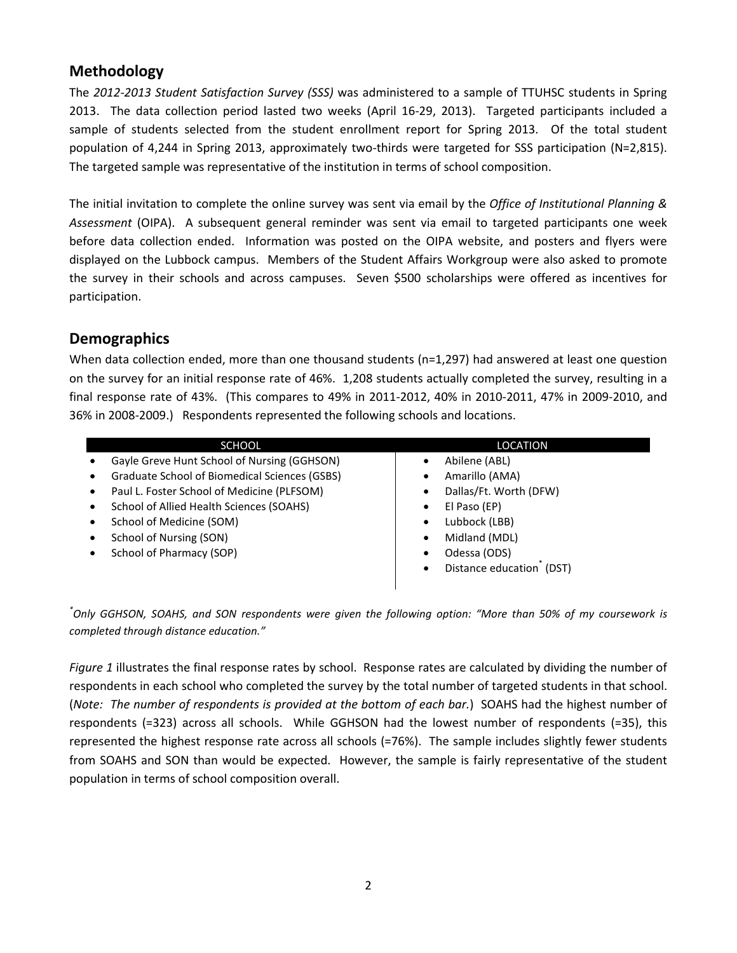# **Methodology**

The *2012-2013 Student Satisfaction Survey (SSS)* was administered to a sample of TTUHSC students in Spring 2013. The data collection period lasted two weeks (April 16-29, 2013). Targeted participants included a sample of students selected from the student enrollment report for Spring 2013. Of the total student population of 4,244 in Spring 2013, approximately two-thirds were targeted for SSS participation (N=2,815). The targeted sample was representative of the institution in terms of school composition.

The initial invitation to complete the online survey was sent via email by the *Office of Institutional Planning & Assessment* (OIPA). A subsequent general reminder was sent via email to targeted participants one week before data collection ended. Information was posted on the OIPA website, and posters and flyers were displayed on the Lubbock campus. Members of the Student Affairs Workgroup were also asked to promote the survey in their schools and across campuses. Seven \$500 scholarships were offered as incentives for participation.

#### **Demographics**

When data collection ended, more than one thousand students (n=1,297) had answered at least one question on the survey for an initial response rate of 46%. 1,208 students actually completed the survey, resulting in a final response rate of 43%. (This compares to 49% in 2011-2012, 40% in 2010-2011, 47% in 2009-2010, and 36% in 2008-2009.) Respondents represented the following schools and locations.

| <b>SCHOOL</b>                                 | <b>LOCATION</b>                       |
|-----------------------------------------------|---------------------------------------|
| Gayle Greve Hunt School of Nursing (GGHSON)   | Abilene (ABL)<br>٠                    |
| Graduate School of Biomedical Sciences (GSBS) | Amarillo (AMA)<br>٠                   |
| Paul L. Foster School of Medicine (PLFSOM)    | Dallas/Ft. Worth (DFW)<br>$\bullet$   |
| School of Allied Health Sciences (SOAHS)      | El Paso (EP)<br>$\bullet$             |
| School of Medicine (SOM)                      | Lubbock (LBB)<br>$\bullet$            |
| School of Nursing (SON)                       | Midland (MDL)<br>$\bullet$            |
| School of Pharmacy (SOP)                      | Odessa (ODS)<br>$\bullet$             |
|                                               | Distance education (DST)<br>$\bullet$ |

*\* Only GGHSON, SOAHS, and SON respondents were given the following option: "More than 50% of my coursework is completed through distance education."*

*Figure 1* illustrates the final response rates by school. Response rates are calculated by dividing the number of respondents in each school who completed the survey by the total number of targeted students in that school. (*Note: The number of respondents is provided at the bottom of each bar.*) SOAHS had the highest number of respondents (=323) across all schools. While GGHSON had the lowest number of respondents (=35), this represented the highest response rate across all schools (=76%). The sample includes slightly fewer students from SOAHS and SON than would be expected. However, the sample is fairly representative of the student population in terms of school composition overall.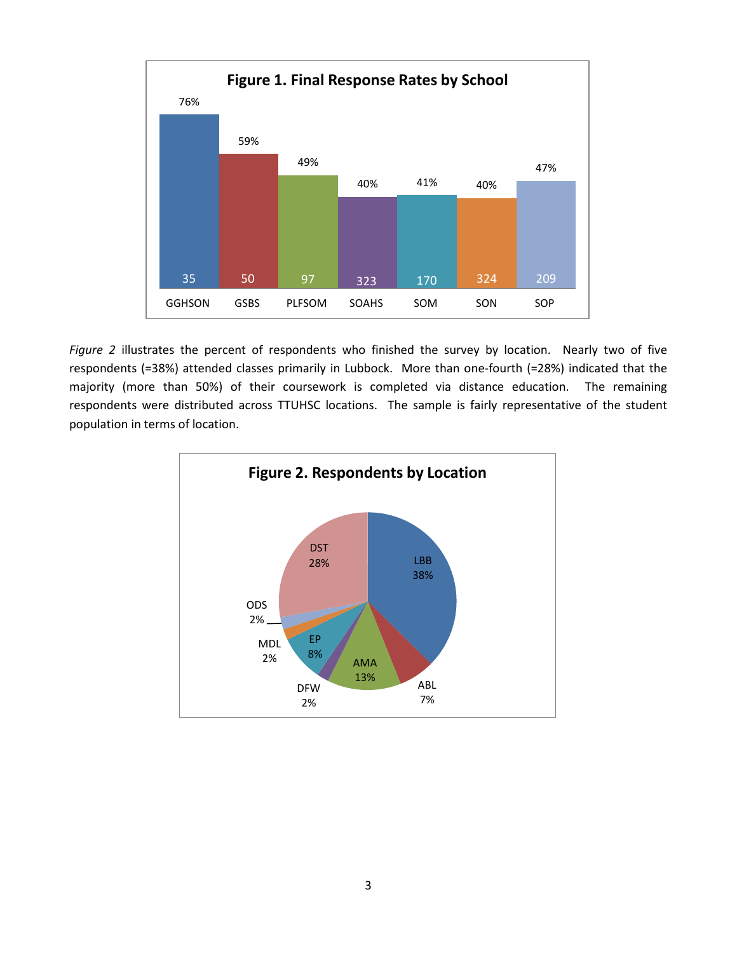

*Figure 2* illustrates the percent of respondents who finished the survey by location. Nearly two of five respondents (=38%) attended classes primarily in Lubbock. More than one-fourth (=28%) indicated that the majority (more than 50%) of their coursework is completed via distance education. The remaining respondents were distributed across TTUHSC locations. The sample is fairly representative of the student population in terms of location.

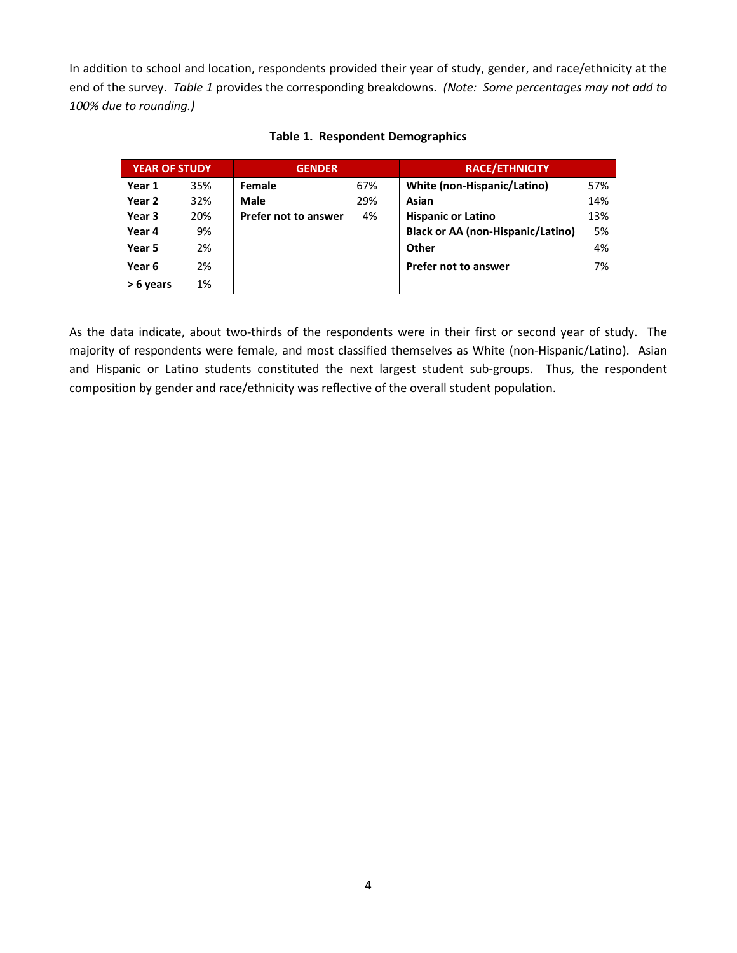In addition to school and location, respondents provided their year of study, gender, and race/ethnicity at the end of the survey. *Table 1* provides the corresponding breakdowns. *(Note: Some percentages may not add to 100% due to rounding.)*

| <b>YEAR OF STUDY</b> |     | <b>GENDER</b>               |     | <b>RACE/ETHNICITY</b>                    |     |
|----------------------|-----|-----------------------------|-----|------------------------------------------|-----|
| Year 1               | 35% | Female                      | 67% | White (non-Hispanic/Latino)              | 57% |
| Year 2               | 32% | <b>Male</b>                 | 29% | Asian                                    | 14% |
| Year 3               | 20% | <b>Prefer not to answer</b> | 4%  | <b>Hispanic or Latino</b>                | 13% |
| Year 4               | 9%  |                             |     | <b>Black or AA (non-Hispanic/Latino)</b> | 5%  |
| Year 5               | 2%  |                             |     | Other                                    | 4%  |
| Year 6               | 2%  |                             |     | <b>Prefer not to answer</b>              | 7%  |
| > 6 years            | 1%  |                             |     |                                          |     |

#### **Table 1. Respondent Demographics**

As the data indicate, about two-thirds of the respondents were in their first or second year of study. The majority of respondents were female, and most classified themselves as White (non-Hispanic/Latino). Asian and Hispanic or Latino students constituted the next largest student sub-groups. Thus, the respondent composition by gender and race/ethnicity was reflective of the overall student population.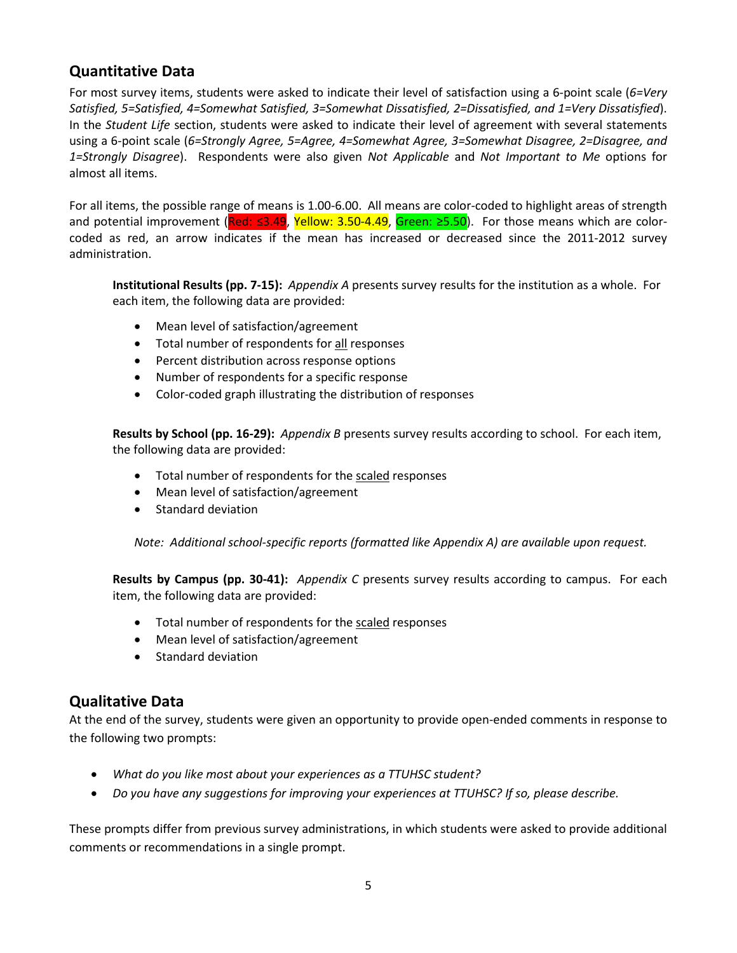# **Quantitative Data**

For most survey items, students were asked to indicate their level of satisfaction using a 6-point scale (*6=Very Satisfied, 5=Satisfied, 4=Somewhat Satisfied, 3=Somewhat Dissatisfied, 2=Dissatisfied, and 1=Very Dissatisfied*). In the *Student Life* section, students were asked to indicate their level of agreement with several statements using a 6-point scale (*6=Strongly Agree, 5=Agree, 4=Somewhat Agree, 3=Somewhat Disagree, 2=Disagree, and 1=Strongly Disagree*). Respondents were also given *Not Applicable* and *Not Important to Me* options for almost all items.

For all items, the possible range of means is 1.00-6.00. All means are color-coded to highlight areas of strength and potential improvement (Red: ≤3.49, Yellow: 3.50-4.49, Green: ≥5.50). For those means which are colorcoded as red, an arrow indicates if the mean has increased or decreased since the 2011-2012 survey administration.

**Institutional Results (pp. 7-15):** *Appendix A* presents survey results for the institution as a whole. For each item, the following data are provided:

- Mean level of satisfaction/agreement
- Total number of respondents for all responses
- Percent distribution across response options
- Number of respondents for a specific response
- Color-coded graph illustrating the distribution of responses

**Results by School (pp. 16-29):** *Appendix B* presents survey results according to school. For each item, the following data are provided:

- Total number of respondents for the scaled responses
- Mean level of satisfaction/agreement
- Standard deviation

*Note:**Additional school-specific reports (formatted like Appendix A) are available upon request.*

**Results by Campus (pp. 30-41):** *Appendix C* presents survey results according to campus. For each item, the following data are provided:

- Total number of respondents for the scaled responses
- Mean level of satisfaction/agreement
- Standard deviation

## **Qualitative Data**

At the end of the survey, students were given an opportunity to provide open-ended comments in response to the following two prompts:

- *What do you like most about your experiences as a TTUHSC student?*
- *Do you have any suggestions for improving your experiences at TTUHSC? If so, please describe.*

These prompts differ from previous survey administrations, in which students were asked to provide additional comments or recommendations in a single prompt.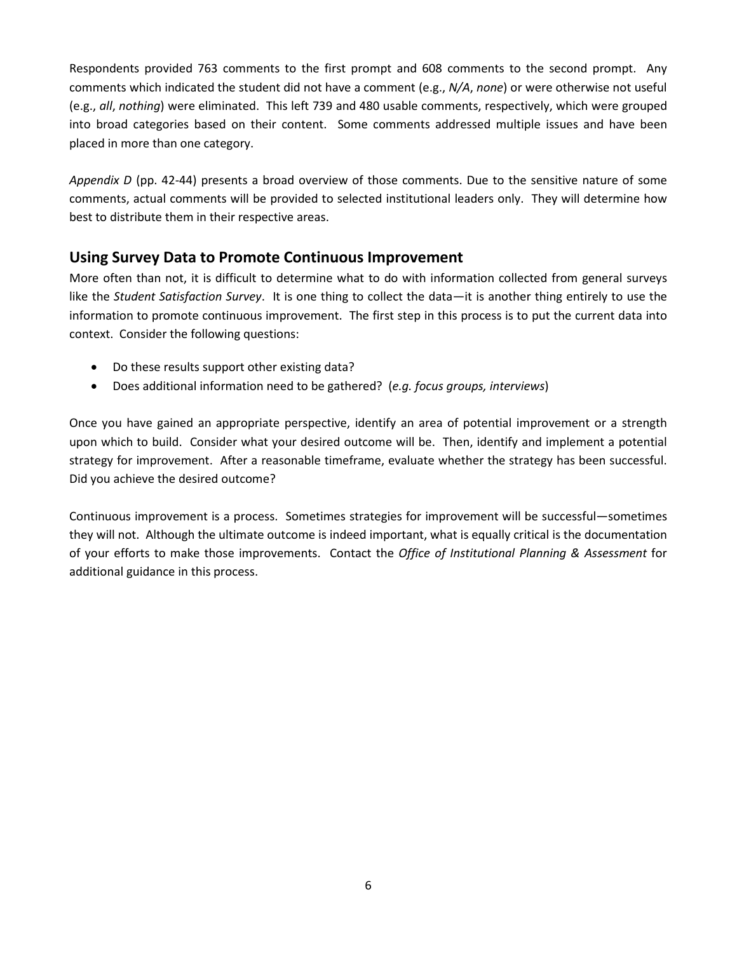Respondents provided 763 comments to the first prompt and 608 comments to the second prompt. Any comments which indicated the student did not have a comment (e.g., *N/A*, *none*) or were otherwise not useful (e.g., *all*, *nothing*) were eliminated. This left 739 and 480 usable comments, respectively, which were grouped into broad categories based on their content. Some comments addressed multiple issues and have been placed in more than one category.

*Appendix D* (pp. 42-44) presents a broad overview of those comments. Due to the sensitive nature of some comments, actual comments will be provided to selected institutional leaders only. They will determine how best to distribute them in their respective areas.

## **Using Survey Data to Promote Continuous Improvement**

More often than not, it is difficult to determine what to do with information collected from general surveys like the *Student Satisfaction Survey*. It is one thing to collect the data—it is another thing entirely to use the information to promote continuous improvement. The first step in this process is to put the current data into context. Consider the following questions:

- Do these results support other existing data?
- Does additional information need to be gathered? (*e.g. focus groups, interviews*)

Once you have gained an appropriate perspective, identify an area of potential improvement or a strength upon which to build. Consider what your desired outcome will be. Then, identify and implement a potential strategy for improvement. After a reasonable timeframe, evaluate whether the strategy has been successful. Did you achieve the desired outcome?

Continuous improvement is a process. Sometimes strategies for improvement will be successful—sometimes they will not. Although the ultimate outcome is indeed important, what is equally critical is the documentation of your efforts to make those improvements. Contact the *Office of Institutional Planning & Assessment* for additional guidance in this process.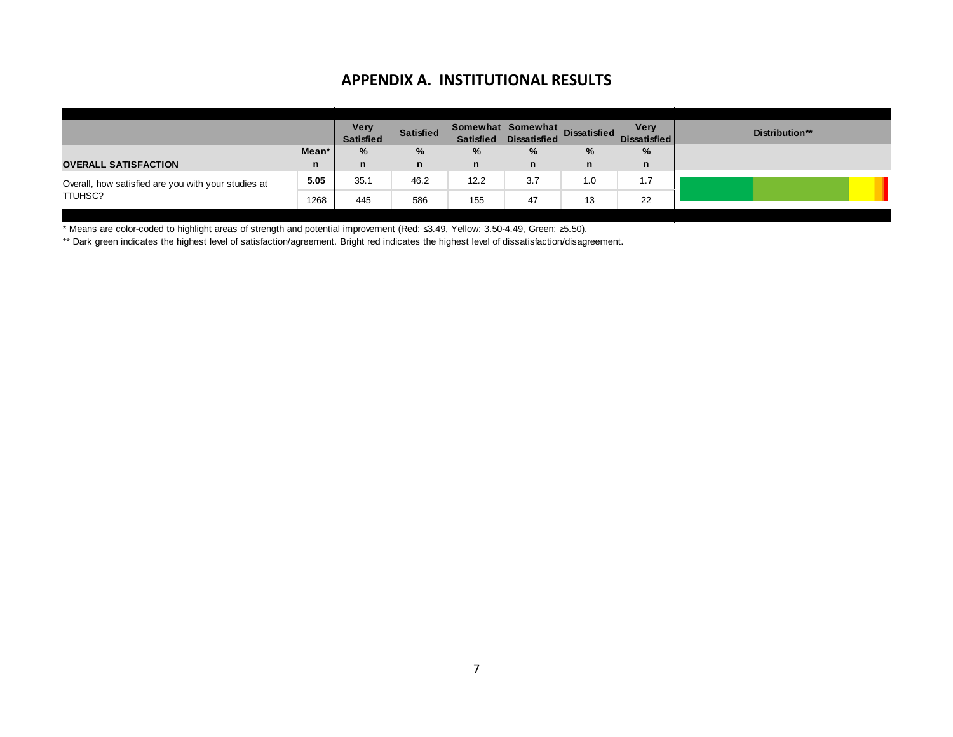### **APPENDIX A. INSTITUTIONAL RESULTS**

|                                                     |       | <b>Very</b><br><b>Satisfied</b> | <b>Satisfied</b> | <b>Satisfied</b> | Somewhat Somewhat<br><b>Dissatisfied</b> | <b>Dissatisfied</b> | <b>Very</b><br><b>Dissatisfied</b> | Distribution** |
|-----------------------------------------------------|-------|---------------------------------|------------------|------------------|------------------------------------------|---------------------|------------------------------------|----------------|
|                                                     | Mean' | $\%$                            | %                | %                | %                                        | %                   | $\%$                               |                |
| <b>OVERALL SATISFACTION</b>                         | n     | n                               | n                | n                | n                                        | n                   | n                                  |                |
| Overall, how satisfied are you with your studies at | 5.05  | 35.1                            | 46.2             | 12.2             | 3.7                                      | 1.0                 | 17<br>1 - I                        |                |
| TTUHSC?                                             | 1268  | 445                             | 586              | 155              | 47                                       | 13                  | 22                                 |                |

\* Means are color-coded to highlight areas of strength and potential improvement (Red: ≤3.49, Yellow: 3.50-4.49, Green: ≥5.50).

\*\* Dark green indicates the highest level of satisfaction/agreement. Bright red indicates the highest level of dissatisfaction/disagreement.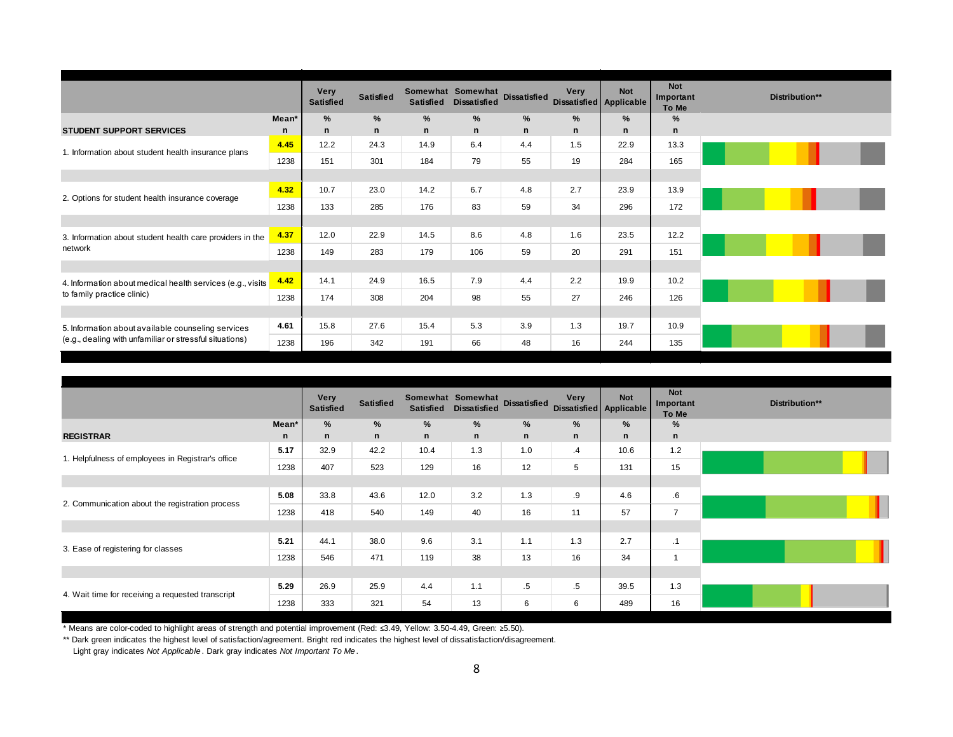|                                                            |         | Very<br><b>Satisfied</b> | <b>Satisfied</b> | <b>Satisfied</b> | Somewhat Somewhat<br><b>Dissatisfied</b> | <b>Dissatisfied</b> | Very<br><b>Dissatisfied Applicable</b> | <b>Not</b>  | <b>Not</b><br>Important<br>To Me | Distribution** |
|------------------------------------------------------------|---------|--------------------------|------------------|------------------|------------------------------------------|---------------------|----------------------------------------|-------------|----------------------------------|----------------|
|                                                            | $Mean*$ | $\frac{9}{6}$            | $\%$             | $\frac{9}{6}$    | $\%$                                     | $\%$                | $\%$                                   | $\%$        | $\%$                             |                |
| <b>STUDENT SUPPORT SERVICES</b>                            | n       | $\mathbf n$              | $\mathbf n$      | $\mathsf{n}$     | $\mathsf{n}$                             | $\mathsf{n}$        | $\mathbf n$                            | $\mathbf n$ | $\mathsf{n}$                     |                |
| 1. Information about student health insurance plans        | 4.45    | 12.2                     | 24.3             | 14.9             | 6.4                                      | 4.4                 | 1.5                                    | 22.9        | 13.3                             |                |
|                                                            | 1238    | 151                      | 301              | 184              | 79                                       | 55                  | 19                                     | 284         | 165                              |                |
|                                                            |         |                          |                  |                  |                                          |                     |                                        |             |                                  |                |
|                                                            | 4.32    | 10.7                     | 23.0             | 14.2             | 6.7                                      | 4.8                 | 2.7                                    | 23.9        | 13.9                             |                |
| 2. Options for student health insurance coverage           | 1238    | 133                      | 285              | 176              | 83                                       | 59                  | 34                                     | 296         | 172                              |                |
|                                                            |         |                          |                  |                  |                                          |                     |                                        |             |                                  |                |
| 3. Information about student health care providers in the  | 4.37    | 12.0                     | 22.9             | 14.5             | 8.6                                      | 4.8                 | 1.6                                    | 23.5        | 12.2                             |                |
| network                                                    | 1238    | 149                      | 283              | 179              | 106                                      | 59                  | 20                                     | 291         | 151                              |                |
|                                                            |         |                          |                  |                  |                                          |                     |                                        |             |                                  |                |
| 4. Information about medical health services (e.g., visits | 4.42    | 14.1                     | 24.9             | 16.5             | 7.9                                      | 4.4                 | 2.2                                    | 19.9        | 10.2                             |                |
| to family practice clinic)                                 | 1238    | 174                      | 308              | 204              | 98                                       | 55                  | 27                                     | 246         | 126                              |                |
|                                                            |         |                          |                  |                  |                                          |                     |                                        |             |                                  |                |
| 5. Information about available counseling services         | 4.61    | 15.8                     | 27.6             | 15.4             | 5.3                                      | 3.9                 | 1.3                                    | 19.7        | 10.9                             |                |
| (e.g., dealing with unfamiliar or stressful situations)    | 1238    | 196                      | 342              | 191              | 66                                       | 48                  | 16                                     | 244         | 135                              |                |

|                                                   |              | <b>Very</b><br><b>Satisfied</b> | <b>Satisfied</b> | <b>Satisfied</b> | Somewhat Somewhat<br><b>Dissatisfied</b> |        | <b>Very</b><br>Dissatisfied Dissatisfied Applicable | <b>Not</b> | <b>Not</b><br>Important<br>To Me | Distribution** |
|---------------------------------------------------|--------------|---------------------------------|------------------|------------------|------------------------------------------|--------|-----------------------------------------------------|------------|----------------------------------|----------------|
|                                                   | Mean*        | $\%$                            | $\%$             | %                | %                                        | %      | $\frac{9}{6}$                                       | %          | %                                |                |
| <b>REGISTRAR</b>                                  | $\mathsf{n}$ | n                               | $\mathbf n$      | n                | n                                        | n      | n                                                   | n          | $\mathsf{n}$                     |                |
| 1. Helpfulness of employees in Registrar's office | 5.17         | 32.9                            | 42.2             | 10.4             | 1.3                                      | 1.0    | .4                                                  | 10.6       | 1.2                              |                |
|                                                   | 1238         | 407                             | 523              | 129              | 16                                       | 12     | 5                                                   | 131        | 15                               |                |
|                                                   |              |                                 |                  |                  |                                          |        |                                                     |            |                                  |                |
|                                                   | 5.08         | 33.8                            | 43.6             | 12.0             | 3.2                                      | 1.3    | .9                                                  | 4.6        | .6                               |                |
| 2. Communication about the registration process   | 1238         | 418                             | 540              | 149              | 40                                       | 16     | 11                                                  | 57         | $\overline{7}$                   |                |
|                                                   |              |                                 |                  |                  |                                          |        |                                                     |            |                                  |                |
|                                                   | 5.21         | 44.1                            | 38.0             | 9.6              | 3.1                                      | 1.1    | 1.3                                                 | 2.7        | .1                               |                |
| 3. Ease of registering for classes                | 1238         | 546                             | 471              | 119              | 38                                       | 13     | 16                                                  | 34         | $\overline{ }$                   |                |
|                                                   |              |                                 |                  |                  |                                          |        |                                                     |            |                                  |                |
|                                                   | 5.29         | 26.9                            | 25.9             | 4.4              | 1.1                                      | $.5\,$ | .5                                                  | 39.5       | 1.3                              |                |
| 4. Wait time for receiving a requested transcript | 1238         | 333                             | 321              | 54               | 13                                       | 6      | 6                                                   | 489        | 16                               |                |

\*\* Dark green indicates the highest level of satisfaction/agreement. Bright red indicates the highest level of dissatisfaction/disagreement.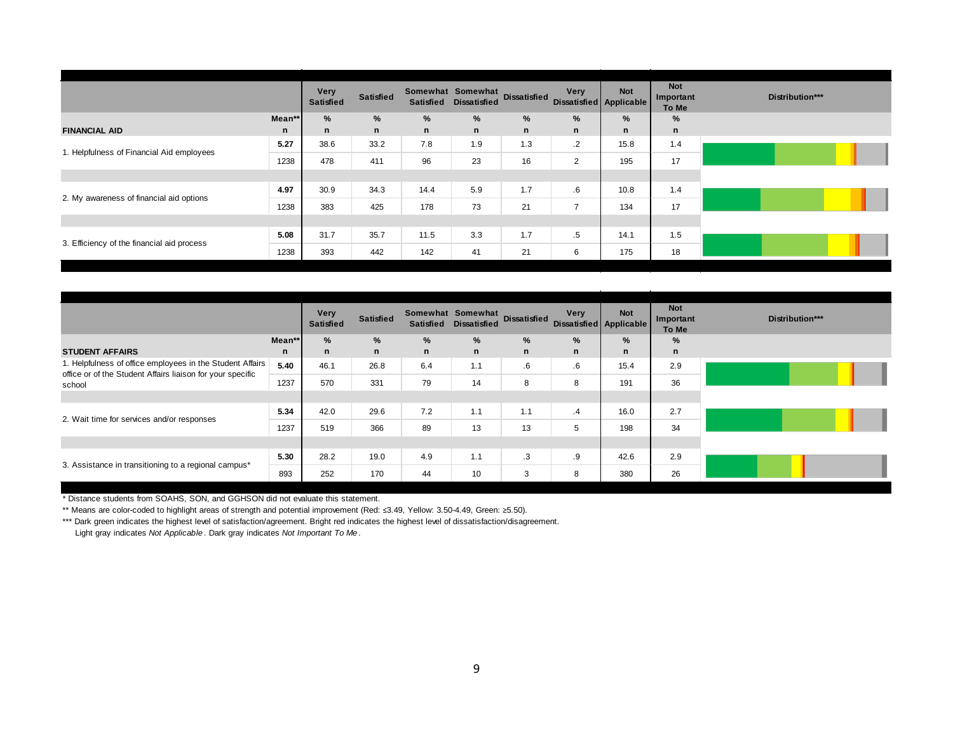|                                            |        | <b>Very</b><br><b>Satisfied</b> | <b>Satisfied</b> | <b>Satisfied</b> | Somewhat Somewhat<br><b>Dissatisfied</b> | <b>Dissatisfied</b> | <b>Very</b><br>Dissatisfied Applicable | <b>Not</b> | <b>Not</b><br>Important<br>To Me |
|--------------------------------------------|--------|---------------------------------|------------------|------------------|------------------------------------------|---------------------|----------------------------------------|------------|----------------------------------|
|                                            | Mean** | %                               | %                | %                | %                                        | %                   | %                                      | %          | %                                |
| <b>FINANCIAL AID</b>                       | n      | n                               | $\mathsf{n}$     | $\mathsf{n}$     | $\mathsf{n}$                             | n                   | $\mathsf{n}$                           | n          | $\mathbf n$                      |
| 1. Helpfulness of Financial Aid employees  | 5.27   | 38.6                            | 33.2             | 7.8              | 1.9                                      | 1.3                 | $\cdot$                                | 15.8       | 1.4                              |
|                                            | 1238   | 478                             | 411              | 96               | 23                                       | 16                  | $\overline{2}$                         | 195        | 17                               |
|                                            |        |                                 |                  |                  |                                          |                     |                                        |            |                                  |
| 2. My awareness of financial aid options   | 4.97   | 30.9                            | 34.3             | 14.4             | 5.9                                      | 1.7                 | $.6\,$                                 | 10.8       | 1.4                              |
|                                            | 1238   | 383                             | 425              | 178              | 73                                       | 21                  | $\overline{7}$                         | 134        | 17                               |
|                                            |        |                                 |                  |                  |                                          |                     |                                        |            |                                  |
|                                            | 5.08   | 31.7                            | 35.7             | 11.5             | 3.3                                      | 1.7                 | $.5\,$                                 | 14.1       | 1.5                              |
| 3. Efficiency of the financial aid process | 1238   | 393                             | 442              | 142              | 41                                       | 21                  | 6                                      | 175        | 18                               |

|                                                                                                                         |        | <b>Very</b><br><b>Satisfied</b> | <b>Satisfied</b> | <b>Satisfied</b> | Somewhat Somewhat<br><b>Dissatisfied</b> | <b>Dissatisfied</b> | Very<br><b>Dissatisfied Applicable</b> | <b>Not</b>   | <b>Not</b><br>Important<br>To Me | Distribution*** |
|-------------------------------------------------------------------------------------------------------------------------|--------|---------------------------------|------------------|------------------|------------------------------------------|---------------------|----------------------------------------|--------------|----------------------------------|-----------------|
|                                                                                                                         | Mean** | %                               | %                | %                | %                                        | %                   | $\%$                                   | %            | $\%$                             |                 |
| <b>STUDENT AFFAIRS</b>                                                                                                  | n      | n                               | $\mathsf{n}$     | n                | $\mathsf{n}$                             | $\mathsf{n}$        | $\mathsf{n}$                           | $\mathsf{n}$ | $\mathsf{n}$                     |                 |
| 1. Helpfulness of office employees in the Student Affairs<br>office or of the Student Affairs liaison for your specific | 5.40   | 46.1                            | 26.8             | 6.4              | 1.1                                      | 6.6                 | $6 \cdot$                              | 15.4         | 2.9                              |                 |
| school                                                                                                                  | 1237   | 570                             | 331              | 79               | 14                                       | 8                   | 8                                      | 191          | 36                               |                 |
|                                                                                                                         |        |                                 |                  |                  |                                          |                     |                                        |              |                                  |                 |
| 2. Wait time for services and/or responses                                                                              | 5.34   | 42.0                            | 29.6             | 7.2              | 1.1                                      | 1.1                 | $\cdot$ 4                              | 16.0         | 2.7                              |                 |
|                                                                                                                         | 1237   | 519                             | 366              | 89               | 13                                       | 13                  | 5                                      | 198          | 34                               |                 |
|                                                                                                                         |        |                                 |                  |                  |                                          |                     |                                        |              |                                  |                 |
| 3. Assistance in transitioning to a regional campus*                                                                    | 5.30   | 28.2                            | 19.0             | 4.9              | 1.1                                      | $\cdot$ 3           | .9                                     | 42.6         | 2.9                              |                 |
|                                                                                                                         | 893    | 252                             | 170              | 44               | 10                                       | 3                   | 8                                      | 380          | 26                               |                 |

\*\* Means are color-coded to highlight areas of strength and potential improvement (Red: ≤3.49, Yellow: 3.50-4.49, Green: ≥5.50).

\*\*\* Dark green indicates the highest level of satisfaction/agreement. Bright red indicates the highest level of dissatisfaction/disagreement.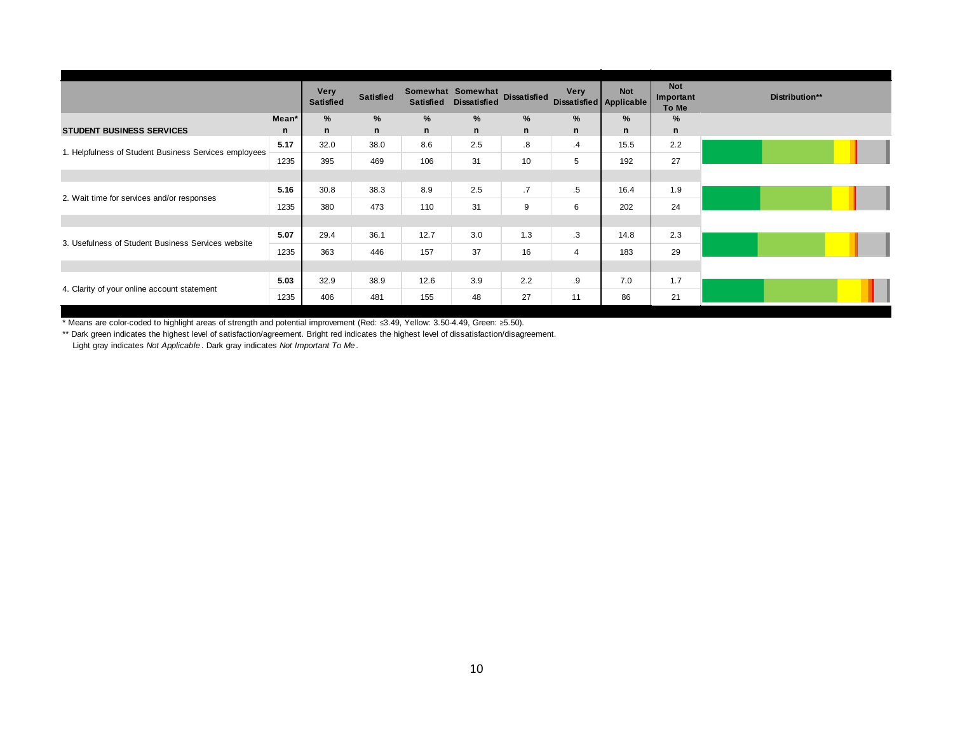|                                                       |       | <b>Very</b><br><b>Satisfied</b> | <b>Satisfied</b> | <b>Satisfied</b> | Somewhat Somewhat<br><b>Dissatisfied</b> | <b>Dissatisfied</b> | <b>Very</b><br>Dissatisfied Applicable | <b>Not</b> | <b>Not</b><br>Important<br>To Me | Distribution** |
|-------------------------------------------------------|-------|---------------------------------|------------------|------------------|------------------------------------------|---------------------|----------------------------------------|------------|----------------------------------|----------------|
|                                                       | Mean* | %                               | $\frac{9}{6}$    | %                | $\%$                                     | %                   | $\frac{9}{6}$                          | %          | %                                |                |
| <b>STUDENT BUSINESS SERVICES</b>                      | n     | n                               | $\mathsf{n}$     | n                | n                                        | n                   | $\mathsf{n}$                           | n          | $\mathbf n$                      |                |
| 1. Helpfulness of Student Business Services employees | 5.17  | 32.0                            | 38.0             | 8.6              | 2.5                                      | .8                  | $\cdot$ 4                              | 15.5       | 2.2                              |                |
|                                                       | 1235  | 395                             | 469              | 106              | 31                                       | 10                  | 5                                      | 192        | 27                               |                |
|                                                       |       |                                 |                  |                  |                                          |                     |                                        |            |                                  |                |
| 2. Wait time for services and/or responses            | 5.16  | 30.8                            | 38.3             | 8.9              | 2.5                                      | $\cdot$             | .5                                     | 16.4       | 1.9                              |                |
|                                                       | 1235  | 380                             | 473              | 110              | 31                                       | 9                   | 6                                      | 202        | 24                               |                |
|                                                       |       |                                 |                  |                  |                                          |                     |                                        |            |                                  |                |
|                                                       | 5.07  | 29.4                            | 36.1             | 12.7             | 3.0                                      | 1.3                 | .3                                     | 14.8       | 2.3                              |                |
| 3. Usefulness of Student Business Services website    | 1235  | 363                             | 446              | 157              | 37                                       | 16                  | 4                                      | 183        | 29                               |                |
|                                                       |       |                                 |                  |                  |                                          |                     |                                        |            |                                  |                |
|                                                       | 5.03  | 32.9                            | 38.9             | 12.6             | 3.9                                      | 2.2                 | .9                                     | 7.0        | 1.7                              |                |
| 4. Clarity of your online account statement           | 1235  | 406                             | 481              | 155              | 48                                       | 27                  | 11                                     | 86         | 21                               |                |

\*\* Dark green indicates the highest level of satisfaction/agreement. Bright red indicates the highest level of dissatisfaction/disagreement.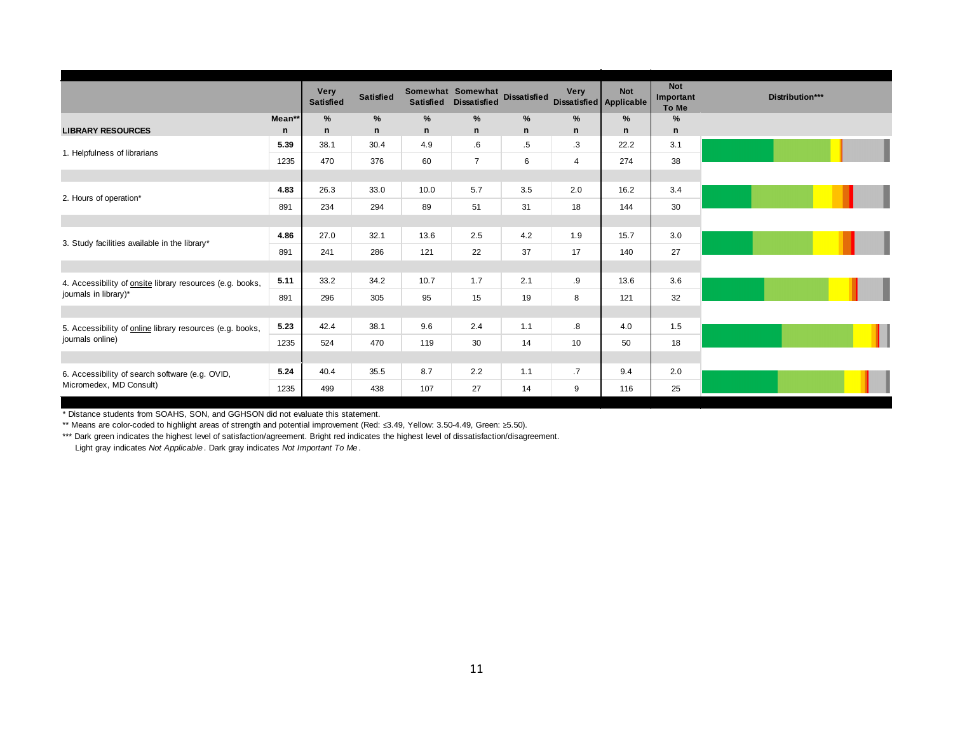|                                                                            |        | <b>Very</b><br><b>Satisfied</b> | <b>Satisfied</b> | <b>Satisfied</b> | Somewhat Somewhat<br><b>Dissatisfied</b> | <b>Dissatisfied</b> | Very<br>Dissatisfied Applicable | <b>Not</b> | <b>Not</b><br>Important<br>To Me | Distribution*** |
|----------------------------------------------------------------------------|--------|---------------------------------|------------------|------------------|------------------------------------------|---------------------|---------------------------------|------------|----------------------------------|-----------------|
|                                                                            | Mean** | %                               | $\%$             | %                | $\frac{9}{6}$                            | %                   | %                               | $\%$       | %                                |                 |
| <b>LIBRARY RESOURCES</b>                                                   | n      | n                               | n                | n                | n                                        | n                   | n                               | n          | $\mathsf{n}$                     |                 |
| 1. Helpfulness of librarians                                               | 5.39   | 38.1                            | 30.4             | 4.9              | .6                                       | .5                  | $\cdot$ 3                       | 22.2       | 3.1                              |                 |
|                                                                            | 1235   | 470                             | 376              | 60               | $\overline{7}$                           | 6                   | $\overline{4}$                  | 274        | 38                               |                 |
|                                                                            |        |                                 |                  |                  |                                          |                     |                                 |            |                                  |                 |
| 2. Hours of operation*                                                     | 4.83   | 26.3                            | 33.0             | 10.0             | 5.7                                      | 3.5                 | 2.0                             | 16.2       | 3.4                              |                 |
|                                                                            | 891    | 234                             | 294              | 89               | 51                                       | 31                  | 18                              | 144        | 30                               |                 |
|                                                                            |        |                                 |                  |                  |                                          |                     |                                 |            |                                  |                 |
| 3. Study facilities available in the library*                              | 4.86   | 27.0                            | 32.1             | 13.6             | 2.5                                      | 4.2                 | 1.9                             | 15.7       | 3.0                              |                 |
|                                                                            | 891    | 241                             | 286              | 121              | 22                                       | 37                  | 17                              | 140        | 27                               |                 |
|                                                                            |        |                                 |                  |                  |                                          |                     |                                 |            |                                  |                 |
| 4. Accessibility of onsite library resources (e.g. books,                  | 5.11   | 33.2                            | 34.2             | 10.7             | 1.7                                      | 2.1                 | .9                              | 13.6       | 3.6                              |                 |
| journals in library)*                                                      | 891    | 296                             | 305              | 95               | 15                                       | 19                  | 8                               | 121        | 32                               |                 |
|                                                                            |        |                                 |                  |                  |                                          |                     |                                 |            |                                  |                 |
| 5. Accessibility of online library resources (e.g. books,                  | 5.23   | 42.4                            | 38.1             | 9.6              | 2.4                                      | 1.1                 | $\boldsymbol{.8}$               | 4.0        | 1.5                              |                 |
| journals online)                                                           | 1235   | 524                             | 470              | 119              | 30                                       | 14                  | 10                              | 50         | 18                               |                 |
|                                                                            |        |                                 |                  |                  |                                          |                     |                                 |            |                                  |                 |
| 6. Accessibility of search software (e.g. OVID,<br>Micromedex, MD Consult) | 5.24   | 40.4                            | 35.5             | 8.7              | 2.2                                      | 1.1                 | .7                              | 9.4        | 2.0                              |                 |
|                                                                            | 1235   | 499                             | 438              | 107              | 27                                       | 14                  | 9                               | 116        | 25                               |                 |

\*\* Means are color-coded to highlight areas of strength and potential improvement (Red: ≤3.49, Yellow: 3.50-4.49, Green: ≥5.50).

\*\*\* Dark green indicates the highest level of satisfaction/agreement. Bright red indicates the highest level of dissatisfaction/disagreement. Light gray indicates *Not Applicable* . Dark gray indicates *Not Important To Me* .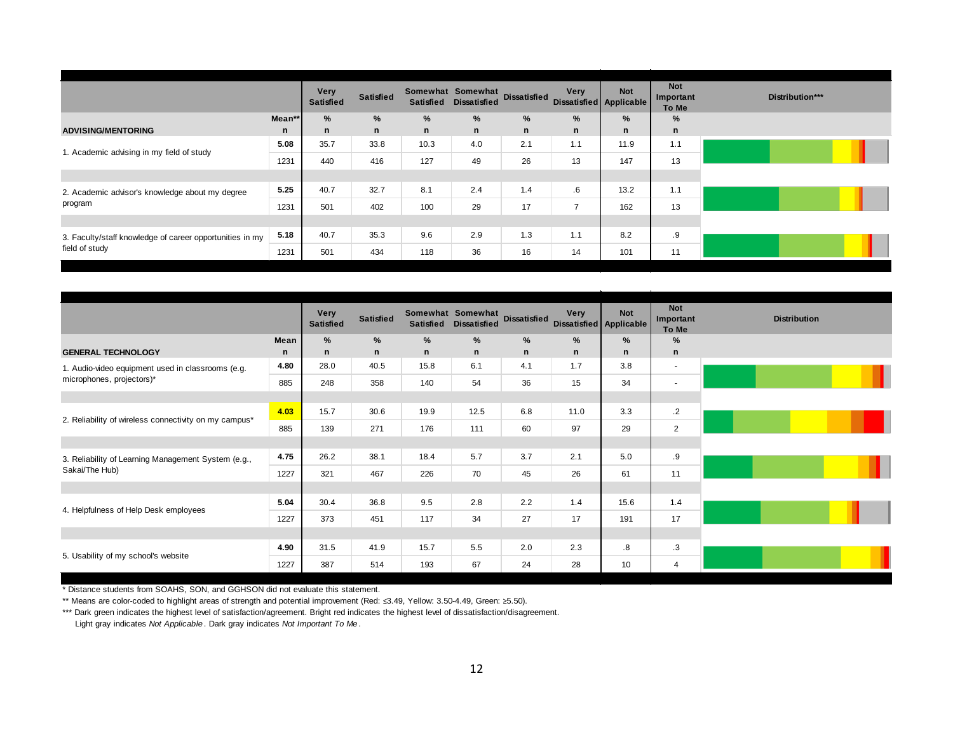|                                                          |        | <b>Very</b><br><b>Satisfied</b> | <b>Satisfied</b> | <b>Satisfied</b> | Somewhat Somewhat<br><b>Dissatisfied</b> | <b>Dissatisfied</b> | <b>Very</b>    | <b>Not</b><br>Dissatisfied Applicable | <b>Not</b><br>Important<br>To Me |
|----------------------------------------------------------|--------|---------------------------------|------------------|------------------|------------------------------------------|---------------------|----------------|---------------------------------------|----------------------------------|
|                                                          | Mean** | %                               | %                | %                | %                                        | %                   | %              | %                                     | %                                |
| <b>ADVISING/MENTORING</b>                                | n      | n                               | n                | n                | n                                        | n                   | n              | n                                     | n                                |
| 1. Academic advising in my field of study                | 5.08   | 35.7                            | 33.8             | 10.3             | 4.0                                      | 2.1                 | 1.1            | 11.9                                  | 1.1                              |
|                                                          | 1231   | 440                             | 416              | 127              | 49                                       | 26                  | 13             | 147                                   | 13                               |
|                                                          |        |                                 |                  |                  |                                          |                     |                |                                       |                                  |
| 2. Academic advisor's knowledge about my degree          | 5.25   | 40.7                            | 32.7             | 8.1              | 2.4                                      | 1.4                 | .6             | 13.2                                  | 1.1                              |
| program                                                  | 1231   | 501                             | 402              | 100              | 29                                       | 17                  | $\overline{7}$ | 162                                   | 13                               |
|                                                          |        |                                 |                  |                  |                                          |                     |                |                                       |                                  |
| 3. Faculty/staff knowledge of career opportunities in my | 5.18   | 40.7                            | 35.3             | 9.6              | 2.9                                      | 1.3                 | 1.1            | 8.2                                   | .9                               |
| field of study                                           | 1231   | 501                             | 434              | 118              | 36                                       | 16                  | 14             | 101                                   | 11                               |

|                                                       |           | <b>Very</b><br><b>Satisfied</b> | <b>Satisfied</b> | Somewhat Somewhat Dissatisfied Very Very |           |        |           |        | <b>Not</b><br><b>Important</b><br>To Me |  |
|-------------------------------------------------------|-----------|---------------------------------|------------------|------------------------------------------|-----------|--------|-----------|--------|-----------------------------------------|--|
| <b>GENERAL TECHNOLOGY</b>                             | Mean<br>n | %<br>n                          | %<br>$\mathsf n$ | %<br>n                                   | $\%$<br>n | %<br>n | $\%$<br>n | %<br>n | %<br>$\mathsf{n}$                       |  |
| 1. Audio-video equipment used in classrooms (e.g.     | 4.80      | 28.0                            | 40.5             | 15.8                                     | 6.1       | 4.1    | 1.7       | 3.8    | $\overline{\phantom{a}}$                |  |
| microphones, projectors)*                             | 885       | 248                             | 358              | 140                                      | 54        | 36     | 15        | 34     | $\blacksquare$                          |  |
|                                                       |           |                                 |                  |                                          |           |        |           |        |                                         |  |
|                                                       | 4.03      | 15.7                            | 30.6             | 19.9                                     | 12.5      | 6.8    | 11.0      | 3.3    | $\cdot$                                 |  |
| 2. Reliability of wireless connectivity on my campus* | 885       | 139                             | 271              | 176                                      | 111       | 60     | 97        | 29     | $\overline{2}$                          |  |
|                                                       |           |                                 |                  |                                          |           |        |           |        |                                         |  |
| 3. Reliability of Learning Management System (e.g.,   | 4.75      | 26.2                            | 38.1             | 18.4                                     | 5.7       | 3.7    | 2.1       | 5.0    | .9                                      |  |
| Sakai/The Hub)                                        | 1227      | 321                             | 467              | 226                                      | 70        | 45     | 26        | 61     | 11                                      |  |
|                                                       |           |                                 |                  |                                          |           |        |           |        |                                         |  |
| 4. Helpfulness of Help Desk employees                 | 5.04      | 30.4                            | 36.8             | 9.5                                      | 2.8       | 2.2    | 1.4       | 15.6   | 1.4                                     |  |
|                                                       | 1227      | 373                             | 451              | 117                                      | 34        | 27     | 17        | 191    | 17                                      |  |
|                                                       |           |                                 |                  |                                          |           |        |           |        |                                         |  |
| 5. Usability of my school's website                   | 4.90      | 31.5                            | 41.9             | 15.7                                     | 5.5       | 2.0    | 2.3       | .8     | .3                                      |  |
|                                                       | 1227      | 387                             | 514              | 193                                      | 67        | 24     | 28        | 10     | 4                                       |  |

\*\* Means are color-coded to highlight areas of strength and potential improvement (Red: ≤3.49, Yellow: 3.50-4.49, Green: ≥5.50).

\*\*\* Dark green indicates the highest level of satisfaction/agreement. Bright red indicates the highest level of dissatisfaction/disagreement.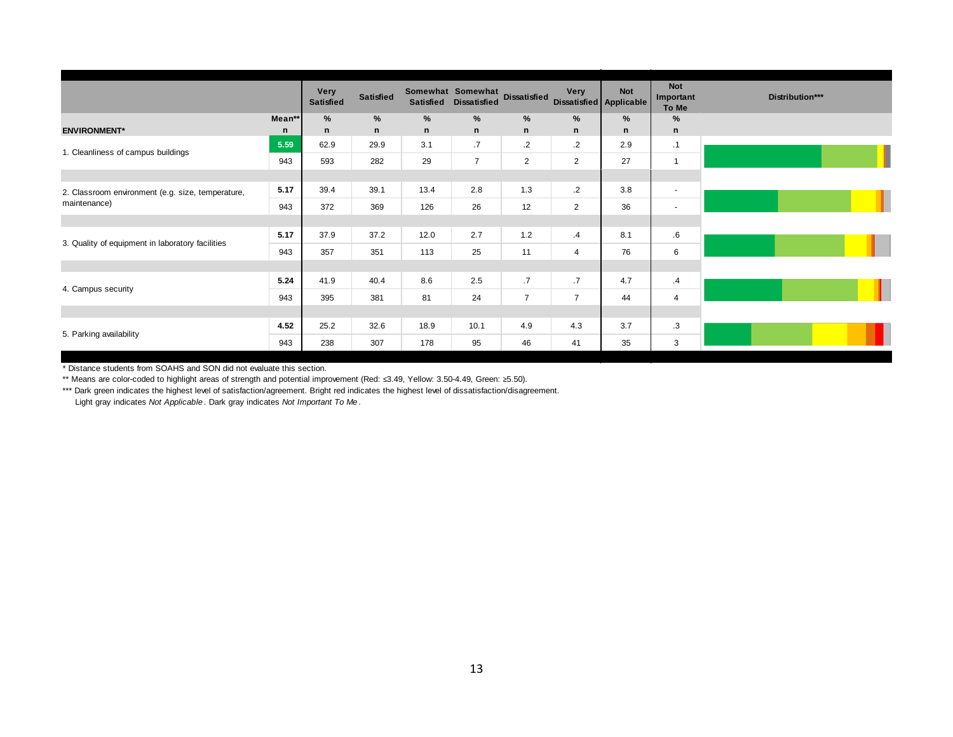|                                                   |        | <b>Very</b><br><b>Satisfied</b> | <b>Satisfied</b> | <b>Satisfied</b> | Somewhat Somewhat<br><b>Dissatisfied</b> | <b>Dissatisfied</b> | Very<br>Dissatisfied Applicable | <b>Not</b>   | <b>Not</b><br>Important<br>To Me | Distribution*** |
|---------------------------------------------------|--------|---------------------------------|------------------|------------------|------------------------------------------|---------------------|---------------------------------|--------------|----------------------------------|-----------------|
|                                                   | Mean** | %                               | %                | %                | %                                        | %                   | %                               | %            | %                                |                 |
| <b>ENVIRONMENT*</b>                               | n      | n                               | n                | $\mathbf n$      | n                                        | $\mathsf{n}$        | $\mathsf{n}$                    | $\mathsf{n}$ | $\mathsf{n}$                     |                 |
| 1. Cleanliness of campus buildings                | 5.59   | 62.9                            | 29.9             | 3.1              | .7                                       | $\cdot$             | $\cdot$                         | 2.9          | $\cdot$ 1                        |                 |
|                                                   | 943    | 593                             | 282              | 29               | $\overline{7}$                           | $\overline{2}$      | $\overline{2}$                  | 27           | $\overline{1}$                   |                 |
|                                                   |        |                                 |                  |                  |                                          |                     |                                 |              |                                  |                 |
| 2. Classroom environment (e.g. size, temperature, | 5.17   | 39.4                            | 39.1             | 13.4             | 2.8                                      | 1.3                 | $\cdot$ .2                      | 3.8          | $\blacksquare$                   |                 |
| maintenance)                                      | 943    | 372                             | 369              | 126              | 26                                       | 12                  | $\overline{2}$                  | 36           | $\overline{\phantom{a}}$         |                 |
|                                                   |        |                                 |                  |                  |                                          |                     |                                 |              |                                  |                 |
| 3. Quality of equipment in laboratory facilities  | 5.17   | 37.9                            | 37.2             | 12.0             | 2.7                                      | 1.2                 | $\cdot$ 4                       | 8.1          | 6.6                              |                 |
|                                                   | 943    | 357                             | 351              | 113              | 25                                       | 11                  | $\overline{4}$                  | 76           | 6                                |                 |
|                                                   |        |                                 |                  |                  |                                          |                     |                                 |              |                                  |                 |
|                                                   | 5.24   | 41.9                            | 40.4             | 8.6              | 2.5                                      | .7                  | .7                              | 4.7          | $\cdot$                          |                 |
| 4. Campus security                                | 943    | 395                             | 381              | 81               | 24                                       | $\overline{7}$      | $\overline{7}$                  | 44           | $\overline{4}$                   |                 |
|                                                   |        |                                 |                  |                  |                                          |                     |                                 |              |                                  |                 |
|                                                   | 4.52   | 25.2                            | 32.6             | 18.9             | 10.1                                     | 4.9                 | 4.3                             | 3.7          | .3                               |                 |
| 5. Parking availability                           | 943    | 238                             | 307              | 178              | 95                                       | 46                  | 41                              | 35           | 3                                |                 |

\* Distance students from SOAHS and SON did not evaluate this section.

\*\* Means are color-coded to highlight areas of strength and potential improvement (Red: ≤3.49, Yellow: 3.50-4.49, Green: ≥5.50).

\*\*\* Dark green indicates the highest level of satisfaction/agreement. Bright red indicates the highest level of dissatisfaction/disagreement.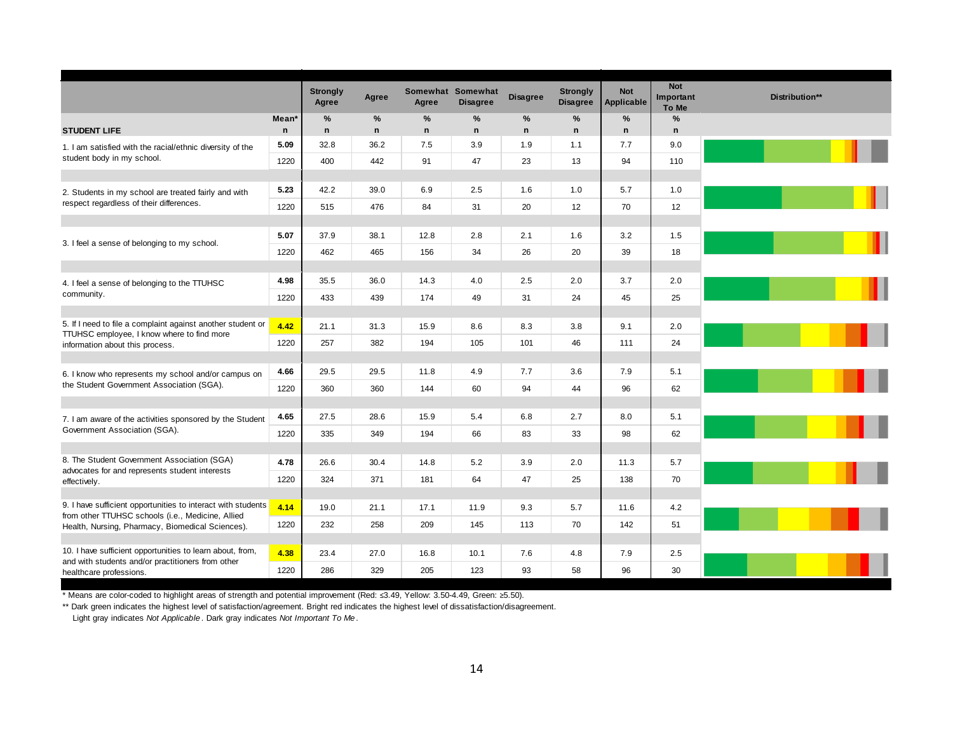|                                                                                                           |                                   | <b>Strongly</b><br>Agree | Agree             | Agree   | Somewhat Somewhat<br><b>Disagree</b> | <b>Disagree</b> | <b>Strongly</b><br><b>Disagree</b> | <b>Not</b><br>Applicable | <b>Not</b><br>Important<br>To Me | Distribution** |
|-----------------------------------------------------------------------------------------------------------|-----------------------------------|--------------------------|-------------------|---------|--------------------------------------|-----------------|------------------------------------|--------------------------|----------------------------------|----------------|
| <b>STUDENT LIFE</b>                                                                                       | Mean <sup>*</sup><br>$\mathsf{n}$ | %<br>$\mathsf{n}$        | %<br>$\mathsf{n}$ | %<br>n. | %<br>$\mathsf{n}$                    | %<br>n          | %<br>$\mathbf n$                   | %<br>$\mathbf n$         | %<br>$\mathsf{n}$                |                |
| 1. I am satisfied with the racial/ethnic diversity of the                                                 | 5.09                              | 32.8                     | 36.2              | 7.5     | 3.9                                  | 1.9             | 1.1                                | 7.7                      | 9.0                              |                |
| student body in my school.                                                                                | 1220                              | 400                      | 442               | 91      | 47                                   | 23              | 13                                 | 94                       | 110                              |                |
| 2. Students in my school are treated fairly and with                                                      | 5.23                              | 42.2                     | 39.0              | 6.9     | 2.5                                  | 1.6             | 1.0                                | 5.7                      | 1.0                              |                |
| respect regardless of their differences.                                                                  | 1220                              | 515                      | 476               | 84      | 31                                   | 20              | 12                                 | 70                       | 12                               |                |
| 3. I feel a sense of belonging to my school.                                                              | 5.07                              | 37.9                     | 38.1              | 12.8    | 2.8                                  | 2.1             | 1.6                                | 3.2                      | 1.5                              |                |
|                                                                                                           | 1220                              | 462                      | 465               | 156     | 34                                   | 26              | 20                                 | 39                       | 18                               |                |
| 4. I feel a sense of belonging to the TTUHSC                                                              | 4.98                              | 35.5                     | 36.0              | 14.3    | 4.0                                  | 2.5             | 2.0                                | 3.7                      | 2.0                              |                |
| community.                                                                                                | 1220                              | 433                      | 439               | 174     | 49                                   | 31              | 24                                 | 45                       | 25                               |                |
| 5. If I need to file a complaint against another student or<br>TTUHSC employee, I know where to find more | 4.42                              | 21.1                     | 31.3              | 15.9    | 8.6                                  | 8.3             | 3.8                                | 9.1                      | 2.0                              |                |
| information about this process.                                                                           | 1220                              | 257                      | 382               | 194     | 105                                  | 101             | 46                                 | 111                      | 24                               |                |
| 6. I know who represents my school and/or campus on                                                       | 4.66                              | 29.5                     | 29.5              | 11.8    | 4.9                                  | 7.7             | 3.6                                | 7.9                      | 5.1                              |                |
| the Student Government Association (SGA).                                                                 | 1220                              | 360                      | 360               | 144     | 60                                   | 94              | 44                                 | 96                       | 62                               |                |
| 7. I am aware of the activities sponsored by the Student                                                  | 4.65                              | 27.5                     | 28.6              | 15.9    | 5.4                                  | 6.8             | 2.7                                | 8.0                      | 5.1                              |                |
| Government Association (SGA).                                                                             | 1220                              | 335                      | 349               | 194     | 66                                   | 83              | 33                                 | 98                       | 62                               |                |
| 8. The Student Government Association (SGA)                                                               | 4.78                              | 26.6                     | 30.4              | 14.8    | 5.2                                  | 3.9             | 2.0                                | 11.3                     | 5.7                              |                |
| advocates for and represents student interests<br>effectively.                                            | 1220                              | 324                      | 371               | 181     | 64                                   | 47              | 25                                 | 138                      | 70                               |                |
| 9. I have sufficient opportunities to interact with students                                              | 4.14                              | 19.0                     | 21.1              | 17.1    | 11.9                                 | 9.3             | 5.7                                | 11.6                     | 4.2                              |                |
| from other TTUHSC schools (i.e., Medicine, Allied<br>Health, Nursing, Pharmacy, Biomedical Sciences).     | 1220                              | 232                      | 258               | 209     | 145                                  | 113             | 70                                 | 142                      | 51                               |                |
| 10. I have sufficient opportunities to learn about, from,                                                 | 4.38                              | 23.4                     | 27.0              | 16.8    | 10.1                                 | 7.6             | 4.8                                | 7.9                      | 2.5                              |                |
| and with students and/or practitioners from other<br>healthcare professions.                              | 1220                              | 286                      | 329               | 205     | 123                                  | 93              | 58                                 | 96                       | 30                               |                |

\*\* Dark green indicates the highest level of satisfaction/agreement. Bright red indicates the highest level of dissatisfaction/disagreement.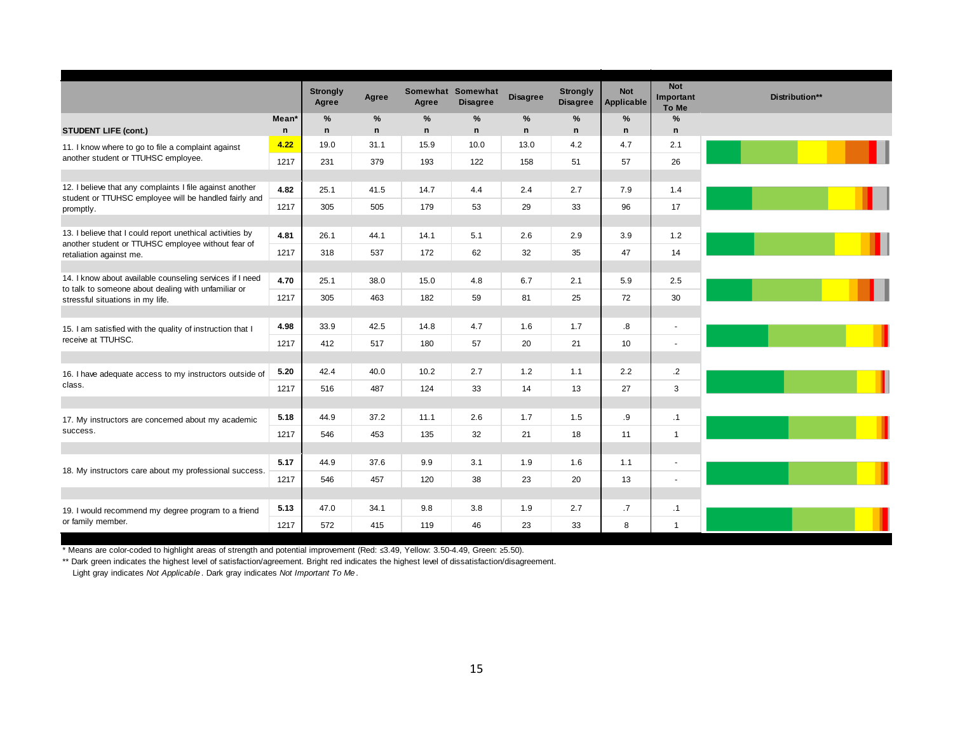|                                                                                                                   |             | <b>Strongly</b><br>Agree | Agree | Agree       | Somewhat Somewhat<br><b>Disagree</b> | <b>Disagree</b> | <b>Strongly</b><br><b>Disagree</b> | <b>Not</b><br><b>Applicable</b> | <b>Not</b><br>Important<br>To Me | Distribution** |
|-------------------------------------------------------------------------------------------------------------------|-------------|--------------------------|-------|-------------|--------------------------------------|-----------------|------------------------------------|---------------------------------|----------------------------------|----------------|
|                                                                                                                   | Mean*       | %                        | %     | %           | %                                    | %               | %                                  | %                               | %                                |                |
| <b>STUDENT LIFE (cont.)</b>                                                                                       | $\mathbf n$ | n                        | n     | $\mathbf n$ | $\mathsf{n}$                         | $\mathsf{n}$    | $\mathbf n$                        | $\mathsf{n}$                    | $\mathsf{n}$                     |                |
| 11. I know where to go to file a complaint against                                                                | 4.22        | 19.0                     | 31.1  | 15.9        | 10.0                                 | 13.0            | 4.2                                | 4.7                             | 2.1                              |                |
| another student or TTUHSC employee.                                                                               | 1217        | 231                      | 379   | 193         | 122                                  | 158             | 51                                 | 57                              | 26                               |                |
|                                                                                                                   |             |                          |       |             |                                      |                 |                                    |                                 |                                  |                |
| 12. I believe that any complaints I file against another<br>student or TTUHSC employee will be handled fairly and | 4.82        | 25.1                     | 41.5  | 14.7        | 4.4                                  | 2.4             | 2.7                                | 7.9                             | 1.4                              |                |
| promptly.                                                                                                         | 1217        | 305                      | 505   | 179         | 53                                   | 29              | 33                                 | 96                              | 17                               |                |
|                                                                                                                   |             |                          |       |             |                                      |                 |                                    |                                 |                                  |                |
| 13. I believe that I could report unethical activities by<br>another student or TTUHSC employee without fear of   | 4.81        | 26.1                     | 44.1  | 14.1        | 5.1                                  | 2.6             | 2.9                                | 3.9                             | 1.2                              |                |
| retaliation against me.                                                                                           | 1217        | 318                      | 537   | 172         | 62                                   | 32              | 35                                 | 47                              | 14                               |                |
|                                                                                                                   |             |                          |       |             |                                      |                 |                                    |                                 |                                  |                |
| 14. I know about available counseling services if I need<br>to talk to someone about dealing with unfamiliar or   | 4.70        | 25.1                     | 38.0  | 15.0        | 4.8                                  | 6.7             | 2.1                                | 5.9                             | 2.5                              |                |
| stressful situations in my life.                                                                                  | 1217        | 305                      | 463   | 182         | 59                                   | 81              | 25                                 | 72                              | 30                               |                |
|                                                                                                                   |             |                          |       |             |                                      |                 |                                    |                                 |                                  |                |
| 15. I am satisfied with the quality of instruction that I                                                         | 4.98        | 33.9                     | 42.5  | 14.8        | 4.7                                  | 1.6             | 1.7                                | .8                              | $\blacksquare$                   |                |
| receive at TTUHSC.                                                                                                | 1217        | 412                      | 517   | 180         | 57                                   | 20              | 21                                 | 10                              | $\sim$                           |                |
|                                                                                                                   |             |                          |       |             |                                      |                 |                                    |                                 |                                  |                |
| 16. I have adequate access to my instructors outside of                                                           | 5.20        | 42.4                     | 40.0  | 10.2        | 2.7                                  | 1.2             | 1.1                                | 2.2                             | $\cdot$ .2                       |                |
| class.                                                                                                            | 1217        | 516                      | 487   | 124         | 33                                   | 14              | 13                                 | 27                              | 3                                |                |
|                                                                                                                   |             |                          |       |             |                                      |                 |                                    |                                 |                                  |                |
| 17. My instructors are concerned about my academic                                                                | 5.18        | 44.9                     | 37.2  | 11.1        | 2.6                                  | 1.7             | 1.5                                | .9                              | $\cdot$ 1                        |                |
| success.                                                                                                          | 1217        | 546                      | 453   | 135         | 32                                   | 21              | 18                                 | 11                              | $\mathbf{1}$                     |                |
|                                                                                                                   |             |                          |       |             |                                      |                 |                                    |                                 |                                  |                |
| 18. My instructors care about my professional success.                                                            | 5.17        | 44.9                     | 37.6  | 9.9         | 3.1                                  | 1.9             | 1.6                                | 1.1                             | $\blacksquare$                   |                |
|                                                                                                                   | 1217        | 546                      | 457   | 120         | 38                                   | 23              | 20                                 | 13                              | $\sim$                           |                |
|                                                                                                                   |             |                          |       |             |                                      |                 |                                    |                                 |                                  |                |
| 19. I would recommend my degree program to a friend                                                               | 5.13        | 47.0                     | 34.1  | 9.8         | 3.8                                  | 1.9             | 2.7                                | .7                              | $\cdot$ 1                        |                |
| or family member.                                                                                                 | 1217        | 572                      | 415   | 119         | 46                                   | 23              | 33                                 | 8                               | $\overline{1}$                   |                |

\*\* Dark green indicates the highest level of satisfaction/agreement. Bright red indicates the highest level of dissatisfaction/disagreement.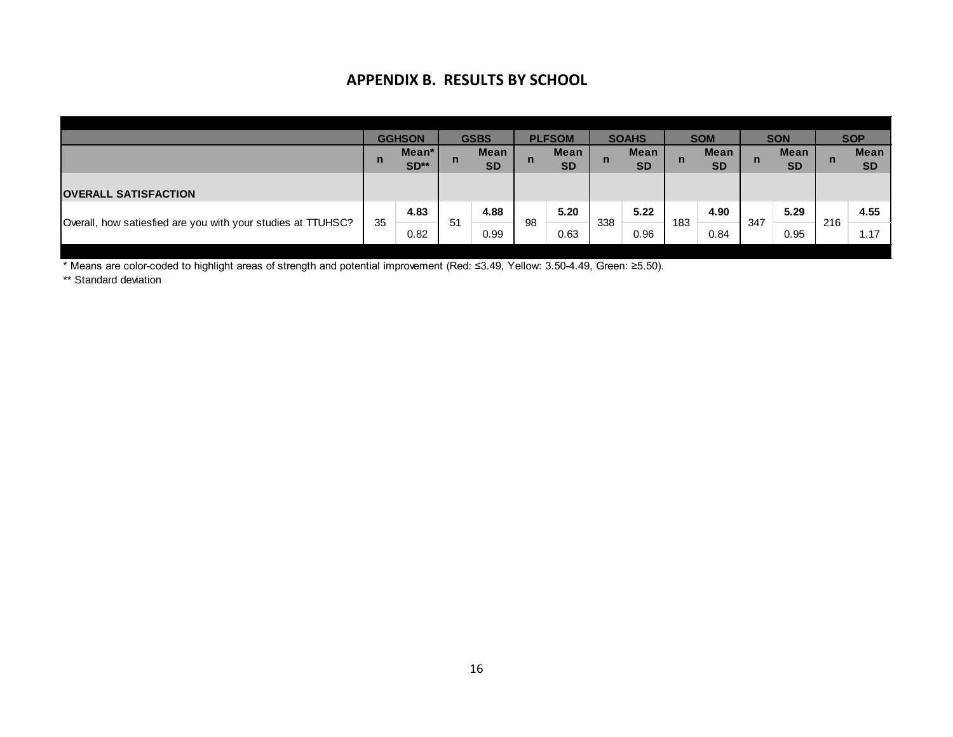# **APPENDIX B. RESULTS BY SCHOOL**

|                                                              |     | <b>GGHSON</b> |    | <b>GSBS</b> |    | <b>PLFSOM</b> |     | <b>SOAHS</b> |     | <b>SOM</b>  |     | <b>SON</b>  |     | <b>SOP</b>  |
|--------------------------------------------------------------|-----|---------------|----|-------------|----|---------------|-----|--------------|-----|-------------|-----|-------------|-----|-------------|
|                                                              |     | Mean*         |    | <b>Mean</b> |    | <b>Mean</b>   |     | <b>Mean</b>  |     | <b>Mean</b> |     | <b>Mean</b> |     | <b>Mean</b> |
|                                                              | .n, | $SD**$        | n  | <b>SD</b>   | n  | <b>SD</b>     | n   | <b>SD</b>    | n   | <b>SD</b>   | n   | <b>SD</b>   | n   | <b>SD</b>   |
|                                                              |     |               |    |             |    |               |     |              |     |             |     |             |     |             |
| <b>OVERALL SATISFACTION</b>                                  |     |               |    |             |    |               |     |              |     |             |     |             |     |             |
|                                                              | 35  | 4.83          | 51 | 4.88        | 98 | 5.20          | 338 | 5.22         | 183 | 4.90        | 347 | 5.29        | 216 | 4.55        |
| Overall, how satiesfied are you with your studies at TTUHSC? |     | 0.82          |    | 0.99        |    | 0.63          |     | 0.96         |     | 0.84        |     | 0.95        |     | 1.17        |

\* Means are color-coded to highlight areas of strength and potential improvement (Red: ≤3.49, Yellow: 3.50-4.49, Green: ≥5.50).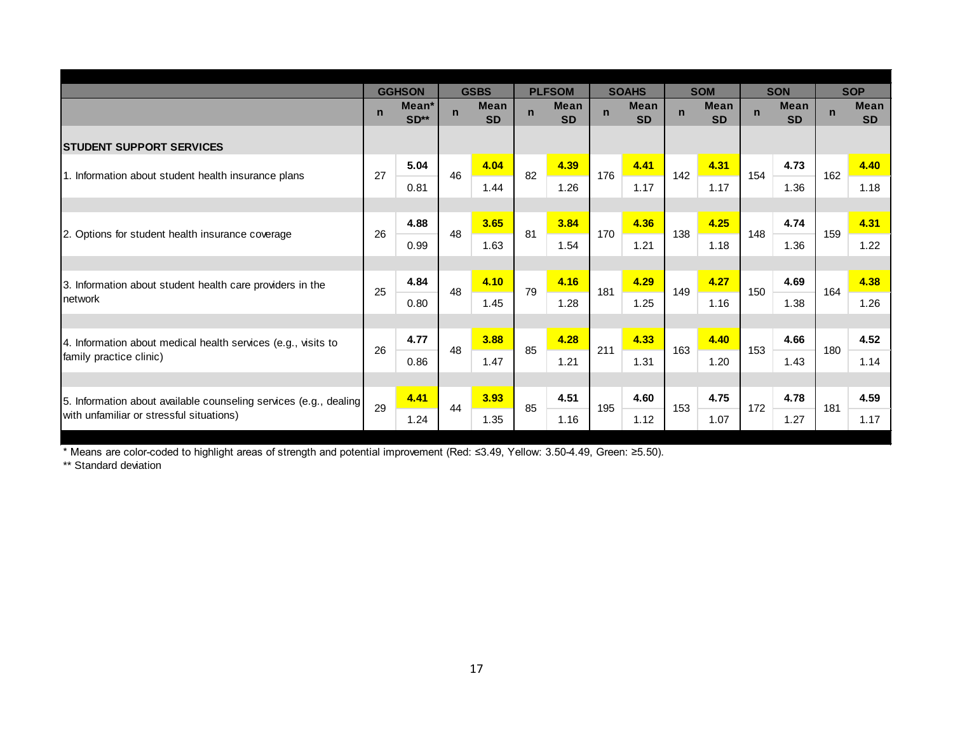|                                                                   |              | <b>GGHSON</b>               |             | <b>GSBS</b>              |             | <b>PLFSOM</b>            |             | <b>SOAHS</b>             |             | <b>SOM</b>               |             | <b>SON</b>               |             | <b>SOP</b>               |
|-------------------------------------------------------------------|--------------|-----------------------------|-------------|--------------------------|-------------|--------------------------|-------------|--------------------------|-------------|--------------------------|-------------|--------------------------|-------------|--------------------------|
|                                                                   | $\mathsf{n}$ | Mean <sup>*</sup><br>$SD**$ | $\mathbf n$ | <b>Mean</b><br><b>SD</b> | $\mathbf n$ | <b>Mean</b><br><b>SD</b> | $\mathbf n$ | <b>Mean</b><br><b>SD</b> | $\mathbf n$ | <b>Mean</b><br><b>SD</b> | $\mathbf n$ | <b>Mean</b><br><b>SD</b> | $\mathbf n$ | <b>Mean</b><br><b>SD</b> |
| <b>STUDENT SUPPORT SERVICES</b>                                   |              |                             |             |                          |             |                          |             |                          |             |                          |             |                          |             |                          |
|                                                                   | 27           | 5.04                        | 46          | 4.04                     | 82          | 4.39                     | 176         | 4.41                     | 142         | 4.31                     |             | 4.73                     | 162         | 4.40                     |
| 1. Information about student health insurance plans               |              | 0.81                        |             | 1.44                     |             | 1.26                     |             | 1.17                     |             | 1.17                     | 154         | 1.36                     |             | 1.18                     |
|                                                                   |              |                             |             |                          |             |                          |             |                          |             |                          |             |                          |             |                          |
|                                                                   | 26           | 4.88                        | 48          | 3.65                     | 81          | 3.84                     | 170         | 4.36                     | 138         | 4.25                     | 148         | 4.74                     | 159         | 4.31                     |
| 2. Options for student health insurance coverage                  |              | 0.99                        |             | 1.63                     |             | 1.54                     |             | 1.21                     |             | 1.18                     |             | 1.36                     |             | 1.22                     |
|                                                                   |              |                             |             |                          |             |                          |             |                          |             |                          |             |                          |             |                          |
| 3. Information about student health care providers in the         | 25           | 4.84                        | 48          | 4.10                     | 79          | 4.16                     | 181         | 4.29                     | 149         | 4.27                     | 150         | 4.69                     | 164         | 4.38                     |
| Inetwork                                                          |              | 0.80                        |             | 1.45                     |             | 1.28                     |             | 1.25                     |             | 1.16                     |             | 1.38                     |             | 1.26                     |
|                                                                   |              |                             |             |                          |             |                          |             |                          |             |                          |             |                          |             |                          |
| 4. Information about medical health services (e.g., visits to     | 26           | 4.77                        | 48          | 3.88                     | 85          | 4.28                     | 211         | 4.33                     | 163         | 4.40                     | 153         | 4.66                     | 180         | 4.52                     |
| family practice clinic)                                           |              | 0.86                        |             | 1.47                     |             | 1.21                     |             | 1.31                     |             | 1.20                     |             | 1.43                     |             | 1.14                     |
|                                                                   |              |                             |             |                          |             |                          |             |                          |             |                          |             |                          |             |                          |
| 5. Information about available counseling services (e.g., dealing | 29           | 4.41                        | 44          | 3.93                     | 85          | 4.51                     | 195         | 4.60                     | 153         | 4.75                     | 172         | 4.78                     | 181         | 4.59                     |
| with unfamiliar or stressful situations)                          |              | 1.24                        |             | 1.35                     |             | 1.16                     |             | 1.12                     |             | 1.07                     |             | 1.27                     |             | 1.17                     |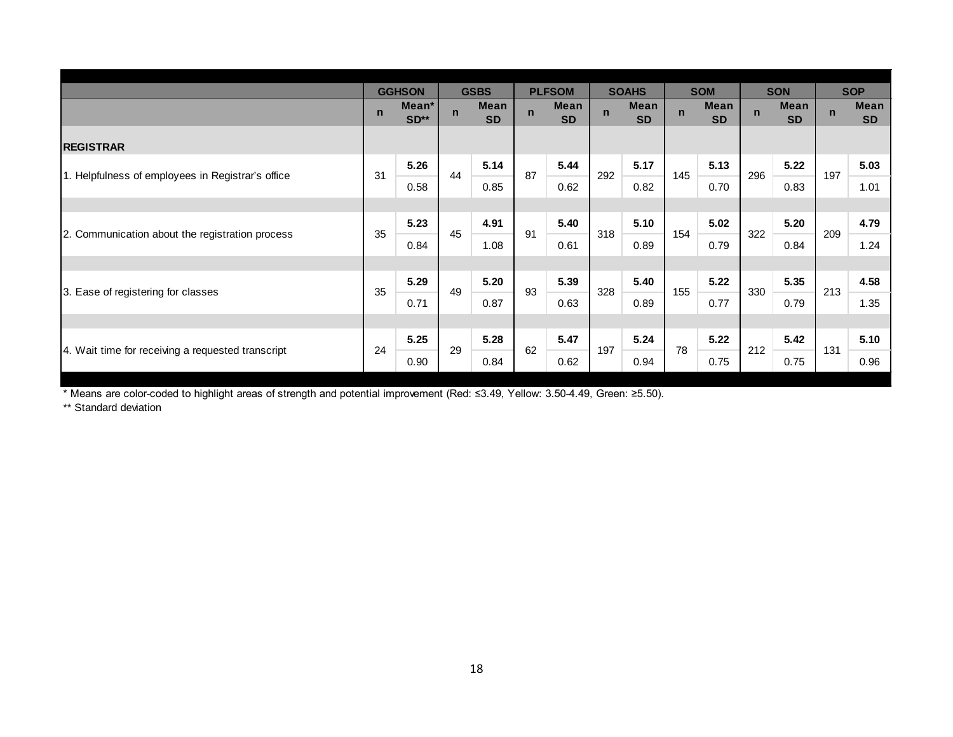|                                                   |             | <b>GGHSON</b>   |             | <b>GSBS</b>       |              | <b>PLFSOM</b>     |             | <b>SOAHS</b>             |              | <b>SOM</b>        |              | <b>SON</b>        |             | <b>SOP</b>        |
|---------------------------------------------------|-------------|-----------------|-------------|-------------------|--------------|-------------------|-------------|--------------------------|--------------|-------------------|--------------|-------------------|-------------|-------------------|
|                                                   | $\mathbf n$ | Mean*<br>$SD**$ | $\mathbf n$ | Mean<br><b>SD</b> | $\mathsf{n}$ | Mean<br><b>SD</b> | $\mathbf n$ | <b>Mean</b><br><b>SD</b> | $\mathsf{n}$ | Mean<br><b>SD</b> | $\mathsf{n}$ | Mean<br><b>SD</b> | $\mathbf n$ | Mean<br><b>SD</b> |
| <b>REGISTRAR</b>                                  |             |                 |             |                   |              |                   |             |                          |              |                   |              |                   |             |                   |
|                                                   | 31          | 5.26            | 44          | 5.14              | 87           | 5.44              | 292         | 5.17                     | 145          | 5.13              | 296          | 5.22              | 197         | 5.03              |
| 1. Helpfulness of employees in Registrar's office |             | 0.58            |             | 0.85              |              | 0.62              |             | 0.82                     |              | 0.70              |              | 0.83              |             | 1.01              |
|                                                   |             |                 |             |                   |              |                   |             |                          |              |                   |              |                   |             |                   |
|                                                   | 35          | 5.23            | 45          | 4.91              | 91           | 5.40              | 318         | 5.10                     | 154          | 5.02              | 322          | 5.20              | 209         | 4.79              |
| 2. Communication about the registration process   |             | 0.84            |             | 1.08              |              | 0.61              |             | 0.89                     |              | 0.79              |              | 0.84              |             | 1.24              |
|                                                   |             |                 |             |                   |              |                   |             |                          |              |                   |              |                   |             |                   |
|                                                   | 35          | 5.29            | 49          | 5.20              | 93           | 5.39              | 328         | 5.40                     | 155          | 5.22              | 330          | 5.35              | 213         | 4.58              |
| 3. Ease of registering for classes                |             | 0.71            |             | 0.87              |              | 0.63              |             | 0.89                     |              | 0.77              |              | 0.79              |             | 1.35              |
|                                                   |             |                 |             |                   |              |                   |             |                          |              |                   |              |                   |             |                   |
|                                                   | 24          | 5.25            | 29          | 5.28              | 62           | 5.47              | 197         | 5.24                     | 78           | 5.22              | 212          | 5.42              | 131         | 5.10              |
| 4. Wait time for receiving a requested transcript |             | 0.90            |             | 0.84              |              | 0.62              |             | 0.94                     |              | 0.75              |              | 0.75              |             | 0.96              |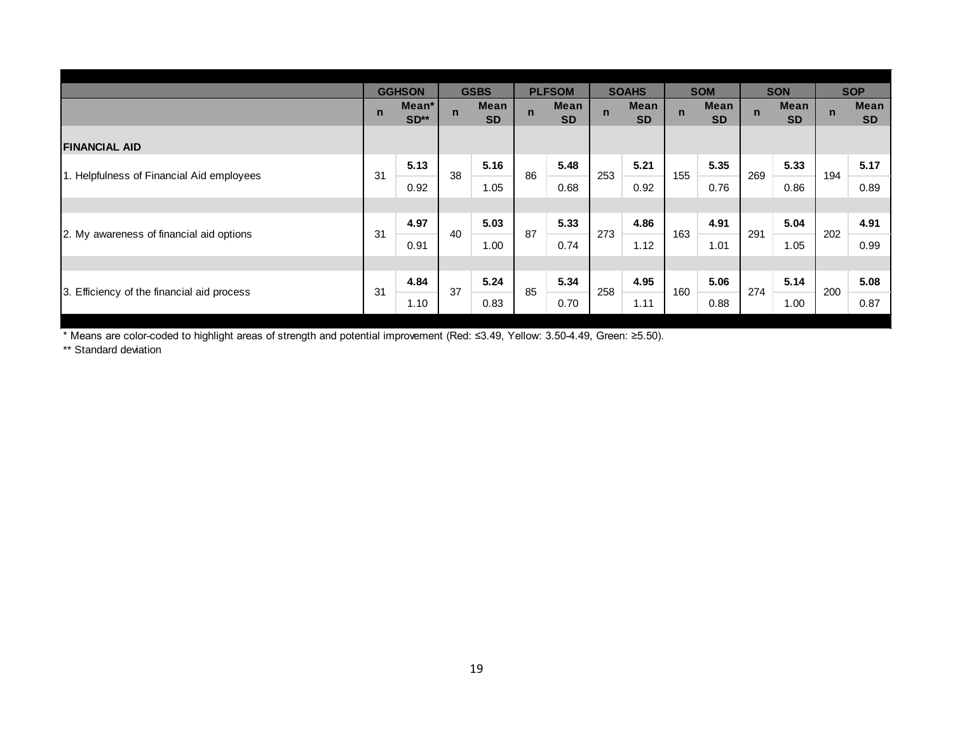|                                            |             | <b>GGHSON</b>   |             | <b>GSBS</b>              |             | <b>PLFSOM</b>     |             | <b>SOAHS</b>             |             | <b>SOM</b>        |             | <b>SON</b>        |             | <b>SOP</b>        |
|--------------------------------------------|-------------|-----------------|-------------|--------------------------|-------------|-------------------|-------------|--------------------------|-------------|-------------------|-------------|-------------------|-------------|-------------------|
|                                            | $\mathbf n$ | Mean*<br>$SD**$ | $\mathbf n$ | <b>Mean</b><br><b>SD</b> | $\mathbf n$ | Mean<br><b>SD</b> | $\mathbf n$ | <b>Mean</b><br><b>SD</b> | $\mathbf n$ | Mean<br><b>SD</b> | $\mathbf n$ | Mean<br><b>SD</b> | $\mathbf n$ | Mean<br><b>SD</b> |
| <b>FINANCIAL AID</b>                       |             |                 |             |                          |             |                   |             |                          |             |                   |             |                   |             |                   |
| 1. Helpfulness of Financial Aid employees  | 31          | 5.13            | 38          | 5.16                     | 86          | 5.48              | 253         | 5.21                     | 155         | 5.35              | 269         | 5.33              | 194         | 5.17              |
|                                            |             | 0.92            |             | 1.05                     |             | 0.68              |             | 0.92                     |             | 0.76              |             | 0.86              |             | 0.89              |
|                                            |             |                 |             |                          |             |                   |             |                          |             |                   |             |                   |             |                   |
|                                            |             | 4.97            | 40          | 5.03                     | 87          | 5.33              | 273         | 4.86                     | 163         | 4.91              | 291         | 5.04              | 202         | 4.91              |
| 2. My awareness of financial aid options   | 31          | 0.91            |             | 1.00                     |             | 0.74              |             | 1.12                     |             | 1.01              |             | 1.05              |             | 0.99              |
|                                            |             |                 |             |                          |             |                   |             |                          |             |                   |             |                   |             |                   |
|                                            |             | 4.84            | 37          | 5.24                     | 85          | 5.34              |             | 4.95                     |             | 5.06              | 274         | 5.14              | 200         | 5.08              |
| 3. Efficiency of the financial aid process | 31          | 1.10            |             | 0.83                     |             | 0.70              | 258         | 1.11                     | 160         | 0.88              |             | 1.00              |             | 0.87              |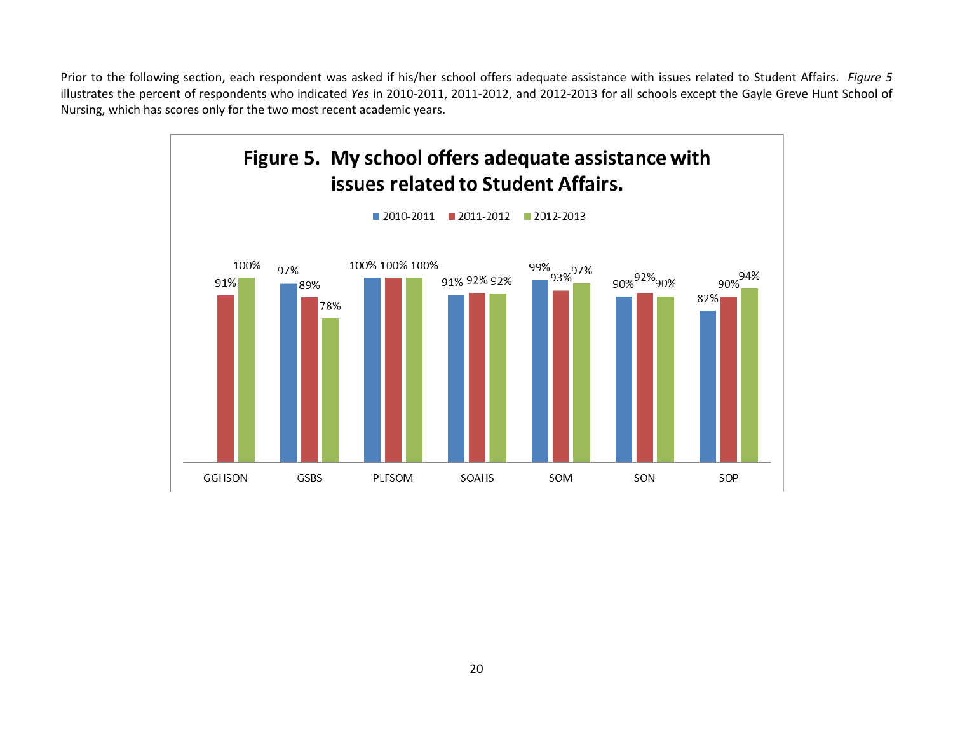Prior to the following section, each respondent was asked if his/her school offers adequate assistance with issues related to Student Affairs. *Figure 5* illustrates the percent of respondents who indicated *Yes* in 2010-2011, 2011-2012, and 2012-2013 for all schools except the Gayle Greve Hunt School of Nursing, which has scores only for the two most recent academic years.

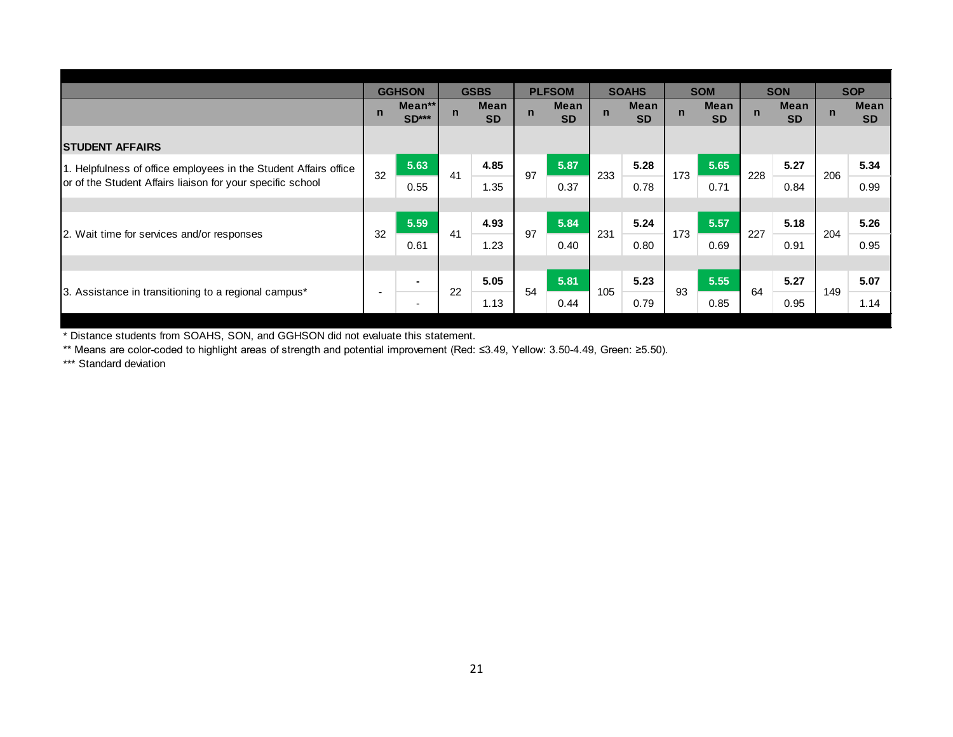|                                                                  |             | <b>GGHSON</b>     |              | <b>GSBS</b>       |             | <b>PLFSOM</b>     |             | <b>SOAHS</b>      |             | <b>SOM</b>        |              | <b>SON</b>               |             | <b>SOP</b>               |
|------------------------------------------------------------------|-------------|-------------------|--------------|-------------------|-------------|-------------------|-------------|-------------------|-------------|-------------------|--------------|--------------------------|-------------|--------------------------|
|                                                                  | $\mathbf n$ | Mean**<br>$SD***$ | $\mathsf{n}$ | Mean<br><b>SD</b> | $\mathbf n$ | Mean<br><b>SD</b> | $\mathbf n$ | Mean<br><b>SD</b> | $\mathbf n$ | Mean<br><b>SD</b> | $\mathsf{n}$ | <b>Mean</b><br><b>SD</b> | $\mathbf n$ | <b>Mean</b><br><b>SD</b> |
| <b>STUDENT AFFAIRS</b>                                           |             |                   |              |                   |             |                   |             |                   |             |                   |              |                          |             |                          |
| 1. Helpfulness of office employees in the Student Affairs office | 32          | 5.63              | 41           | 4.85              | 97          | 5.87              | 233         | 5.28              | 173         | 5.65              | 228          | 5.27                     | 206         | 5.34                     |
| or of the Student Affairs liaison for your specific school       |             | 0.55              |              | 1.35              |             | 0.37              |             | 0.78              |             | 0.71              |              | 0.84                     |             | 0.99                     |
|                                                                  |             |                   |              |                   |             |                   |             |                   |             |                   |              |                          |             |                          |
|                                                                  | 32          | 5.59              | 41           | 4.93              | 97          | 5.84              | 231         | 5.24              | 173         | 5.57              | 227          | 5.18                     | 204         | 5.26                     |
| 2. Wait time for services and/or responses                       |             | 0.61              |              | 1.23              |             | 0.40              |             | 0.80              |             | 0.69              |              | 0.91                     |             | 0.95                     |
|                                                                  |             |                   |              |                   |             |                   |             |                   |             |                   |              |                          |             |                          |
|                                                                  |             | $\blacksquare$    | 22           | 5.05              | 54          | 5.81              | 105         | 5.23              | 93          | 5.55              | 64           | 5.27                     | 149         | 5.07                     |
| 3. Assistance in transitioning to a regional campus*             |             | ٠                 |              | 1.13              |             | 0.44              |             | 0.79              |             | 0.85              |              | 0.95                     |             | 1.14                     |

\*\* Means are color-coded to highlight areas of strength and potential improvement (Red: ≤3.49, Yellow: 3.50-4.49, Green: ≥5.50).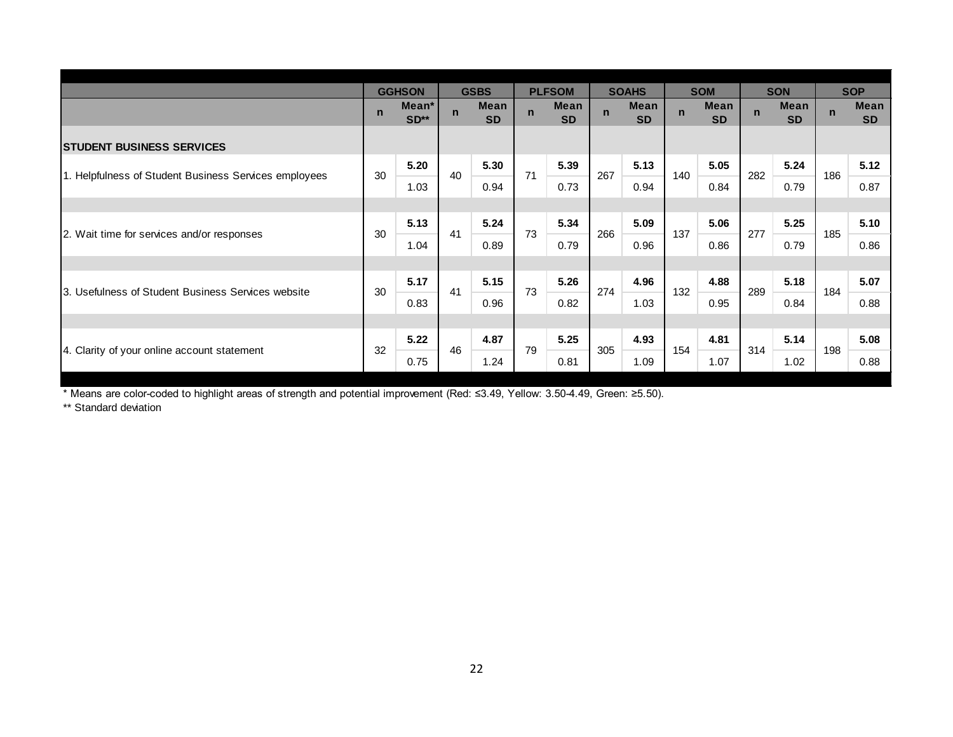|                                                       |             | <b>GGHSON</b>   |             | <b>GSBS</b>       |             | <b>PLFSOM</b>     |             | <b>SOAHS</b>             |              | <b>SOM</b>        |             | <b>SON</b>               |             | <b>SOP</b>        |
|-------------------------------------------------------|-------------|-----------------|-------------|-------------------|-------------|-------------------|-------------|--------------------------|--------------|-------------------|-------------|--------------------------|-------------|-------------------|
|                                                       | $\mathbf n$ | Mean*<br>$SD**$ | $\mathbf n$ | Mean<br><b>SD</b> | $\mathbf n$ | Mean<br><b>SD</b> | $\mathbf n$ | <b>Mean</b><br><b>SD</b> | $\mathsf{n}$ | Mean<br><b>SD</b> | $\mathbf n$ | <b>Mean</b><br><b>SD</b> | $\mathbf n$ | Mean<br><b>SD</b> |
| <b>STUDENT BUSINESS SERVICES</b>                      |             |                 |             |                   |             |                   |             |                          |              |                   |             |                          |             |                   |
|                                                       | 30          | 5.20            | 40          | 5.30              | 71          | 5.39              | 267         | 5.13                     | 140          | 5.05              | 282         | 5.24                     | 186         | 5.12              |
| 1. Helpfulness of Student Business Services employees |             | 1.03            |             | 0.94              |             | 0.73              |             | 0.94                     |              | 0.84              |             | 0.79                     |             | 0.87              |
|                                                       |             |                 |             |                   |             |                   |             |                          |              |                   |             |                          |             |                   |
| 2. Wait time for services and/or responses            | 30          | 5.13            | 41          | 5.24              | 73          | 5.34              | 266         | 5.09                     | 137          | 5.06              | 277         | 5.25                     | 185         | 5.10              |
|                                                       |             | 1.04            |             | 0.89              |             | 0.79              |             | 0.96                     |              | 0.86              |             | 0.79                     |             | 0.86              |
|                                                       |             |                 |             |                   |             |                   |             |                          |              |                   |             |                          |             |                   |
| 3. Usefulness of Student Business Services website    | 30          | 5.17            | 41          | 5.15              | 73          | 5.26              | 274         | 4.96                     | 132          | 4.88              | 289         | 5.18                     | 184         | 5.07              |
|                                                       |             | 0.83            |             | 0.96              |             | 0.82              |             | 1.03                     |              | 0.95              |             | 0.84                     |             | 0.88              |
|                                                       |             |                 |             |                   |             |                   |             |                          |              |                   |             |                          |             |                   |
|                                                       | 32          | 5.22            |             | 4.87              | 79          | 5.25              |             | 4.93                     |              | 4.81              |             | 5.14                     |             | 5.08              |
| 4. Clarity of your online account statement           |             | 0.75            | 46          | 1.24              |             | 0.81              | 305         | 1.09                     | 154          | 1.07              | 314         | 1.02                     | 198         | 0.88              |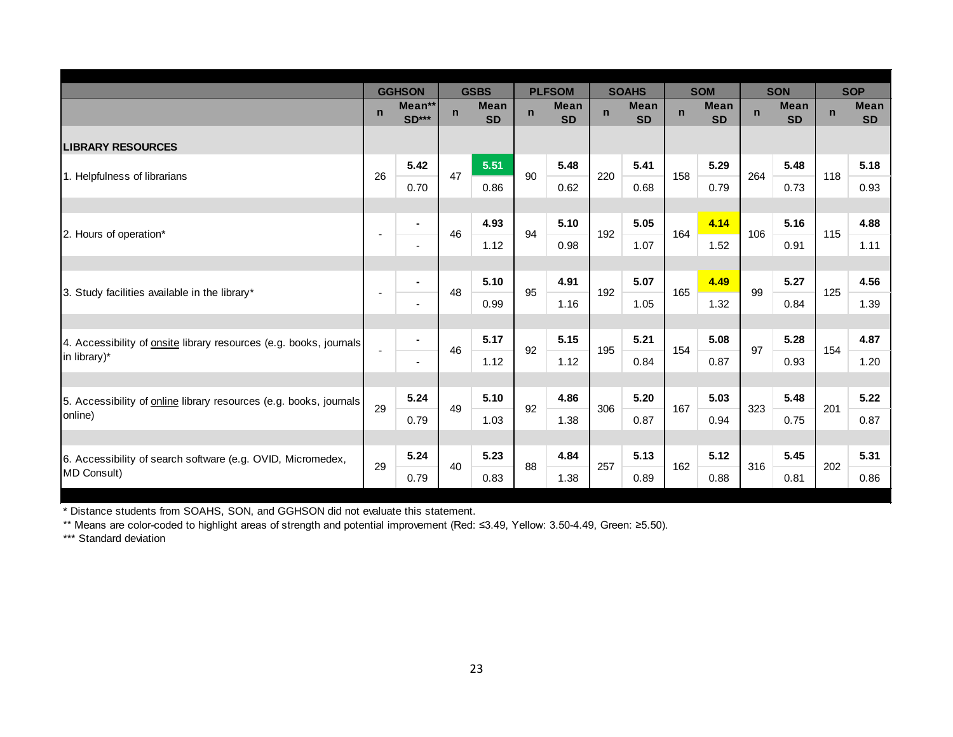|                                                                           |             | <b>GGHSON</b>     |             | <b>GSBS</b>              |             | <b>PLFSOM</b>            |             | <b>SOAHS</b>             |             | <b>SOM</b>               |             | <b>SON</b>               |             | <b>SOP</b>               |
|---------------------------------------------------------------------------|-------------|-------------------|-------------|--------------------------|-------------|--------------------------|-------------|--------------------------|-------------|--------------------------|-------------|--------------------------|-------------|--------------------------|
|                                                                           | $\mathbf n$ | Mean**<br>$SD***$ | $\mathbf n$ | <b>Mean</b><br><b>SD</b> | $\mathbf n$ | <b>Mean</b><br><b>SD</b> | $\mathbf n$ | <b>Mean</b><br><b>SD</b> | $\mathbf n$ | <b>Mean</b><br><b>SD</b> | $\mathbf n$ | <b>Mean</b><br><b>SD</b> | $\mathbf n$ | <b>Mean</b><br><b>SD</b> |
| <b>LIBRARY RESOURCES</b>                                                  |             |                   |             |                          |             |                          |             |                          |             |                          |             |                          |             |                          |
|                                                                           | 26          | 5.42              | 47          | 5.51                     | 90          | 5.48                     | 220         | 5.41                     | 158         | 5.29                     | 264         | 5.48                     | 118         | 5.18                     |
| 1. Helpfulness of librarians                                              |             | 0.70              |             | 0.86                     |             | 0.62                     |             | 0.68                     |             | 0.79                     |             | 0.73                     |             | 0.93                     |
|                                                                           |             |                   |             |                          |             |                          |             |                          |             |                          |             |                          |             |                          |
| 2. Hours of operation*                                                    |             | $\blacksquare$    | 46          | 4.93                     | 94          | 5.10                     | 192         | 5.05                     | 164         | 4.14                     | 106         | 5.16                     | 115         | 4.88                     |
|                                                                           |             | $\blacksquare$    |             | 1.12                     |             | 0.98                     |             | 1.07                     |             | 1.52                     |             | 0.91                     |             | 1.11                     |
|                                                                           |             |                   |             |                          |             |                          |             |                          |             |                          |             |                          |             |                          |
| 3. Study facilities available in the library*                             |             | $\blacksquare$    | 48          | 5.10                     | 95          | 4.91                     | 192         | 5.07                     | 165         | 4.49                     | 99          | 5.27                     | 125         | 4.56                     |
|                                                                           |             | $\blacksquare$    |             | 0.99                     |             | 1.16                     |             | 1.05                     |             | 1.32                     |             | 0.84                     |             | 1.39                     |
|                                                                           |             |                   |             |                          |             |                          |             |                          |             |                          |             |                          |             |                          |
| 4. Accessibility of onsite library resources (e.g. books, journals        |             | $\blacksquare$    | 46          | 5.17                     | 92          | 5.15                     | 195         | 5.21                     | 154         | 5.08                     | 97          | 5.28                     | 154         | 4.87                     |
| in library)*                                                              |             | $\blacksquare$    |             | 1.12                     |             | 1.12                     |             | 0.84                     |             | 0.87                     |             | 0.93                     |             | 1.20                     |
|                                                                           |             |                   |             |                          |             |                          |             |                          |             |                          |             |                          |             |                          |
| 5. Accessibility of <b>online</b> library resources (e.g. books, journals | 29          | 5.24              | 49          | 5.10                     | 92          | 4.86                     | 306         | 5.20                     | 167         | 5.03                     | 323         | 5.48                     | 201         | 5.22                     |
| online)                                                                   |             | 0.79              |             | 1.03                     |             | 1.38                     |             | 0.87                     |             | 0.94                     |             | 0.75                     |             | 0.87                     |
|                                                                           |             |                   |             |                          |             |                          |             |                          |             |                          |             |                          |             |                          |
| 6. Accessibility of search software (e.g. OVID, Micromedex,               | 29          | 5.24              | 40          | 5.23                     | 88          | 4.84                     | 257         | 5.13                     | 162         | 5.12                     | 316         | 5.45                     | 202         | 5.31                     |
| MD Consult)                                                               |             | 0.79              |             | 0.83                     |             | 1.38                     |             | 0.89                     |             | 0.88                     |             | 0.81                     |             | 0.86                     |

\*\* Means are color-coded to highlight areas of strength and potential improvement (Red: ≤3.49, Yellow: 3.50-4.49, Green: ≥5.50).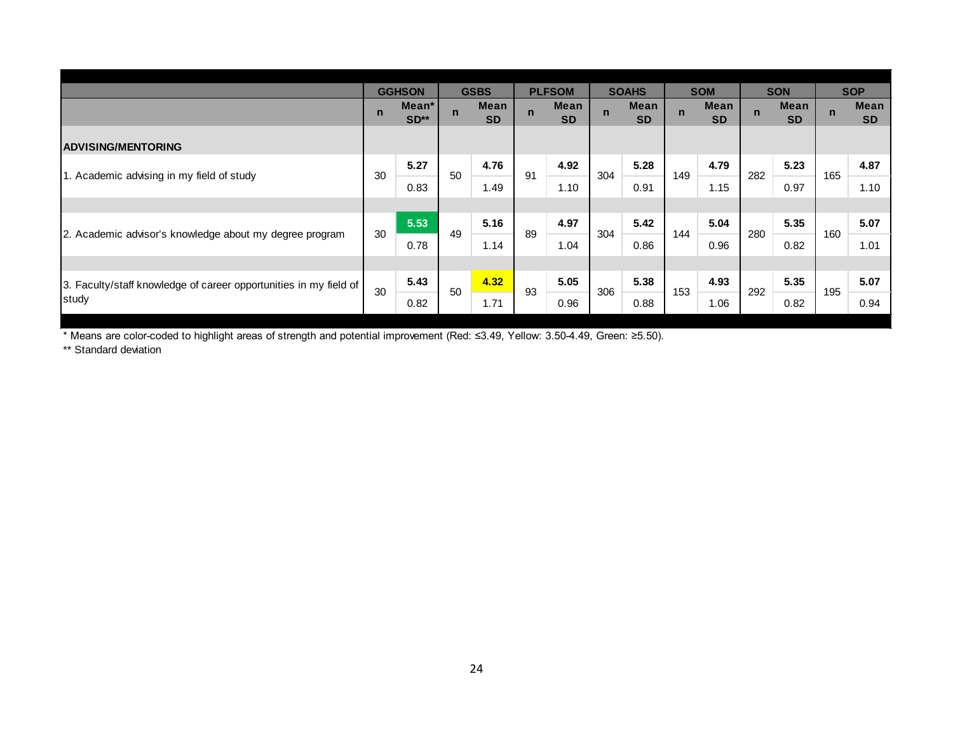|                                                                   |              | <b>GGHSON</b>             |              | <b>GSBS</b>       |             | <b>PLFSOM</b>     |             | <b>SOAHS</b>      |             | <b>SOM</b>               |             | <b>SON</b>        |             | <b>SOP</b>        |
|-------------------------------------------------------------------|--------------|---------------------------|--------------|-------------------|-------------|-------------------|-------------|-------------------|-------------|--------------------------|-------------|-------------------|-------------|-------------------|
|                                                                   | $\mathsf{n}$ | Mean <sup>*</sup><br>SD** | $\mathsf{n}$ | Mean<br><b>SD</b> | $\mathbf n$ | Mean<br><b>SD</b> | $\mathbf n$ | Mean<br><b>SD</b> | $\mathbf n$ | <b>Mean</b><br><b>SD</b> | $\mathbf n$ | Mean<br><b>SD</b> | $\mathbf n$ | Mean<br><b>SD</b> |
| <b>ADVISING/MENTORING</b>                                         |              |                           |              |                   |             |                   |             |                   |             |                          |             |                   |             |                   |
|                                                                   | 30           | 5.27                      | 50           | 4.76              | 91          | 4.92              | 304         | 5.28              | 149         | 4.79                     | 282         | 5.23              | 165         | 4.87              |
| 1. Academic advising in my field of study                         |              | 0.83                      |              | 1.49              |             | 1.10              |             | 0.91              |             | 1.15                     |             | 0.97              |             | 1.10              |
|                                                                   |              |                           |              |                   |             |                   |             |                   |             |                          |             |                   |             |                   |
|                                                                   | 30           | 5.53                      | 49           | 5.16              | 89          | 4.97              | 304         | 5.42              |             | 5.04                     | 280         | 5.35              | 160         | 5.07              |
| 2. Academic advisor's knowledge about my degree program           |              | 0.78                      |              | 1.14              |             | 1.04              |             | 0.86              | 144         | 0.96                     |             | 0.82              |             | 1.01              |
|                                                                   |              |                           |              |                   |             |                   |             |                   |             |                          |             |                   |             |                   |
| 3. Faculty/staff knowledge of career opportunities in my field of | 30           | 5.43                      | 50           | 4.32              | 93          | 5.05              | 306         | 5.38              | 153         | 4.93                     | 292         | 5.35              | 195         | 5.07              |
| study                                                             |              | 0.82                      |              | 1.71              |             | 0.96              |             | 0.88              |             | 1.06                     |             | 0.82              |             | 0.94              |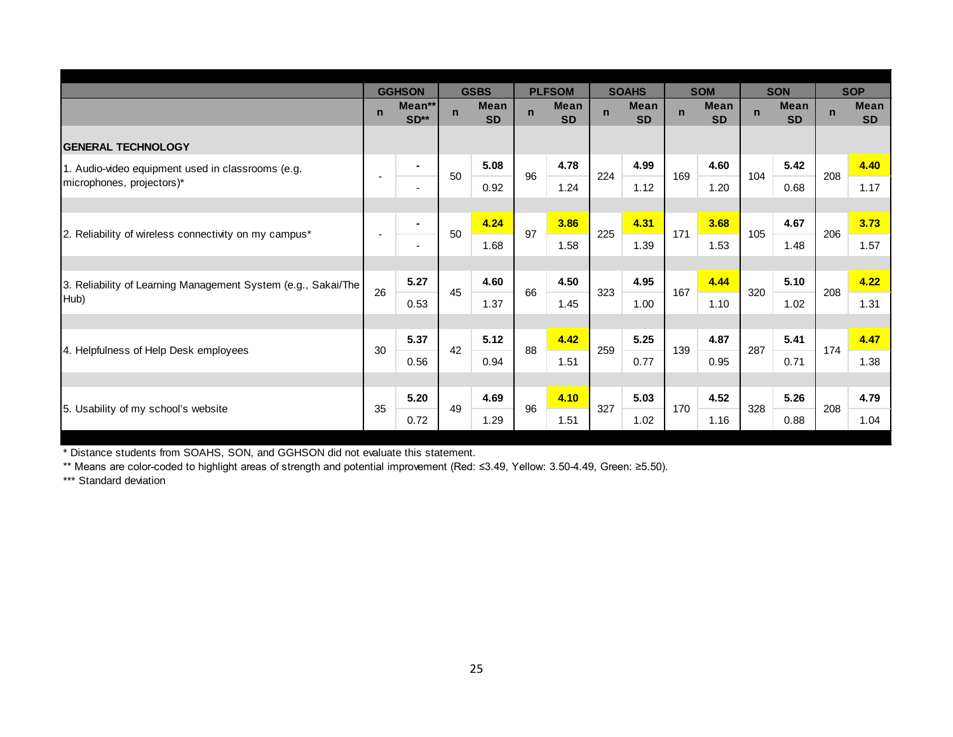|                                                               |             | <b>GGHSON</b>            |             | <b>GSBS</b>              |             | <b>PLFSOM</b>            |             | <b>SOAHS</b>             |              | <b>SOM</b>               |             | <b>SON</b>               |             | <b>SOP</b>               |
|---------------------------------------------------------------|-------------|--------------------------|-------------|--------------------------|-------------|--------------------------|-------------|--------------------------|--------------|--------------------------|-------------|--------------------------|-------------|--------------------------|
|                                                               | $\mathbf n$ | Mean**<br>SD**           | $\mathbf n$ | <b>Mean</b><br><b>SD</b> | $\mathbf n$ | <b>Mean</b><br><b>SD</b> | $\mathbf n$ | <b>Mean</b><br><b>SD</b> | $\mathsf{n}$ | <b>Mean</b><br><b>SD</b> | $\mathbf n$ | <b>Mean</b><br><b>SD</b> | $\mathbf n$ | <b>Mean</b><br><b>SD</b> |
| <b>GENERAL TECHNOLOGY</b>                                     |             |                          |             |                          |             |                          |             |                          |              |                          |             |                          |             |                          |
| 1. Audio-video equipment used in classrooms (e.g.             |             | $\sim$                   |             | 5.08                     | 96          | 4.78                     |             | 4.99                     |              | 4.60                     |             | 5.42                     |             | 4.40                     |
| microphones, projectors)*                                     |             | ٠                        | 50          | 0.92                     |             | 1.24                     | 224         | 1.12                     | 169          | 1.20                     | 104         | 0.68                     | 208         | 1.17                     |
|                                                               |             |                          |             |                          |             |                          |             |                          |              |                          |             |                          |             |                          |
|                                                               |             | $\blacksquare$           | 50          | 4.24                     | 97          | 3.86                     | 225         | 4.31                     | 171          | 3.68                     | 105         | 4.67                     | 206         | 3.73                     |
| 2. Reliability of wireless connectivity on my campus*         |             | $\overline{\phantom{a}}$ |             | 1.68                     |             | 1.58                     |             | 1.39                     |              | 1.53                     |             | 1.48                     |             | 1.57                     |
|                                                               |             |                          |             |                          |             |                          |             |                          |              |                          |             |                          |             |                          |
| 3. Reliability of Learning Management System (e.g., Sakai/The | 26          | 5.27                     | 45          | 4.60                     | 66          | 4.50                     | 323         | 4.95                     | 167          | 4.44                     | 320         | 5.10                     | 208         | 4.22                     |
| Hub)                                                          |             | 0.53                     |             | 1.37                     |             | 1.45                     |             | 1.00                     |              | 1.10                     |             | 1.02                     |             | 1.31                     |
|                                                               |             |                          |             |                          |             |                          |             |                          |              |                          |             |                          |             |                          |
| 4. Helpfulness of Help Desk employees                         | 30          | 5.37                     | 42          | 5.12                     | 88          | 4.42                     | 259         | 5.25                     | 139          | 4.87                     | 287         | 5.41                     | 174         | 4.47                     |
|                                                               |             | 0.56                     |             | 0.94                     |             | 1.51                     |             | 0.77                     |              | 0.95                     |             | 0.71                     |             | 1.38                     |
|                                                               |             |                          |             |                          |             |                          |             |                          |              |                          |             |                          |             |                          |
| 5. Usability of my school's website                           | 35          | 5.20                     | 49          | 4.69                     | 96          | 4.10                     | 327         | 5.03                     | 170          | 4.52                     | 328         | 5.26                     | 208         | 4.79                     |
|                                                               |             | 0.72                     |             | 1.29                     |             | 1.51                     |             | 1.02                     |              | 1.16                     |             | 0.88                     |             | 1.04                     |

\*\* Means are color-coded to highlight areas of strength and potential improvement (Red: ≤3.49, Yellow: 3.50-4.49, Green: ≥5.50).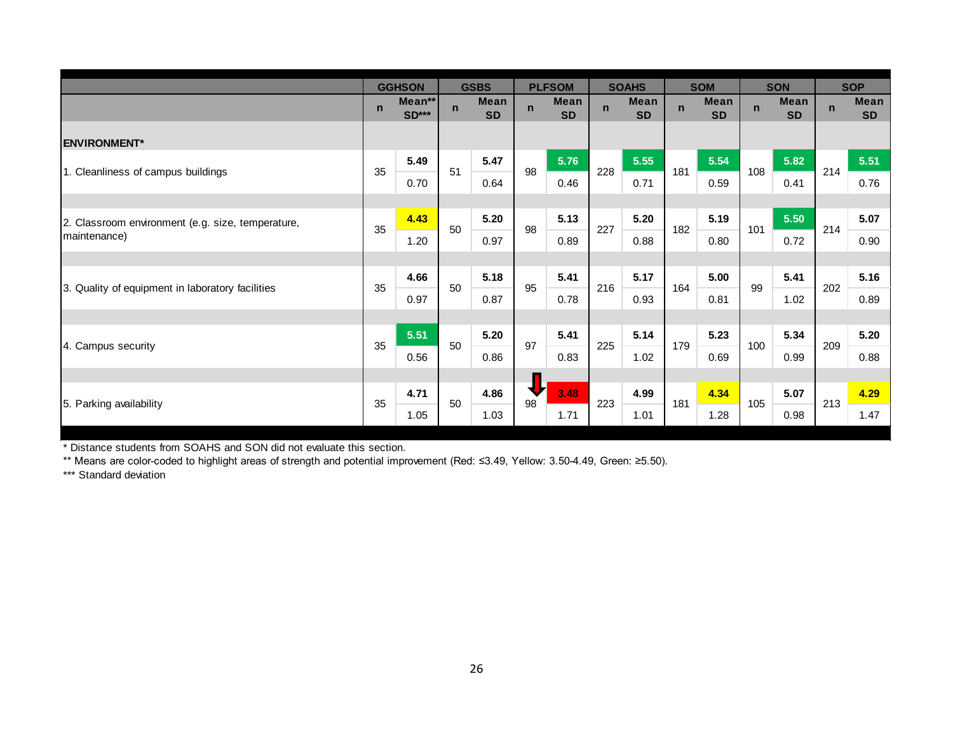|                                                   |              | <b>GGHSON</b>     |              | <b>GSBS</b>              |             | <b>PLFSOM</b>            |              | <b>SOAHS</b>             |              | <b>SOM</b>               |              | <b>SON</b>               |             | <b>SOP</b>               |
|---------------------------------------------------|--------------|-------------------|--------------|--------------------------|-------------|--------------------------|--------------|--------------------------|--------------|--------------------------|--------------|--------------------------|-------------|--------------------------|
|                                                   | $\mathsf{n}$ | Mean**<br>$SD***$ | $\mathsf{n}$ | <b>Mean</b><br><b>SD</b> | $\mathbf n$ | <b>Mean</b><br><b>SD</b> | $\mathsf{n}$ | <b>Mean</b><br><b>SD</b> | $\mathsf{n}$ | <b>Mean</b><br><b>SD</b> | $\mathsf{n}$ | <b>Mean</b><br><b>SD</b> | $\mathbf n$ | <b>Mean</b><br><b>SD</b> |
| <b>ENVIRONMENT*</b>                               |              |                   |              |                          |             |                          |              |                          |              |                          |              |                          |             |                          |
|                                                   | 35           | 5.49              | 51           | 5.47                     | 98          | 5.76                     | 228          | 5.55                     | 181          | 5.54                     | 108          | 5.82                     | 214         | 5.51                     |
| 1. Cleanliness of campus buildings                |              | 0.70              |              | 0.64                     |             | 0.46                     |              | 0.71                     |              | 0.59                     |              | 0.41                     |             | 0.76                     |
|                                                   |              |                   |              |                          |             |                          |              |                          |              |                          |              |                          |             |                          |
| 2. Classroom environment (e.g. size, temperature, | 35           | 4.43              | 50           | 5.20                     | 98          | 5.13                     | 227          | 5.20                     | 182          | 5.19                     | 101          | 5.50                     | 214         | 5.07                     |
| maintenance)                                      |              | 1.20              |              | 0.97                     |             | 0.89                     |              | 0.88                     |              | 0.80                     |              | 0.72                     |             | 0.90                     |
|                                                   |              |                   |              |                          |             |                          |              |                          |              |                          |              |                          |             |                          |
|                                                   | 35           | 4.66              | 50           | 5.18                     | 95          | 5.41                     | 216          | 5.17                     | 164          | 5.00                     | 99           | 5.41                     | 202         | 5.16                     |
| 3. Quality of equipment in laboratory facilities  |              | 0.97              |              | 0.87                     |             | 0.78                     |              | 0.93                     |              | 0.81                     |              | 1.02                     |             | 0.89                     |
|                                                   |              |                   |              |                          |             |                          |              |                          |              |                          |              |                          |             |                          |
|                                                   | 35           | 5.51              | 50           | 5.20                     | 97          | 5.41                     | 225          | 5.14                     | 179          | 5.23                     | 100          | 5.34                     | 209         | 5.20                     |
| 4. Campus security                                |              | 0.56              |              | 0.86                     |             | 0.83                     |              | 1.02                     |              | 0.69                     |              | 0.99                     |             | 0.88                     |
|                                                   |              |                   |              |                          |             |                          |              |                          |              |                          |              |                          |             |                          |
| 5. Parking availability                           | 35           | 4.71              | 50           | 4.86                     | ₩<br>98     | 3.48                     | 223          | 4.99                     | 181          | 4.34                     | 105          | 5.07                     | 213         | 4.29                     |
|                                                   |              | 1.05              |              | 1.03                     |             | 1.71                     |              | 1.01                     |              | 1.28                     |              | 0.98                     |             | 1.47                     |

\* Distance students from SOAHS and SON did not evaluate this section.

\*\* Means are color-coded to highlight areas of strength and potential improvement (Red: ≤3.49, Yellow: 3.50-4.49, Green: ≥5.50).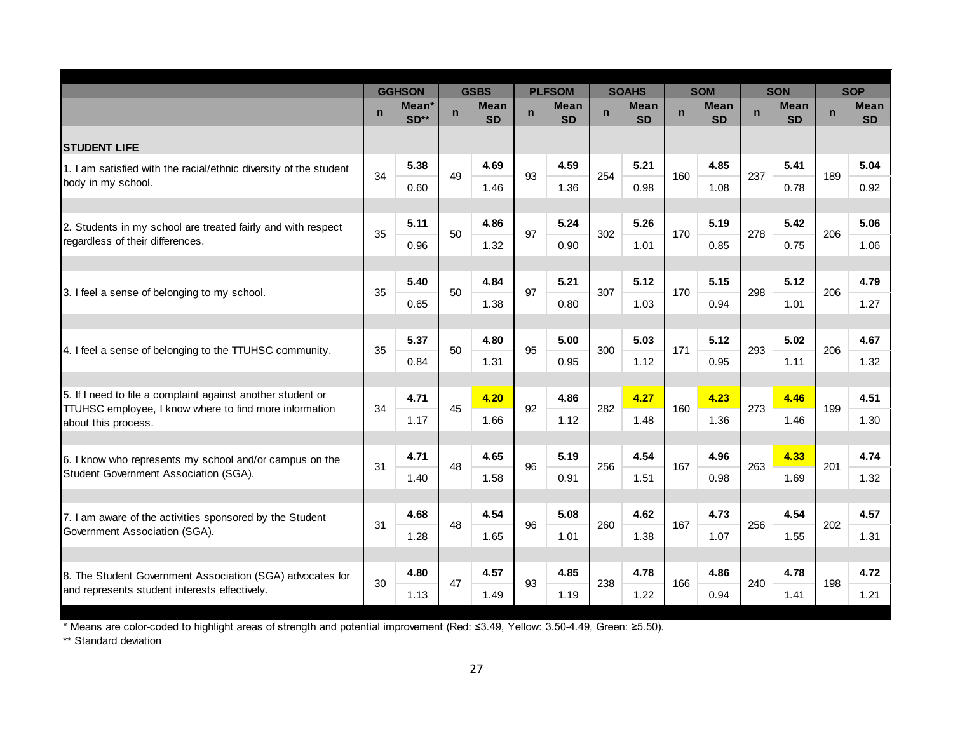|                                                                                                                              |              | <b>GGHSON</b>               |             | <b>GSBS</b>              |             | <b>PLFSOM</b>            |             | <b>SOAHS</b>             |             | <b>SOM</b>               |             | <b>SON</b>               |             | <b>SOP</b>               |
|------------------------------------------------------------------------------------------------------------------------------|--------------|-----------------------------|-------------|--------------------------|-------------|--------------------------|-------------|--------------------------|-------------|--------------------------|-------------|--------------------------|-------------|--------------------------|
|                                                                                                                              | $\mathsf{n}$ | Mean <sup>*</sup><br>$SD**$ | $\mathbf n$ | <b>Mean</b><br><b>SD</b> | $\mathbf n$ | <b>Mean</b><br><b>SD</b> | $\mathbf n$ | <b>Mean</b><br><b>SD</b> | $\mathbf n$ | <b>Mean</b><br><b>SD</b> | $\mathbf n$ | <b>Mean</b><br><b>SD</b> | $\mathbf n$ | <b>Mean</b><br><b>SD</b> |
| <b>STUDENT LIFE</b>                                                                                                          |              |                             |             |                          |             |                          |             |                          |             |                          |             |                          |             |                          |
| 1. I am satisfied with the racial/ethnic diversity of the student                                                            |              | 5.38                        |             | 4.69                     |             | 4.59                     |             | 5.21                     |             | 4.85                     |             | 5.41                     |             | 5.04                     |
| body in my school.                                                                                                           | 34           | 0.60                        | 49          | 1.46                     | 93          | 1.36                     | 254         | 0.98                     | 160         | 1.08                     | 237         | 0.78                     | 189         | 0.92                     |
|                                                                                                                              |              |                             |             |                          |             |                          |             |                          |             |                          |             |                          |             |                          |
| 2. Students in my school are treated fairly and with respect                                                                 | 35           | 5.11                        | 50          | 4.86                     | 97          | 5.24                     | 302         | 5.26                     | 170         | 5.19                     | 278         | 5.42                     | 206         | 5.06                     |
| regardless of their differences.                                                                                             |              | 0.96                        |             | 1.32                     |             | 0.90                     |             | 1.01                     |             | 0.85                     |             | 0.75                     |             | 1.06                     |
|                                                                                                                              |              |                             |             |                          |             |                          |             |                          |             |                          |             |                          |             |                          |
| 3. I feel a sense of belonging to my school.                                                                                 | 35           | 5.40                        | 50          | 4.84                     | 97          | 5.21                     | 307         | 5.12                     | 170         | 5.15                     | 298         | 5.12                     | 206         | 4.79                     |
|                                                                                                                              |              | 0.65                        |             | 1.38                     |             | 0.80                     |             | 1.03                     |             | 0.94                     |             | 1.01                     |             | 1.27                     |
|                                                                                                                              |              |                             |             |                          |             |                          |             |                          |             |                          |             |                          |             |                          |
| 4. I feel a sense of belonging to the TTUHSC community.                                                                      | 35           | 5.37                        | 50          | 4.80                     | 95          | 5.00                     | 300         | 5.03                     | 171         | 5.12                     | 293         | 5.02                     | 206         | 4.67                     |
|                                                                                                                              |              | 0.84                        |             | 1.31                     |             | 0.95                     |             | 1.12                     |             | 0.95                     |             | 1.11                     |             | 1.32                     |
|                                                                                                                              |              |                             |             |                          |             |                          |             |                          |             |                          |             |                          |             |                          |
| 5. If I need to file a complaint against another student or<br><b>TTUHSC</b> employee, I know where to find more information | 34           | 4.71                        | 45          | 4.20                     | 92          | 4.86                     | 282         | 4.27                     | 160         | 4.23                     | 273         | 4.46                     | 199         | 4.51                     |
| about this process.                                                                                                          |              | 1.17                        |             | 1.66                     |             | 1.12                     |             | 1.48                     |             | 1.36                     |             | 1.46                     |             | 1.30                     |
|                                                                                                                              |              |                             |             |                          |             |                          |             |                          |             |                          |             |                          |             |                          |
| 6. I know who represents my school and/or campus on the                                                                      | 31           | 4.71                        | 48          | 4.65                     | 96          | 5.19                     | 256         | 4.54                     | 167         | 4.96                     | 263         | 4.33                     | 201         | 4.74                     |
| Student Government Association (SGA).                                                                                        |              | 1.40                        |             | 1.58                     |             | 0.91                     |             | 1.51                     |             | 0.98                     |             | 1.69                     |             | 1.32                     |
|                                                                                                                              |              |                             |             |                          |             |                          |             |                          |             |                          |             |                          |             |                          |
| 7. I am aware of the activities sponsored by the Student                                                                     | 31           | 4.68                        | 48          | 4.54                     | 96          | 5.08                     | 260         | 4.62                     | 167         | 4.73                     | 256         | 4.54                     | 202         | 4.57                     |
| Government Association (SGA).                                                                                                |              | 1.28                        |             | 1.65                     |             | 1.01                     |             | 1.38                     |             | 1.07                     |             | 1.55                     |             | 1.31                     |
|                                                                                                                              |              |                             |             |                          |             |                          |             |                          |             |                          |             |                          |             |                          |
| 8. The Student Government Association (SGA) advocates for                                                                    | 30           | 4.80                        | 47          | 4.57                     | 93          | 4.85                     | 238         | 4.78                     | 166         | 4.86                     | 240         | 4.78                     | 198         | 4.72                     |
| and represents student interests effectively.                                                                                |              | 1.13                        |             | 1.49                     |             | 1.19                     |             | 1.22                     |             | 0.94                     |             | 1.41                     |             | 1.21                     |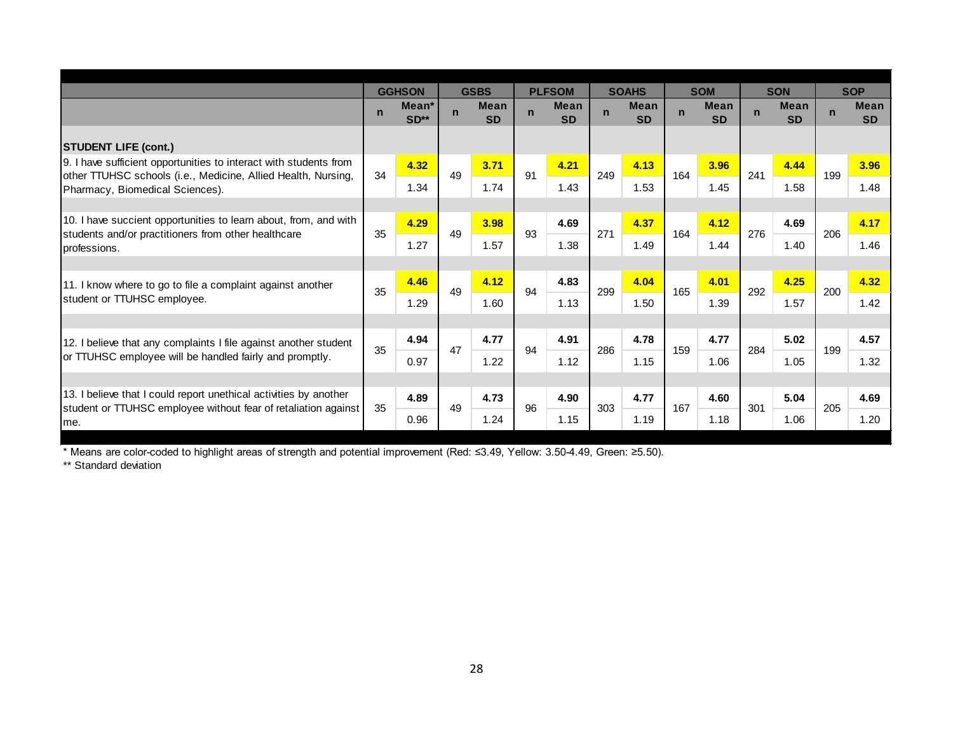|                                                                                                                                     |             | <b>GGHSON</b>   |              | <b>GSBS</b>              |              | <b>PLFSOM</b>            |             | <b>SOAHS</b>             |              | <b>SOM</b>               |             | <b>SON</b>               |             | <b>SOP</b>               |
|-------------------------------------------------------------------------------------------------------------------------------------|-------------|-----------------|--------------|--------------------------|--------------|--------------------------|-------------|--------------------------|--------------|--------------------------|-------------|--------------------------|-------------|--------------------------|
|                                                                                                                                     | $\mathbf n$ | Mean*<br>$SD**$ | $\mathsf{n}$ | <b>Mean</b><br><b>SD</b> | $\mathsf{n}$ | <b>Mean</b><br><b>SD</b> | $\mathbf n$ | <b>Mean</b><br><b>SD</b> | $\mathsf{n}$ | <b>Mean</b><br><b>SD</b> | $\mathbf n$ | <b>Mean</b><br><b>SD</b> | $\mathbf n$ | <b>Mean</b><br><b>SD</b> |
| <b>STUDENT LIFE (cont.)</b>                                                                                                         |             |                 |              |                          |              |                          |             |                          |              |                          |             |                          |             |                          |
| 9. I have sufficient opportunities to interact with students from                                                                   |             | 4.32            |              | 3.71                     |              | 4.21                     |             | 4.13                     |              | 3.96                     |             | 4.44                     |             | 3.96                     |
| other TTUHSC schools (i.e., Medicine, Allied Health, Nursing,<br>Pharmacy, Biomedical Sciences).                                    | 34          | 1.34            | 49           | 1.74                     | 91           | 1.43                     | 249         | 1.53                     | 164          | 1.45                     | 241         | 1.58                     | 199         | 1.48                     |
|                                                                                                                                     |             |                 |              |                          |              |                          |             |                          |              |                          |             |                          |             |                          |
| 10. I have succient opportunities to learn about, from, and with<br>students and/or practitioners from other healthcare             | 35          | 4.29            | 49           | 3.98                     | 93           | 4.69                     | 271         | 4.37                     | 164          | 4.12                     | 276         | 4.69                     | 206         | 4.17                     |
| professions.                                                                                                                        |             | 1.27            |              | 1.57                     |              | 1.38                     |             | 1.49                     |              | 1.44                     |             | 1.40                     |             | 1.46                     |
|                                                                                                                                     |             |                 |              |                          |              |                          |             |                          |              |                          |             |                          |             |                          |
| 11. I know where to go to file a complaint against another                                                                          | 35          | 4.46            | 49           | 4.12                     | 94           | 4.83                     | 299         | 4.04                     | 165          | 4.01                     | 292         | 4.25                     | 200         | 4.32                     |
| student or TTUHSC employee.                                                                                                         |             | 1.29            |              | 1.60                     |              | 1.13                     |             | 1.50                     |              | 1.39                     |             | 1.57                     |             | 1.42                     |
|                                                                                                                                     |             |                 |              |                          |              |                          |             |                          |              |                          |             |                          |             |                          |
| 12. I believe that any complaints I file against another student                                                                    | 35          | 4.94            | 47           | 4.77                     | 94           | 4.91                     | 286         | 4.78                     | 159          | 4.77                     | 284         | 5.02                     | 199         | 4.57                     |
| or TTUHSC employee will be handled fairly and promptly.                                                                             |             | 0.97            |              | 1.22                     |              | 1.12                     |             | 1.15                     |              | 1.06                     |             | 1.05                     |             | 1.32                     |
|                                                                                                                                     |             |                 |              |                          |              |                          |             |                          |              |                          |             |                          |             |                          |
| 13. I believe that I could report unethical activities by another<br>student or TTUHSC employee without fear of retaliation against | 35          | 4.89            | 49           | 4.73                     | 96           | 4.90                     | 303         | 4.77                     | 167          | 4.60                     | 301         | 5.04                     | 205         | 4.69                     |
| Ime.                                                                                                                                |             | 0.96            |              | 1.24                     |              | 1.15                     |             | 1.19                     |              | 1.18                     |             | 1.06                     |             | 1.20                     |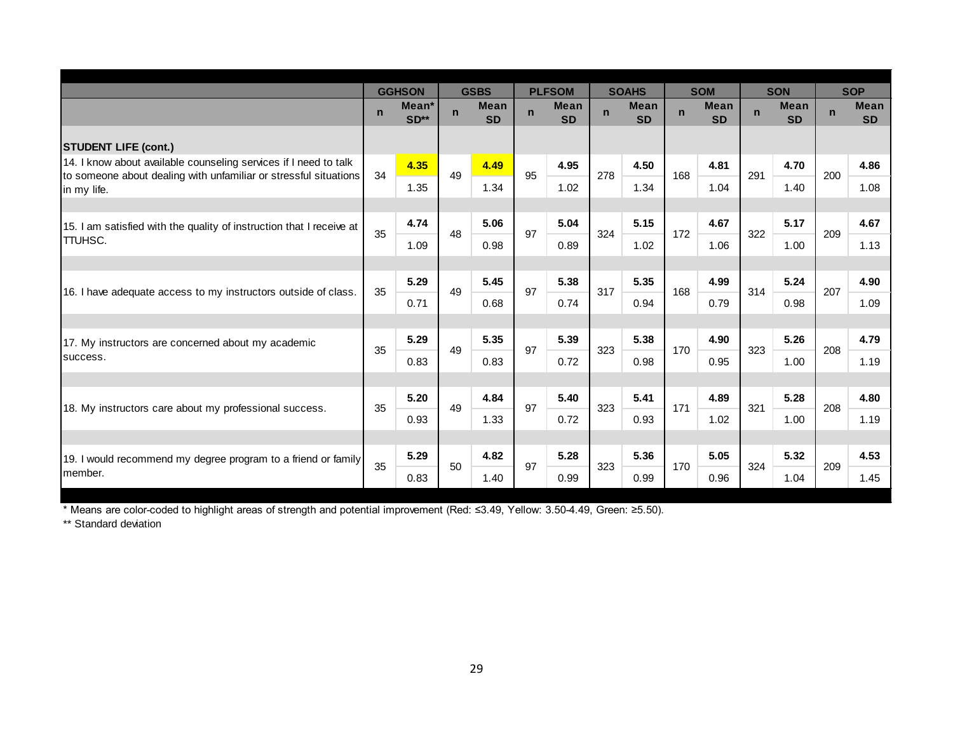|                                                                                 |             | <b>GGHSON</b>             |             | <b>GSBS</b>              |             | <b>PLFSOM</b>            |              | <b>SOAHS</b>             |             | <b>SOM</b>               |             | <b>SON</b>               |             | <b>SOP</b>               |
|---------------------------------------------------------------------------------|-------------|---------------------------|-------------|--------------------------|-------------|--------------------------|--------------|--------------------------|-------------|--------------------------|-------------|--------------------------|-------------|--------------------------|
|                                                                                 | $\mathbf n$ | Mean <sup>*</sup><br>SD** | $\mathbf n$ | <b>Mean</b><br><b>SD</b> | $\mathbf n$ | <b>Mean</b><br><b>SD</b> | $\mathsf{n}$ | <b>Mean</b><br><b>SD</b> | $\mathbf n$ | <b>Mean</b><br><b>SD</b> | $\mathbf n$ | <b>Mean</b><br><b>SD</b> | $\mathbf n$ | <b>Mean</b><br><b>SD</b> |
| <b>STUDENT LIFE (cont.)</b>                                                     |             |                           |             |                          |             |                          |              |                          |             |                          |             |                          |             |                          |
| 14. I know about available counseling services if I need to talk                |             | 4.35                      |             | 4.49                     |             | 4.95                     |              | 4.50                     |             | 4.81                     |             | 4.70                     |             | 4.86                     |
| to someone about dealing with unfamiliar or stressful situations<br>In my life. | 34          | 1.35                      | 49          | 1.34                     | 95          | 1.02                     | 278          | 1.34                     | 168         | 1.04                     | 291         | 1.40                     | 200         | 1.08                     |
|                                                                                 |             |                           |             |                          |             |                          |              |                          |             |                          |             |                          |             |                          |
| 15. I am satisfied with the quality of instruction that I receive at            | 35          | 4.74                      | 48          | 5.06                     | 97          | 5.04                     | 324          | 5.15                     | 172         | 4.67                     | 322         | 5.17                     | 209         | 4.67                     |
| <b>TTUHSC.</b>                                                                  |             | 1.09                      |             | 0.98                     |             | 0.89                     |              | 1.02                     |             | 1.06                     |             | 1.00                     |             | 1.13                     |
|                                                                                 |             |                           |             |                          |             |                          |              |                          |             |                          |             |                          |             |                          |
| 16. I have adequate access to my instructors outside of class.                  | 35          | 5.29                      | 49          | 5.45                     | 97          | 5.38                     | 317          | 5.35                     | 168         | 4.99                     | 314         | 5.24                     | 207         | 4.90                     |
|                                                                                 |             | 0.71                      |             | 0.68                     |             | 0.74                     |              | 0.94                     |             | 0.79                     |             | 0.98                     |             | 1.09                     |
|                                                                                 |             |                           |             |                          |             |                          |              |                          |             |                          |             |                          |             |                          |
| 17. My instructors are concerned about my academic                              | 35          | 5.29                      | 49          | 5.35                     | 97          | 5.39                     | 323          | 5.38                     | 170         | 4.90                     | 323         | 5.26                     | 208         | 4.79                     |
| success.                                                                        |             | 0.83                      |             | 0.83                     |             | 0.72                     |              | 0.98                     |             | 0.95                     |             | 1.00                     |             | 1.19                     |
|                                                                                 |             |                           |             |                          |             |                          |              |                          |             |                          |             |                          |             |                          |
| 18. My instructors care about my professional success.                          | 35          | 5.20                      | 49          | 4.84                     | 97          | 5.40                     | 323          | 5.41                     | 171         | 4.89                     | 321         | 5.28                     | 208         | 4.80                     |
|                                                                                 |             | 0.93                      |             | 1.33                     |             | 0.72                     |              | 0.93                     |             | 1.02                     |             | 1.00                     |             | 1.19                     |
|                                                                                 |             |                           |             |                          |             |                          |              |                          |             |                          |             |                          |             |                          |
| 19. I would recommend my degree program to a friend or family                   | 35          | 5.29                      | 50          | 4.82                     | 97          | 5.28                     | 323          | 5.36                     | 170         | 5.05                     | 324         | 5.32                     | 209         | 4.53                     |
| Imember.                                                                        |             | 0.83                      |             | 1.40                     |             | 0.99                     |              | 0.99                     |             | 0.96                     |             | 1.04                     |             | 1.45                     |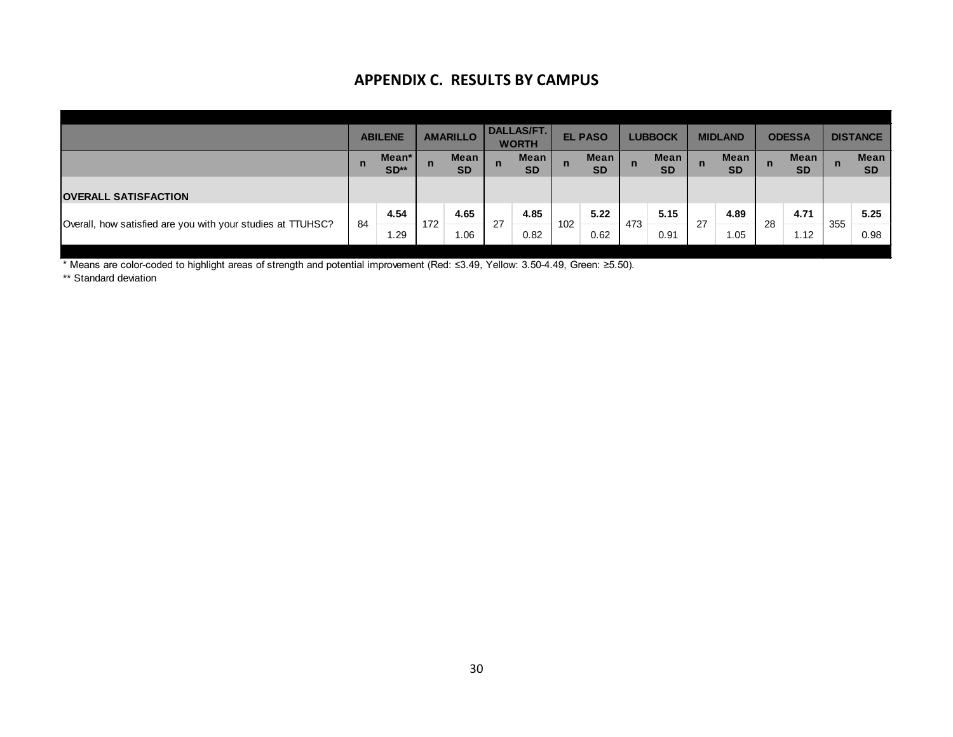# **APPENDIX C. RESULTS BY CAMPUS**

|                                                             |    | <b>ABILENE</b>  |     | <b>AMARILLO</b>   |              | <b>DALLAS/FT.</b><br><b>WORTH</b> |     | <b>EL PASO</b>    |              | <b>LUBBOCK</b>           |              | <b>MIDLAND</b>           |              | <b>ODESSA</b>     |     | <b>DISTANCE</b>          |
|-------------------------------------------------------------|----|-----------------|-----|-------------------|--------------|-----------------------------------|-----|-------------------|--------------|--------------------------|--------------|--------------------------|--------------|-------------------|-----|--------------------------|
|                                                             | n  | Mean*<br>$SD**$ | n   | Mean<br><b>SD</b> | $\mathsf{n}$ | Mean<br><b>SD</b>                 | n   | Mean<br><b>SD</b> | $\mathsf{n}$ | <b>Mean</b><br><b>SD</b> | $\mathsf{n}$ | <b>Mean</b><br><b>SD</b> | $\mathsf{n}$ | Mean<br><b>SD</b> | n   | <b>Mean</b><br><b>SD</b> |
| <b>OVERALL SATISFACTION</b>                                 |    |                 |     |                   |              |                                   |     |                   |              |                          |              |                          |              |                   |     |                          |
| Overall, how satisfied are you with your studies at TTUHSC? | 84 | 4.54            | 172 | 4.65              | 27           | 4.85                              | 102 | 5.22              | 473          | 5.15                     | 27           | 4.89                     | 28           | 4.71              | 355 | 5.25                     |
|                                                             |    | 1.29            |     | 1.06              |              | 0.82                              |     | 0.62              |              | 0.91                     |              | 1.05                     |              | 1.12              |     | 0.98                     |

\* Means are color-coded to highlight areas of strength and potential improvement (Red: ≤3.49, Yellow: 3.50-4.49, Green: ≥5.50).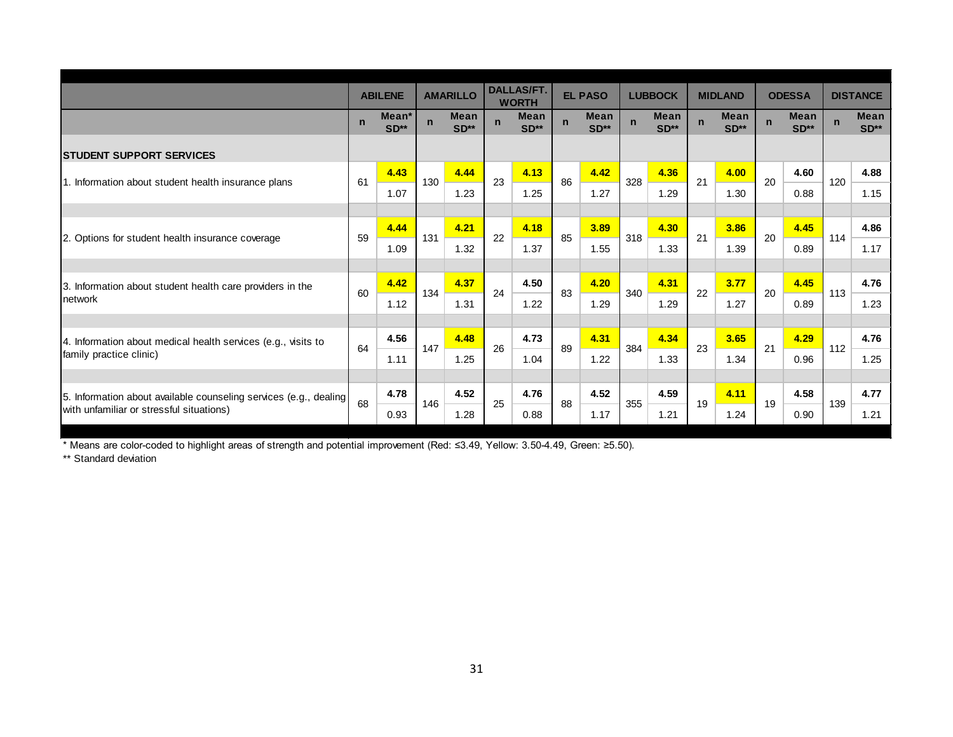|                                                                   |             | <b>ABILENE</b>              |             | <b>AMARILLO</b>       |             | <b>DALLAS/FT.</b><br><b>WORTH</b> |             | <b>EL PASO</b>        |             | <b>LUBBOCK</b>        |             | <b>MIDLAND</b>        |             | <b>ODESSA</b>         |             | <b>DISTANCE</b>       |
|-------------------------------------------------------------------|-------------|-----------------------------|-------------|-----------------------|-------------|-----------------------------------|-------------|-----------------------|-------------|-----------------------|-------------|-----------------------|-------------|-----------------------|-------------|-----------------------|
|                                                                   | $\mathbf n$ | Mean <sup>*</sup><br>$SD**$ | $\mathbf n$ | <b>Mean</b><br>$SD**$ | $\mathbf n$ | Mean<br>$SD**$                    | $\mathbf n$ | <b>Mean</b><br>$SD**$ | $\mathbf n$ | <b>Mean</b><br>$SD**$ | $\mathbf n$ | <b>Mean</b><br>$SD**$ | $\mathbf n$ | <b>Mean</b><br>$SD**$ | $\mathbf n$ | <b>Mean</b><br>$SD**$ |
| <b>ISTUDENT SUPPORT SERVICES</b>                                  |             |                             |             |                       |             |                                   |             |                       |             |                       |             |                       |             |                       |             |                       |
|                                                                   | 61          | 4.43                        | 130         | 4.44                  | 23          | 4.13                              | 86          | 4.42                  | 328         | 4.36                  | 21          | 4.00                  | 20          | 4.60                  | 120         | 4.88                  |
| 1. Information about student health insurance plans               |             | 1.07                        |             | 1.23                  |             | 1.25                              |             | 1.27                  |             | 1.29                  |             | 1.30                  |             | 0.88                  |             | 1.15                  |
|                                                                   |             |                             |             |                       |             |                                   |             |                       |             |                       |             |                       |             |                       |             |                       |
| 2. Options for student health insurance coverage                  | 59          | 4.44                        | 131         | 4.21                  | 22          | 4.18                              | 85          | 3.89                  | 318         | 4.30                  | 21          | 3.86                  | 20          | 4.45                  | 114         | 4.86                  |
|                                                                   |             | 1.09                        |             | 1.32                  |             | 1.37                              |             | 1.55                  |             | 1.33                  |             | 1.39                  |             | 0.89                  |             | 1.17                  |
|                                                                   |             |                             |             |                       |             |                                   |             |                       |             |                       |             |                       |             |                       |             |                       |
| 3. Information about student health care providers in the         | 60          | 4.42                        | 134         | 4.37                  | 24          | 4.50                              | 83          | 4.20                  | 340         | 4.31                  | 22          | 3.77                  | 20          | 4.45                  | 113         | 4.76                  |
| network                                                           |             | 1.12                        |             | 1.31                  |             | 1.22                              |             | 1.29                  |             | 1.29                  |             | 1.27                  |             | 0.89                  |             | 1.23                  |
|                                                                   |             |                             |             |                       |             |                                   |             |                       |             |                       |             |                       |             |                       |             |                       |
| 4. Information about medical health services (e.g., visits to     | 64          | 4.56                        | 147         | 4.48                  | 26          | 4.73                              | 89          | 4.31                  | 384         | 4.34                  | 23          | 3.65                  | 21          | 4.29                  | 112         | 4.76                  |
| family practice clinic)                                           |             | 1.11                        |             | 1.25                  |             | 1.04                              |             | 1.22                  |             | 1.33                  |             | 1.34                  |             | 0.96                  |             | 1.25                  |
|                                                                   |             |                             |             |                       |             |                                   |             |                       |             |                       |             |                       |             |                       |             |                       |
| 5. Information about available counseling services (e.g., dealing | 68          | 4.78                        | 146         | 4.52                  | 25          | 4.76                              | 88          | 4.52                  | 355         | 4.59                  | 19          | 4.11                  | 19          | 4.58                  | 139         | 4.77                  |
| with unfamiliar or stressful situations)                          |             | 0.93                        |             | 1.28                  |             | 0.88                              |             | 1.17                  |             | 1.21                  |             | 1.24                  |             | 0.90                  |             | 1.21                  |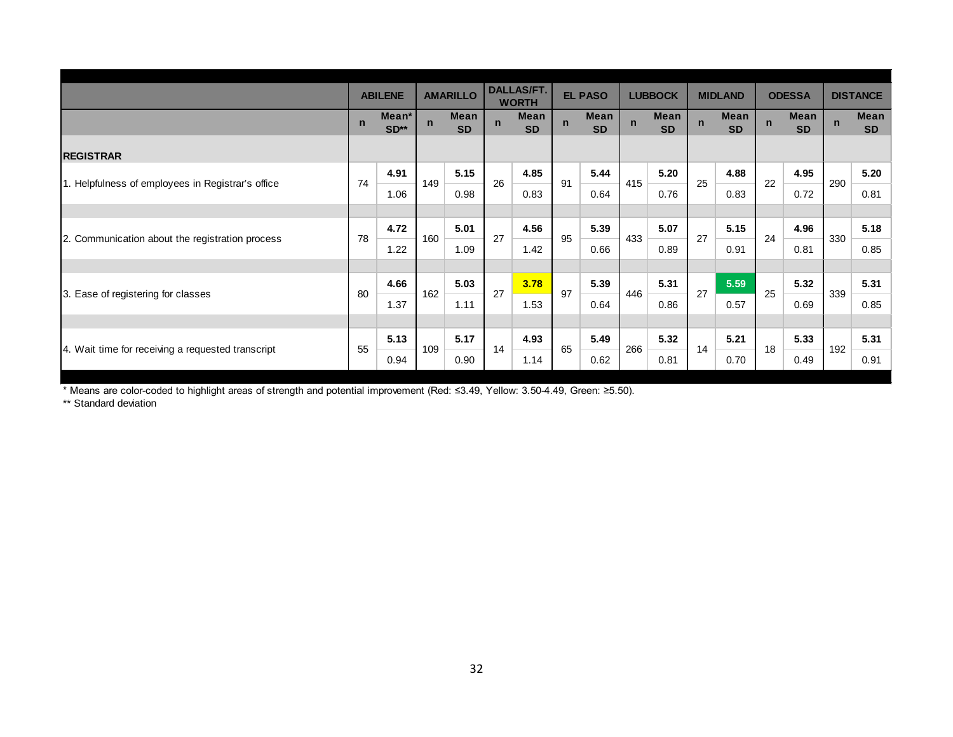|                                                   |              | <b>ABILENE</b>  |             | <b>AMARILLO</b>   |             | <b>DALLAS/FT.</b><br><b>WORTH</b> |             | <b>EL PASO</b>    |             | <b>LUBBOCK</b>    |              | <b>MIDLAND</b>    |             | <b>ODESSA</b>     |             | <b>DISTANCE</b>   |
|---------------------------------------------------|--------------|-----------------|-------------|-------------------|-------------|-----------------------------------|-------------|-------------------|-------------|-------------------|--------------|-------------------|-------------|-------------------|-------------|-------------------|
|                                                   | $\mathsf{n}$ | Mean*<br>$SD**$ | $\mathbf n$ | Mean<br><b>SD</b> | $\mathbf n$ | Mean<br><b>SD</b>                 | $\mathbf n$ | Mean<br><b>SD</b> | $\mathbf n$ | Mean<br><b>SD</b> | $\mathsf{n}$ | Mean<br><b>SD</b> | $\mathbf n$ | Mean<br><b>SD</b> | $\mathbf n$ | Mean<br><b>SD</b> |
| <b>REGISTRAR</b>                                  |              |                 |             |                   |             |                                   |             |                   |             |                   |              |                   |             |                   |             |                   |
| 1. Helpfulness of employees in Registrar's office | 74           | 4.91            | 149         | 5.15              | 26          | 4.85                              | 91          | 5.44              | 415         | 5.20              | 25           | 4.88              | 22          | 4.95              | 290         | 5.20              |
|                                                   |              | 1.06            |             | 0.98              |             | 0.83                              |             | 0.64              |             | 0.76              |              | 0.83              |             | 0.72              |             | 0.81              |
|                                                   |              |                 |             |                   |             |                                   |             |                   |             |                   |              |                   |             |                   |             |                   |
|                                                   | 78           | 4.72            | 160         | 5.01              | 27          | 4.56                              | 95          | 5.39              | 433         | 5.07              | 27           | 5.15              | 24          | 4.96              | 330         | 5.18              |
| 2. Communication about the registration process   |              | 1.22            |             | 1.09              |             | 1.42                              |             | 0.66              |             | 0.89              |              | 0.91              |             | 0.81              |             | 0.85              |
|                                                   |              |                 |             |                   |             |                                   |             |                   |             |                   |              |                   |             |                   |             |                   |
| 3. Ease of registering for classes                | 80           | 4.66            | 162         | 5.03              | 27          | 3.78                              | 97          | 5.39              | 446         | 5.31              | 27           | 5.59              | 25          | 5.32              | 339         | 5.31              |
|                                                   |              | 1.37            |             | 1.11              |             | 1.53                              |             | 0.64              |             | 0.86              |              | 0.57              |             | 0.69              |             | 0.85              |
|                                                   |              |                 |             |                   |             |                                   |             |                   |             |                   |              |                   |             |                   |             |                   |
|                                                   |              | 5.13            |             | 5.17              | 14          | 4.93                              | 65          | 5.49              | 266         | 5.32              | 14           | 5.21              | 18          | 5.33              |             | 5.31              |
| 4. Wait time for receiving a requested transcript | 55           | 0.94            | 109         | 0.90              |             | 1.14                              |             | 0.62              |             | 0.81              |              | 0.70              |             | 0.49              | 192         | 0.91              |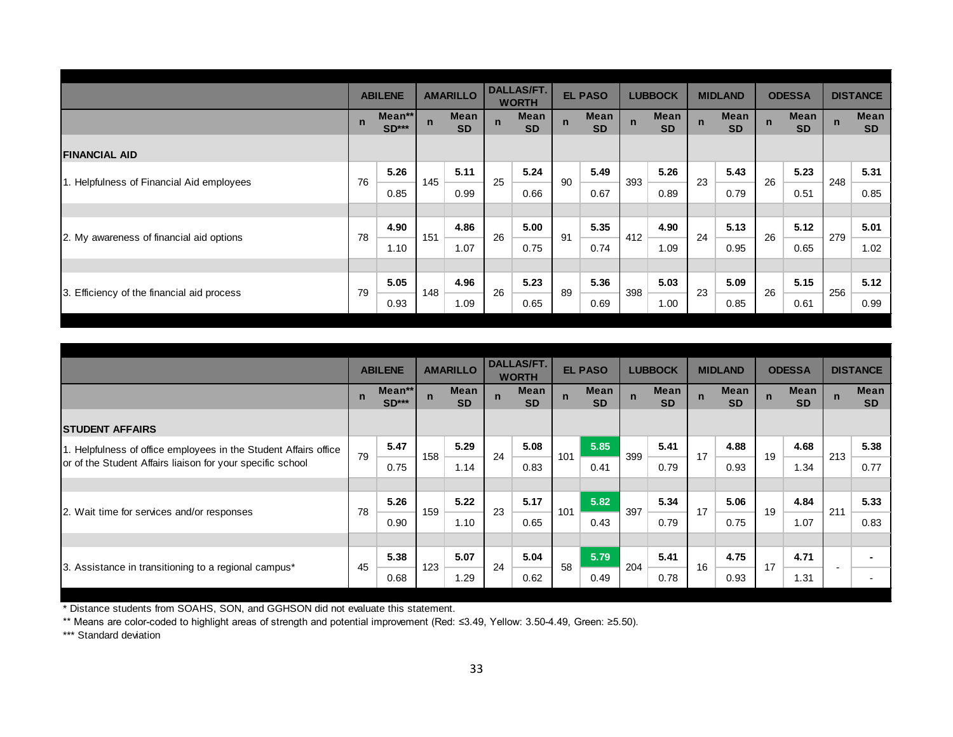|                                            |             | <b>ABILENE</b>    |             | <b>AMARILLO</b>   |             | <b>DALLAS/FT.</b><br><b>WORTH</b> |             | <b>EL PASO</b>           |             | <b>LUBBOCK</b>    |             | <b>MIDLAND</b>    |             | <b>ODESSA</b>     |             | <b>DISTANCE</b>   |
|--------------------------------------------|-------------|-------------------|-------------|-------------------|-------------|-----------------------------------|-------------|--------------------------|-------------|-------------------|-------------|-------------------|-------------|-------------------|-------------|-------------------|
|                                            | $\mathbf n$ | Mean**<br>$SD***$ | $\mathbf n$ | Mean<br><b>SD</b> | $\mathbf n$ | Mean<br><b>SD</b>                 | $\mathbf n$ | <b>Mean</b><br><b>SD</b> | $\mathbf n$ | Mean<br><b>SD</b> | $\mathbf n$ | Mean<br><b>SD</b> | $\mathbf n$ | Mean<br><b>SD</b> | $\mathbf n$ | Mean<br><b>SD</b> |
| <b>FINANCIAL AID</b>                       |             |                   |             |                   |             |                                   |             |                          |             |                   |             |                   |             |                   |             |                   |
| 1. Helpfulness of Financial Aid employees  | 76          | 5.26              | 145         | 5.11              | 25          | 5.24                              | 90          | 5.49                     | 393         | 5.26              | 23          | 5.43              | 26          | 5.23              | 248         | 5.31              |
|                                            |             | 0.85              |             | 0.99              |             | 0.66                              |             | 0.67                     |             | 0.89              |             | 0.79              |             | 0.51              |             | 0.85              |
|                                            |             |                   |             |                   |             |                                   |             |                          |             |                   |             |                   |             |                   |             |                   |
| 2. My awareness of financial aid options   | 78          | 4.90              | 151         | 4.86              | 26          | 5.00                              | 91          | 5.35                     | 412         | 4.90              | 24          | 5.13              | 26          | 5.12              | 279         | 5.01              |
|                                            |             | 1.10              |             | 1.07              |             | 0.75                              |             | 0.74                     |             | 1.09              |             | 0.95              |             | 0.65              |             | 1.02              |
|                                            |             |                   |             |                   |             |                                   |             |                          |             |                   |             |                   |             |                   |             |                   |
| 3. Efficiency of the financial aid process | 79          | 5.05              | 148         | 4.96              | 26          | 5.23                              | 89          | 5.36                     | 398         | 5.03              | 23          | 5.09              | 26          | 5.15              | 256         | 5.12              |
|                                            |             | 0.93              |             | 1.09              |             | 0.65                              |             | 0.69                     |             | 1.00              |             | 0.85              |             | 0.61              |             | 0.99              |

|                                                                  |             |                   |              |                          |             | <b>DALLAS/FT.</b>        |             |                          |             |                   |             |                   |             |                   |             |                   |
|------------------------------------------------------------------|-------------|-------------------|--------------|--------------------------|-------------|--------------------------|-------------|--------------------------|-------------|-------------------|-------------|-------------------|-------------|-------------------|-------------|-------------------|
|                                                                  |             | <b>ABILENE</b>    |              | <b>AMARILLO</b>          |             | <b>WORTH</b>             |             | <b>EL PASO</b>           |             | <b>LUBBOCK</b>    |             | <b>MIDLAND</b>    |             | <b>ODESSA</b>     |             | <b>DISTANCE</b>   |
|                                                                  | $\mathbf n$ | Mean**<br>$SD***$ | $\mathsf{n}$ | <b>Mean</b><br><b>SD</b> | $\mathbf n$ | <b>Mean</b><br><b>SD</b> | $\mathbf n$ | <b>Mean</b><br><b>SD</b> | $\mathbf n$ | Mean<br><b>SD</b> | $\mathbf n$ | Mean<br><b>SD</b> | $\mathbf n$ | Mean<br><b>SD</b> | $\mathbf n$ | Mean<br><b>SD</b> |
| <b>STUDENT AFFAIRS</b>                                           |             |                   |              |                          |             |                          |             |                          |             |                   |             |                   |             |                   |             |                   |
| 1. Helpfulness of office employees in the Student Affairs office | 79          | 5.47              | 158          | 5.29                     | 24          | 5.08                     | 101         | 5.85                     | 399         | 5.41              | 17          | 4.88              | 19          | 4.68              | 213         | 5.38              |
| or of the Student Affairs liaison for your specific school       |             | 0.75              |              | 1.14                     |             | 0.83                     |             | 0.41                     |             | 0.79              |             | 0.93              |             | 1.34              |             | 0.77              |
|                                                                  |             |                   |              |                          |             |                          |             |                          |             |                   |             |                   |             |                   |             |                   |
|                                                                  | 78          | 5.26              | 159          | 5.22                     | 23          | 5.17                     | 101         | 5.82                     | 397         | 5.34              | 17          | 5.06              | 19          | 4.84              | 211         | 5.33              |
| 2. Wait time for services and/or responses                       |             | 0.90              |              | 1.10                     |             | 0.65                     |             | 0.43                     |             | 0.79              |             | 0.75              |             | 1.07              |             | 0.83              |
|                                                                  |             |                   |              |                          |             |                          |             |                          |             |                   |             |                   |             |                   |             |                   |
|                                                                  | 45          | 5.38              | 123          | 5.07                     | 24          | 5.04                     | 58          | 5.79                     | 204         | 5.41              | 16          | 4.75              | 17          | 4.71              |             |                   |
| 3. Assistance in transitioning to a regional campus*             |             | 0.68              |              | 1.29                     |             | 0.62                     |             | 0.49                     |             | 0.78              |             | 0.93              |             | 1.31              |             |                   |

\*\* Means are color-coded to highlight areas of strength and potential improvement (Red: ≤3.49, Yellow: 3.50-4.49, Green: ≥5.50).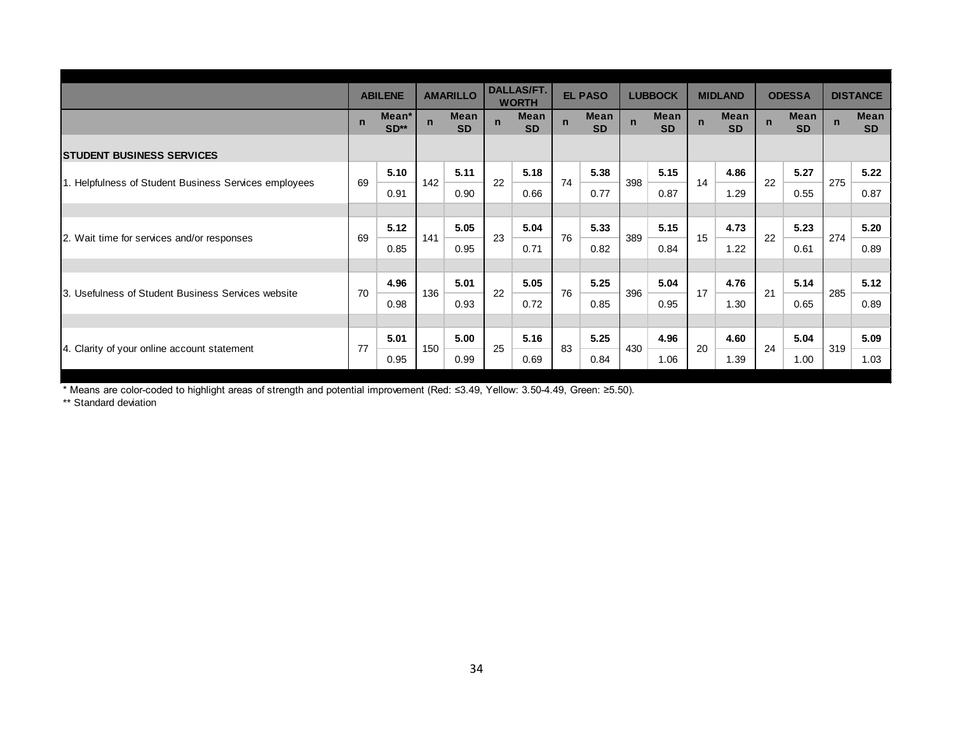|                                                       |              | <b>ABILENE</b>  |             | <b>AMARILLO</b>   |             | <b>DALLAS/FT.</b><br><b>WORTH</b> |             | <b>EL PASO</b>           |             | <b>LUBBOCK</b>           |             | <b>MIDLAND</b>    |             | <b>ODESSA</b>     |             | <b>DISTANCE</b>   |
|-------------------------------------------------------|--------------|-----------------|-------------|-------------------|-------------|-----------------------------------|-------------|--------------------------|-------------|--------------------------|-------------|-------------------|-------------|-------------------|-------------|-------------------|
|                                                       | $\mathsf{n}$ | Mean*<br>$SD**$ | $\mathbf n$ | Mean<br><b>SD</b> | $\mathbf n$ | <b>Mean</b><br><b>SD</b>          | $\mathbf n$ | <b>Mean</b><br><b>SD</b> | $\mathbf n$ | <b>Mean</b><br><b>SD</b> | $\mathbf n$ | Mean<br><b>SD</b> | $\mathbf n$ | Mean<br><b>SD</b> | $\mathbf n$ | Mean<br><b>SD</b> |
| <b>STUDENT BUSINESS SERVICES</b>                      |              |                 |             |                   |             |                                   |             |                          |             |                          |             |                   |             |                   |             |                   |
| 1. Helpfulness of Student Business Services employees | 69           | 5.10            | 142         | 5.11              | 22          | 5.18                              | 74          | 5.38                     | 398         | 5.15                     | 14          | 4.86              | 22          | 5.27              | 275         | 5.22              |
|                                                       |              | 0.91            |             | 0.90              |             | 0.66                              |             | 0.77                     |             | 0.87                     |             | 1.29              |             | 0.55              |             | 0.87              |
|                                                       |              |                 |             |                   |             |                                   |             |                          |             |                          |             |                   |             |                   |             |                   |
| 2. Wait time for services and/or responses            | 69           | 5.12            | 141         | 5.05              | 23          | 5.04                              | 76          | 5.33                     | 389         | 5.15                     | 15          | 4.73              | 22          | 5.23              | 274         | 5.20              |
|                                                       |              | 0.85            |             | 0.95              |             | 0.71                              |             | 0.82                     |             | 0.84                     |             | 1.22              |             | 0.61              |             | 0.89              |
|                                                       |              |                 |             |                   |             |                                   |             |                          |             |                          |             |                   |             |                   |             |                   |
|                                                       | 70           | 4.96            | 136         | 5.01              | 22          | 5.05                              | 76          | 5.25                     | 396         | 5.04                     | 17          | 4.76              | 21          | 5.14              | 285         | 5.12              |
| 3. Usefulness of Student Business Services website    |              | 0.98            |             | 0.93              |             | 0.72                              |             | 0.85                     |             | 0.95                     |             | 1.30              |             | 0.65              |             | 0.89              |
|                                                       |              |                 |             |                   |             |                                   |             |                          |             |                          |             |                   |             |                   |             |                   |
|                                                       | 77           | 5.01            | 150         | 5.00              | 25          | 5.16                              | 83          | 5.25                     | 430         | 4.96                     | 20          | 4.60              | 24          | 5.04              | 319         | 5.09              |
| 4. Clarity of your online account statement           |              | 0.95            |             | 0.99              |             | 0.69                              |             | 0.84                     |             | 1.06                     |             | 1.39              |             | 1.00              |             | 1.03              |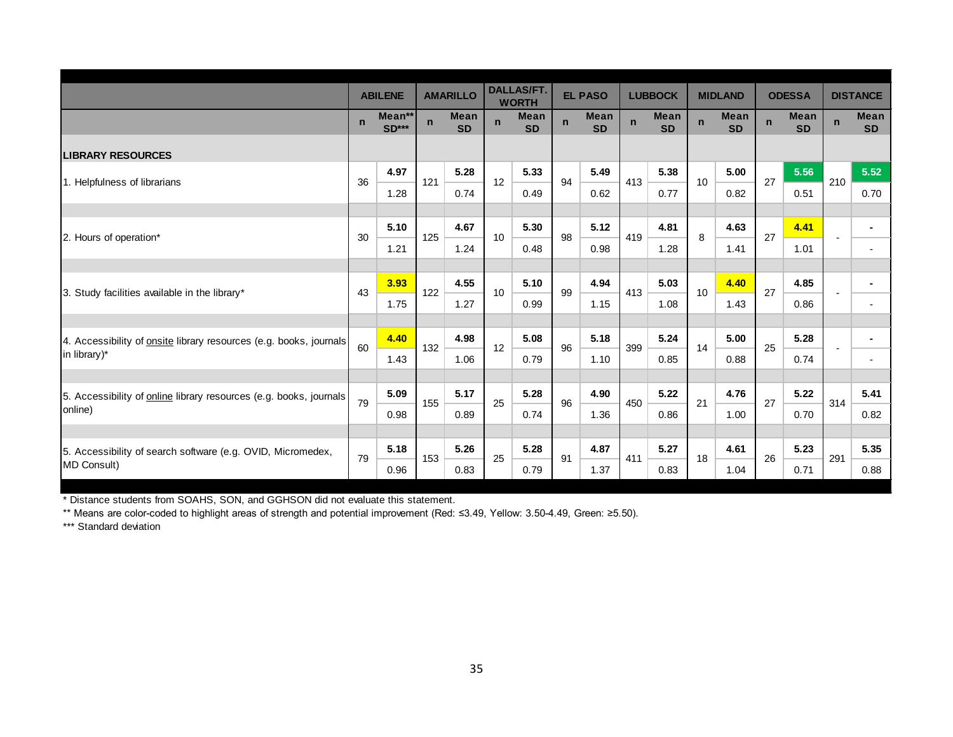|                                                                               |             | <b>ABILENE</b>         |              | <b>AMARILLO</b>          |             | <b>DALLAS/FT.</b><br><b>WORTH</b> |             | <b>EL PASO</b>           |     | <b>LUBBOCK</b>           |              | <b>MIDLAND</b>    |             | <b>ODESSA</b>     |             | <b>DISTANCE</b>                            |
|-------------------------------------------------------------------------------|-------------|------------------------|--------------|--------------------------|-------------|-----------------------------------|-------------|--------------------------|-----|--------------------------|--------------|-------------------|-------------|-------------------|-------------|--------------------------------------------|
|                                                                               | $\mathbf n$ | Mean**<br><b>SD***</b> | $\mathsf{n}$ | <b>Mean</b><br><b>SD</b> | $\mathbf n$ | Mean<br><b>SD</b>                 | $\mathbf n$ | <b>Mean</b><br><b>SD</b> | n.  | <b>Mean</b><br><b>SD</b> | $\mathbf{n}$ | Mean<br><b>SD</b> | $\mathbf n$ | Mean<br><b>SD</b> | $\mathbf n$ | <b>Mean</b><br><b>SD</b>                   |
| <b>LIBRARY RESOURCES</b>                                                      |             |                        |              |                          |             |                                   |             |                          |     |                          |              |                   |             |                   |             |                                            |
| 1. Helpfulness of librarians                                                  | 36          | 4.97<br>1.28           | 121          | 5.28<br>0.74             | 12          | 5.33<br>0.49                      | 94          | 5.49<br>0.62             | 413 | 5.38<br>0.77             | 10           | 5.00<br>0.82      | 27          | 5.56<br>0.51      | 210         | 5.52<br>0.70                               |
|                                                                               |             |                        |              |                          |             |                                   |             |                          |     |                          |              |                   |             |                   |             |                                            |
| 2. Hours of operation*                                                        | 30          | 5.10                   | 125          | 4.67                     | 10          | 5.30                              | 98          | 5.12                     | 419 | 4.81                     | 8            | 4.63              | 27          | 4.41              |             | $\blacksquare$                             |
|                                                                               |             | 1.21                   |              | 1.24                     |             | 0.48                              |             | 0.98                     |     | 1.28                     |              | 1.41              |             | 1.01              |             | $\overline{\phantom{a}}$                   |
|                                                                               |             |                        |              | 4.55                     |             | 5.10                              |             | 4.94                     |     | 5.03                     |              |                   |             |                   |             |                                            |
| 3. Study facilities available in the library*                                 | 43          | 3.93<br>1.75           | 122          | 1.27                     | 10          | 0.99                              | 99          | 1.15                     | 413 | 1.08                     | 10           | 4.40<br>1.43      | 27          | 4.85<br>0.86      |             | $\blacksquare$<br>$\overline{\phantom{a}}$ |
|                                                                               |             |                        |              |                          |             |                                   |             |                          |     |                          |              |                   |             |                   |             |                                            |
| 4. Accessibility of onsite library resources (e.g. books, journals            | 60          | 4.40                   | 132          | 4.98                     | 12          | 5.08                              | 96          | 5.18                     | 399 | 5.24                     | 14           | 5.00              | 25          | 5.28              |             | $\blacksquare$                             |
| in library)*                                                                  |             | 1.43                   |              | 1.06                     |             | 0.79                              |             | 1.10                     |     | 0.85                     |              | 0.88              |             | 0.74              |             | $\overline{\phantom{a}}$                   |
|                                                                               |             |                        |              |                          |             |                                   |             |                          |     |                          |              |                   |             |                   |             |                                            |
| 5. Accessibility of online library resources (e.g. books, journals<br>online) | 79          | 5.09                   | 155          | 5.17                     | 25          | 5.28                              | 96          | 4.90                     | 450 | 5.22                     | 21           | 4.76              | 27          | 5.22              | 314         | 5.41                                       |
|                                                                               |             | 0.98                   |              | 0.89                     |             | 0.74                              |             | 1.36                     |     | 0.86                     |              | 1.00              |             | 0.70              |             | 0.82                                       |
| 5. Accessibility of search software (e.g. OVID, Micromedex,                   |             | 5.18                   |              | 5.26                     |             | 5.28                              |             | 4.87                     |     | 5.27                     |              | 4.61              |             | 5.23              |             | 5.35                                       |
| MD Consult)                                                                   | 79          | 0.96                   | 153          | 0.83                     | 25          | 0.79                              | 91          | 1.37                     | 411 | 0.83                     | 18           | 1.04              | 26          | 0.71              | 291         | 0.88                                       |

\*\* Means are color-coded to highlight areas of strength and potential improvement (Red: ≤3.49, Yellow: 3.50-4.49, Green: ≥5.50).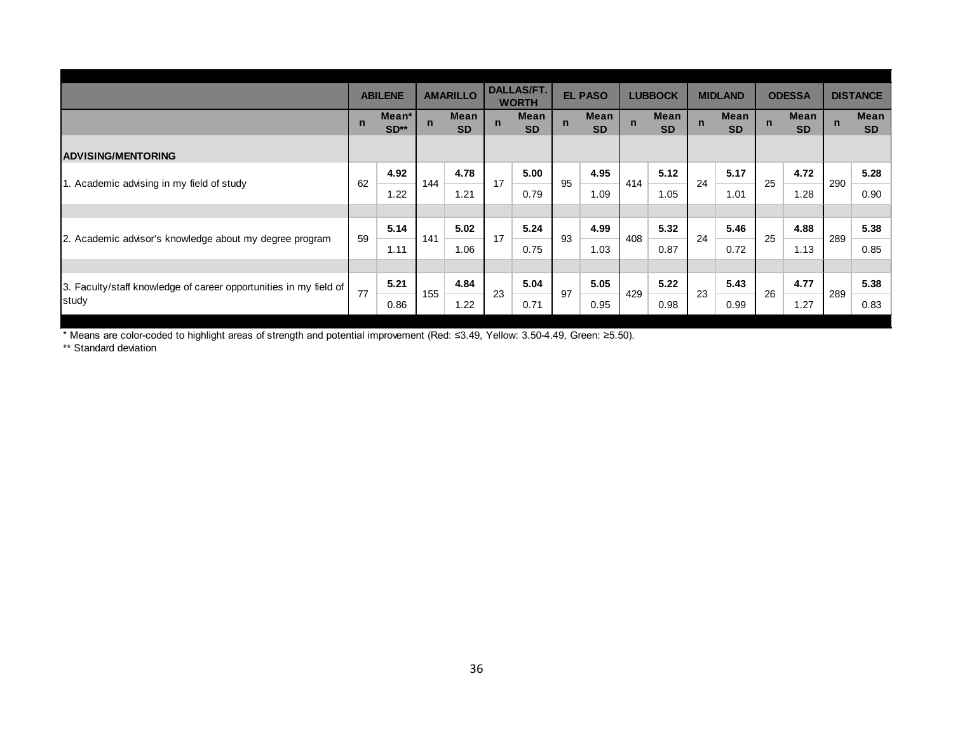|                                                                   |              | <b>ABILENE</b>  |             | <b>AMARILLO</b>   |             | <b>DALLAS/FT.</b><br><b>WORTH</b> |             | <b>EL PASO</b>    |             | <b>LUBBOCK</b>    |             | <b>MIDLAND</b>           |             | <b>ODESSA</b>            |             | <b>DISTANCE</b>          |
|-------------------------------------------------------------------|--------------|-----------------|-------------|-------------------|-------------|-----------------------------------|-------------|-------------------|-------------|-------------------|-------------|--------------------------|-------------|--------------------------|-------------|--------------------------|
|                                                                   | $\mathsf{n}$ | Mean*<br>$SD**$ | $\mathbf n$ | Mean<br><b>SD</b> | $\mathbf n$ | <b>Mean</b><br><b>SD</b>          | $\mathbf n$ | Mean<br><b>SD</b> | $\mathbf n$ | Mean<br><b>SD</b> | $\mathbf n$ | <b>Mean</b><br><b>SD</b> | $\mathbf n$ | <b>Mean</b><br><b>SD</b> | $\mathbf n$ | <b>Mean</b><br><b>SD</b> |
| <b>ADVISING/MENTORING</b>                                         |              |                 |             |                   |             |                                   |             |                   |             |                   |             |                          |             |                          |             |                          |
| 1. Academic advising in my field of study                         | 62           | 4.92            | 144         | 4.78              | 17          | 5.00                              | 95          | 4.95              | 414         | 5.12              | 24          | 5.17                     | 25          | 4.72                     | 290         | 5.28                     |
|                                                                   |              | 1.22            |             | 1.21              |             | 0.79                              |             | 1.09              |             | 1.05              |             | 1.01                     |             | 1.28                     |             | 0.90                     |
|                                                                   |              |                 |             |                   |             |                                   |             |                   |             |                   |             |                          |             |                          |             |                          |
|                                                                   | 59           | 5.14            | 141         | 5.02              | 17          | 5.24                              | 93          | 4.99              | 408         | 5.32              | 24          | 5.46                     | 25          | 4.88                     | 289         | 5.38                     |
| 2. Academic advisor's knowledge about my degree program           |              | 1.11            |             | 1.06              |             | 0.75                              |             | 1.03              |             | 0.87              |             | 0.72                     |             | 1.13                     |             | 0.85                     |
|                                                                   |              |                 |             |                   |             |                                   |             |                   |             |                   |             |                          |             |                          |             |                          |
| 3. Faculty/staff knowledge of career opportunities in my field of | 77           | 5.21            | 155         | 4.84              | 23          | 5.04                              | 97          | 5.05              | 429         | 5.22              | 23          | 5.43                     | 26          | 4.77                     | 289         | 5.38                     |
| study                                                             |              | 0.86            |             | 1.22              |             | 0.71                              |             | 0.95              |             | 0.98              |             | 0.99                     |             | 1.27                     |             | 0.83                     |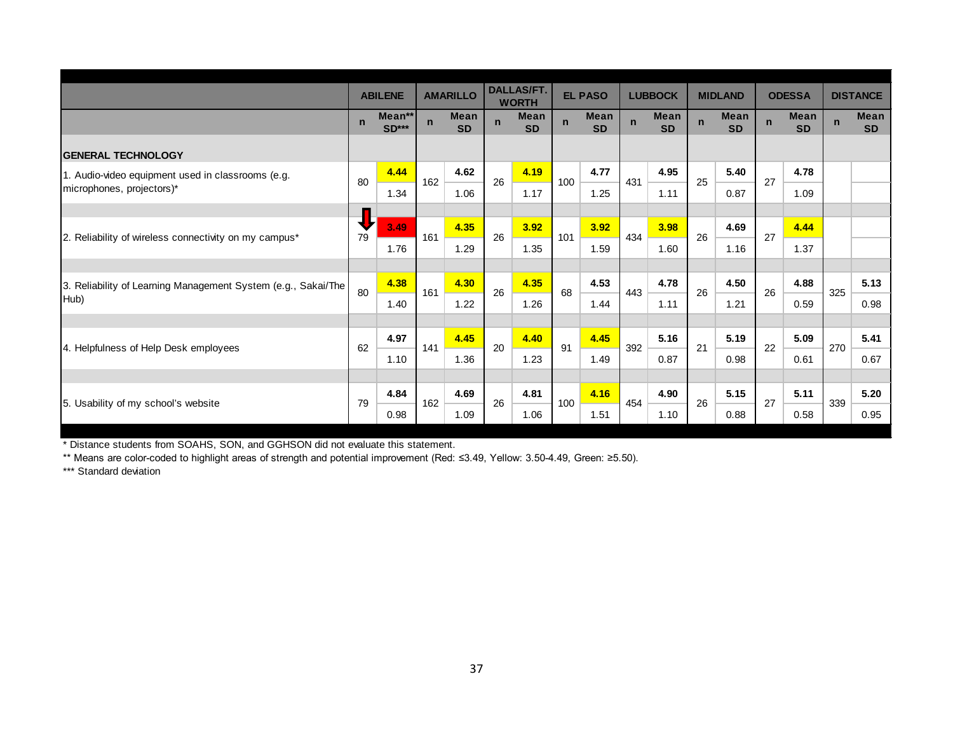|                                                               |             | <b>ABILENE</b>    |             | <b>AMARILLO</b>          |             | <b>DALLAS/FT.</b><br><b>WORTH</b> |             | <b>EL PASO</b>           |             | <b>LUBBOCK</b>    |             | <b>MIDLAND</b>           |             | <b>ODESSA</b>            |             | <b>DISTANCE</b>          |
|---------------------------------------------------------------|-------------|-------------------|-------------|--------------------------|-------------|-----------------------------------|-------------|--------------------------|-------------|-------------------|-------------|--------------------------|-------------|--------------------------|-------------|--------------------------|
|                                                               | $\mathbf n$ | Mean**<br>$SD***$ | $\mathbf n$ | <b>Mean</b><br><b>SD</b> | $\mathbf n$ | <b>Mean</b><br><b>SD</b>          | $\mathbf n$ | <b>Mean</b><br><b>SD</b> | $\mathbf n$ | Mean<br><b>SD</b> | $\mathbf n$ | <b>Mean</b><br><b>SD</b> | $\mathbf n$ | <b>Mean</b><br><b>SD</b> | $\mathbf n$ | <b>Mean</b><br><b>SD</b> |
| <b>GENERAL TECHNOLOGY</b>                                     |             |                   |             |                          |             |                                   |             |                          |             |                   |             |                          |             |                          |             |                          |
| 1. Audio-video equipment used in classrooms (e.g.             | 80          | 4.44              | 162         | 4.62                     | 26          | 4.19                              | 100         | 4.77                     | 431         | 4.95              | 25          | 5.40                     | 27          | 4.78                     |             |                          |
| microphones, projectors)*                                     |             | 1.34              |             | 1.06                     |             | 1.17                              |             | 1.25                     |             | 1.11              |             | 0.87                     |             | 1.09                     |             |                          |
|                                                               |             |                   |             |                          |             |                                   |             |                          |             |                   |             |                          |             |                          |             |                          |
| 2. Reliability of wireless connectivity on my campus*         | ₩<br>79     | 3.49              | 161         | 4.35                     | 26          | 3.92                              | 101         | 3.92                     | 434         | 3.98              | 26          | 4.69                     | 27          | 4.44                     |             |                          |
|                                                               |             | 1.76              |             | 1.29                     |             | 1.35                              |             | 1.59                     |             | 1.60              |             | 1.16                     |             | 1.37                     |             |                          |
|                                                               |             |                   |             |                          |             |                                   |             |                          |             |                   |             |                          |             |                          |             |                          |
| 3. Reliability of Learning Management System (e.g., Sakai/The | 80          | 4.38              | 161         | 4.30                     | 26          | 4.35                              | 68          | 4.53                     | 443         | 4.78              | 26          | 4.50                     | 26          | 4.88                     | 325         | 5.13                     |
| Hub)                                                          |             | 1.40              |             | 1.22                     |             | 1.26                              |             | 1.44                     |             | 1.11              |             | 1.21                     |             | 0.59                     |             | 0.98                     |
|                                                               |             |                   |             |                          |             |                                   |             |                          |             |                   |             |                          |             |                          |             |                          |
| 4. Helpfulness of Help Desk employees                         | 62          | 4.97              | 141         | 4.45                     | 20          | 4.40                              | 91          | 4.45                     | 392         | 5.16              | 21          | 5.19                     | 22          | 5.09                     | 270         | 5.41                     |
|                                                               |             | 1.10              |             | 1.36                     |             | 1.23                              |             | 1.49                     |             | 0.87              |             | 0.98                     |             | 0.61                     |             | 0.67                     |
|                                                               |             |                   |             |                          |             |                                   |             |                          |             |                   |             |                          |             |                          |             |                          |
| 5. Usability of my school's website                           | 79          | 4.84              | 162         | 4.69                     | 26          | 4.81                              | 100         | 4.16                     | 454         | 4.90              | 26          | 5.15                     | 27          | 5.11                     | 339         | 5.20                     |
|                                                               |             | 0.98              |             | 1.09                     |             | 1.06                              |             | 1.51                     |             | 1.10              |             | 0.88                     |             | 0.58                     |             | 0.95                     |

\*\* Means are color-coded to highlight areas of strength and potential improvement (Red: ≤3.49, Yellow: 3.50-4.49, Green: ≥5.50).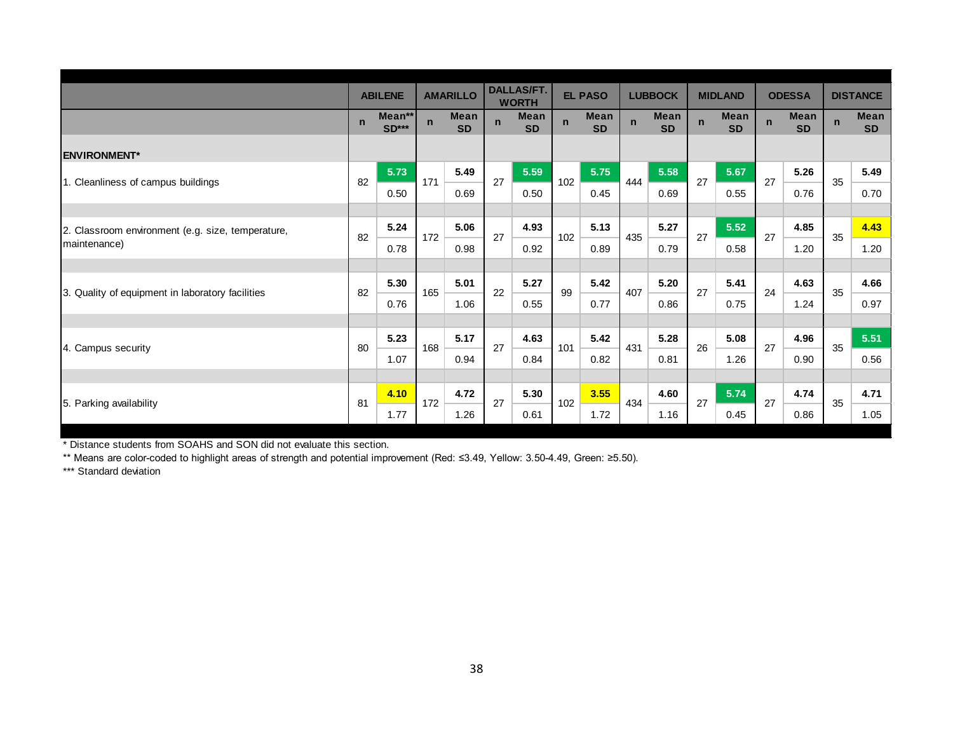|                                                   | <b>ABILENE</b> |                        | <b>AMARILLO</b>     |                          | <b>DALLAS/FT.</b><br><b>WORTH</b> |                          | <b>EL PASO</b> |                          | <b>LUBBOCK</b> |                          | <b>MIDLAND</b> |                          | <b>ODESSA</b> |                          | <b>DISTANCE</b> |                          |
|---------------------------------------------------|----------------|------------------------|---------------------|--------------------------|-----------------------------------|--------------------------|----------------|--------------------------|----------------|--------------------------|----------------|--------------------------|---------------|--------------------------|-----------------|--------------------------|
|                                                   | $\mathbf n$    | Mean**<br><b>SD***</b> | $\mathbf n$         | <b>Mean</b><br><b>SD</b> | $\mathbf n$                       | <b>Mean</b><br><b>SD</b> | $\mathbf n$    | <b>Mean</b><br><b>SD</b> | $\mathsf{n}$   | <b>Mean</b><br><b>SD</b> | $\mathbf n$    | <b>Mean</b><br><b>SD</b> | $\mathbf n$   | <b>Mean</b><br><b>SD</b> | $\mathsf{n}$    | <b>Mean</b><br><b>SD</b> |
| <b>ENVIRONMENT*</b>                               |                |                        |                     |                          |                                   |                          |                |                          |                |                          |                |                          |               |                          |                 |                          |
|                                                   | 82             | 5.73                   | 5.49<br>171<br>0.69 | 27                       | 5.59                              | 102                      | 5.75           | 444                      | 5.58           | 27                       | 5.67           | 27                       | 5.26          | 35                       | 5.49            |                          |
| 1. Cleanliness of campus buildings                |                | 0.50                   |                     |                          |                                   | 0.50                     |                | 0.45                     |                | 0.69                     |                | 0.55                     |               | 0.76                     |                 | 0.70                     |
|                                                   |                |                        |                     |                          |                                   |                          |                |                          |                |                          |                |                          |               |                          |                 |                          |
| 2. Classroom environment (e.g. size, temperature, | 82             | 5.24                   | 172                 | 5.06                     | 27                                | 4.93                     | 102            | 5.13                     | 435            | 5.27                     | 27             | 5.52                     | 27            | 4.85                     | 35              | 4.43                     |
| maintenance)                                      |                | 0.78                   |                     | 0.98                     |                                   | 0.92                     |                | 0.89                     |                | 0.79                     |                | 0.58                     |               | 1.20                     |                 | 1.20                     |
|                                                   |                |                        |                     |                          |                                   |                          |                |                          |                |                          |                |                          |               |                          |                 |                          |
| 3. Quality of equipment in laboratory facilities  | 82             | 5.30                   | 165                 | 5.01                     | 22                                | 5.27                     | 99             | 5.42                     | 407            | 5.20                     | 27             | 5.41                     | 24            | 4.63                     | 35              | 4.66                     |
|                                                   |                | 0.76                   |                     | 1.06                     |                                   | 0.55                     |                | 0.77                     |                | 0.86                     |                | 0.75                     |               | 1.24                     |                 | 0.97                     |
|                                                   |                |                        |                     |                          |                                   |                          |                |                          |                |                          |                |                          |               |                          |                 |                          |
| 4. Campus security                                | 80             | 5.23                   | 168                 | 5.17                     | 27                                | 4.63                     | 101            | 5.42                     | 431            | 5.28                     | 26             | 5.08                     | 27            | 4.96                     | 35              | 5.51                     |
|                                                   |                | 1.07                   |                     | 0.94                     |                                   | 0.84                     |                | 0.82                     |                | 0.81                     |                | 1.26                     |               | 0.90                     |                 | 0.56                     |
|                                                   |                |                        |                     |                          |                                   |                          |                |                          |                |                          |                |                          |               |                          |                 |                          |
| 5. Parking availability                           | 81             | 4.10                   | 172                 | 4.72                     | 27                                | 5.30                     | 102            | 3.55                     | 434            | 4.60                     | 27             | 5.74                     | 27            | 4.74                     | 35              | 4.71                     |
|                                                   |                | 1.77                   |                     | 1.26                     |                                   | 0.61                     |                | 1.72                     |                | 1.16                     |                | 0.45                     |               | 0.86                     |                 | 1.05                     |

\* Distance students from SOAHS and SON did not evaluate this section.

\*\* Means are color-coded to highlight areas of strength and potential improvement (Red: ≤3.49, Yellow: 3.50-4.49, Green: ≥5.50).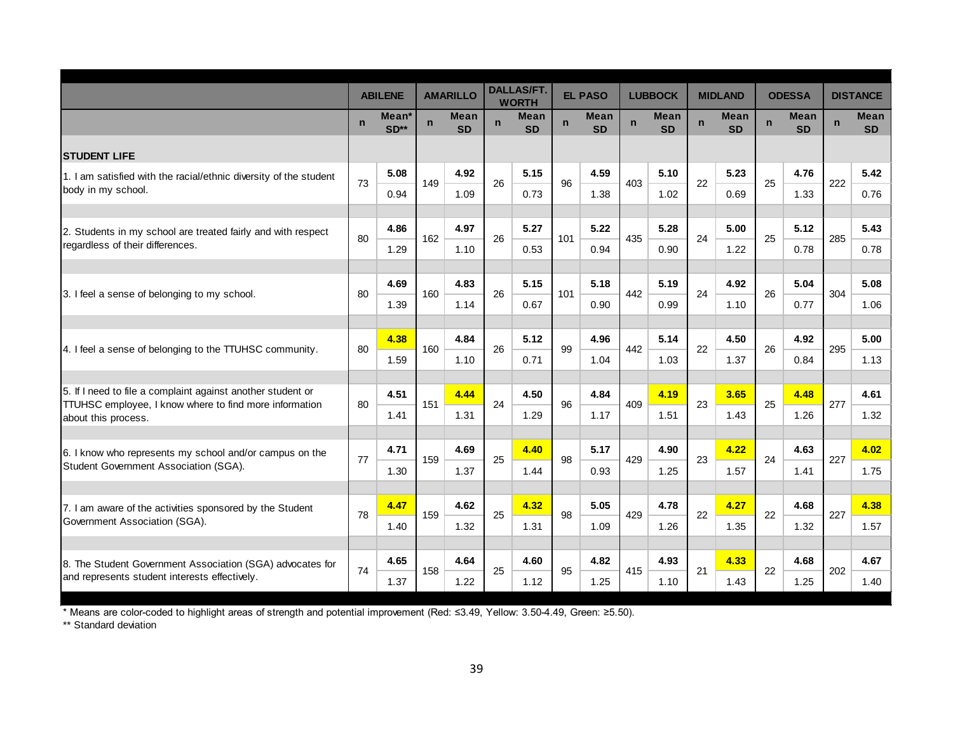|                                                                                                            | <b>ABILENE</b> |                 |     | <b>AMARILLO</b>          | <b>DALLAS/FT.</b><br><b>WORTH</b> |                          | <b>EL PASO</b> |                          | <b>LUBBOCK</b> |                          |             | <b>MIDLAND</b>           | <b>ODESSA</b> |                          |             | <b>DISTANCE</b>          |
|------------------------------------------------------------------------------------------------------------|----------------|-----------------|-----|--------------------------|-----------------------------------|--------------------------|----------------|--------------------------|----------------|--------------------------|-------------|--------------------------|---------------|--------------------------|-------------|--------------------------|
|                                                                                                            | $\mathbf n$    | Mean*<br>$SD**$ | n.  | <b>Mean</b><br><b>SD</b> | $\mathbf n$                       | <b>Mean</b><br><b>SD</b> | $\mathbf n$    | <b>Mean</b><br><b>SD</b> | $\mathbf n$    | <b>Mean</b><br><b>SD</b> | $\mathbf n$ | <b>Mean</b><br><b>SD</b> | $\mathbf n$   | <b>Mean</b><br><b>SD</b> | $\mathbf n$ | <b>Mean</b><br><b>SD</b> |
| <b>ISTUDENT LIFE</b>                                                                                       |                |                 |     |                          |                                   |                          |                |                          |                |                          |             |                          |               |                          |             |                          |
| 1. I am satisfied with the racial/ethnic diversity of the student                                          | 73             | 5.08            | 149 | 4.92                     | 26                                | 5.15                     | 96             | 4.59                     | 403            | 5.10                     | 22          | 5.23                     | 25            | 4.76                     | 222         | 5.42                     |
| body in my school.                                                                                         |                | 0.94            |     | 1.09                     |                                   | 0.73                     |                | 1.38                     |                | 1.02                     |             | 0.69                     |               | 1.33                     |             | 0.76                     |
|                                                                                                            |                | 4.86            |     | 4.97                     |                                   | 5.27                     |                | 5.22                     |                | 5.28                     |             | 5.00                     |               | 5.12                     |             | 5.43                     |
| 2. Students in my school are treated fairly and with respect<br>regardless of their differences.           | 80             |                 | 162 |                          | 26                                |                          | 101            |                          | 435            |                          | 24          |                          | 25            |                          | 285         |                          |
|                                                                                                            |                | 1.29            |     | 1.10                     |                                   | 0.53                     |                | 0.94                     |                | 0.90                     |             | 1.22                     |               | 0.78                     |             | 0.78                     |
| 3. I feel a sense of belonging to my school.                                                               |                | 4.69            | 160 | 4.83                     |                                   | 5.15                     |                | 5.18                     | 442            | 5.19                     | 24          | 4.92                     |               | 5.04                     |             | 5.08                     |
|                                                                                                            | 80             | 1.39            |     | 1.14                     | 26                                | 0.67                     | 101            | 0.90                     |                | 0.99                     |             | 1.10                     | 26            | 0.77                     | 304         | 1.06                     |
|                                                                                                            |                |                 |     |                          |                                   |                          |                |                          |                |                          |             |                          |               |                          |             |                          |
| 4. I feel a sense of belonging to the TTUHSC community.                                                    | 80             | 4.38            | 160 | 4.84                     | 26                                | 5.12                     | 99             | 4.96                     | 442            | 5.14                     | 22          | 4.50                     | 26            | 4.92                     | 295         | 5.00                     |
|                                                                                                            |                | 1.59            |     | 1.10                     |                                   | 0.71                     |                | 1.04                     |                | 1.03                     |             | 1.37                     |               | 0.84                     |             | 1.13                     |
| 5. If I need to file a complaint against another student or                                                |                | 4.51            |     | 4.44                     |                                   | 4.50                     |                | 4.84                     |                | 4.19                     |             | 3.65                     |               | 4.48                     |             | 4.61                     |
| TTUHSC employee, I know where to find more information                                                     | 80             | 1.41            | 151 | 1.31                     | 24                                | 1.29                     | 96             | 1.17                     | 409            | 1.51                     | 23          | 1.43                     | 25            | 1.26                     | 277         | 1.32                     |
| about this process.                                                                                        |                |                 |     |                          |                                   |                          |                |                          |                |                          |             |                          |               |                          |             |                          |
| 6. I know who represents my school and/or campus on the                                                    |                | 4.71            |     | 4.69                     |                                   | 4.40                     |                | 5.17                     |                | 4.90                     |             | 4.22                     |               | 4.63                     |             | 4.02                     |
| Student Government Association (SGA).                                                                      | 77             | 1.30            | 159 | 1.37                     | 25                                | 1.44                     | 98             | 0.93                     | 429            | 1.25                     | 23          | 1.57                     | 24            | 1.41                     | 227         | 1.75                     |
|                                                                                                            |                |                 |     |                          |                                   |                          |                |                          |                |                          |             |                          |               |                          |             |                          |
| 7. I am aware of the activities sponsored by the Student                                                   | 78             | 4.47            | 159 | 4.62                     | 25                                | 4.32                     | 98             | 5.05                     | 429            | 4.78                     | 22          | 4.27                     | 22            | 4.68                     | 227         | 4.38                     |
| Government Association (SGA).                                                                              |                | 1.40            |     | 1.32                     |                                   | 1.31                     |                | 1.09                     |                | 1.26                     |             | 1.35                     |               | 1.32                     |             | 1.57                     |
|                                                                                                            |                | 4.65            |     | 4.64                     |                                   |                          |                | 4.82                     |                | 4.93                     |             |                          |               | 4.68                     |             | 4.67                     |
| 8. The Student Government Association (SGA) advocates for<br>and represents student interests effectively. | 74             |                 | 158 |                          | 25                                | 4.60                     | 95             |                          | 415            |                          | 21          | 4.33                     | 22            |                          | 202         |                          |
|                                                                                                            |                | 1.37            |     | 1.22                     |                                   | 1.12                     |                | 1.25                     |                | 1.10                     |             | 1.43                     |               | 1.25                     |             | 1.40                     |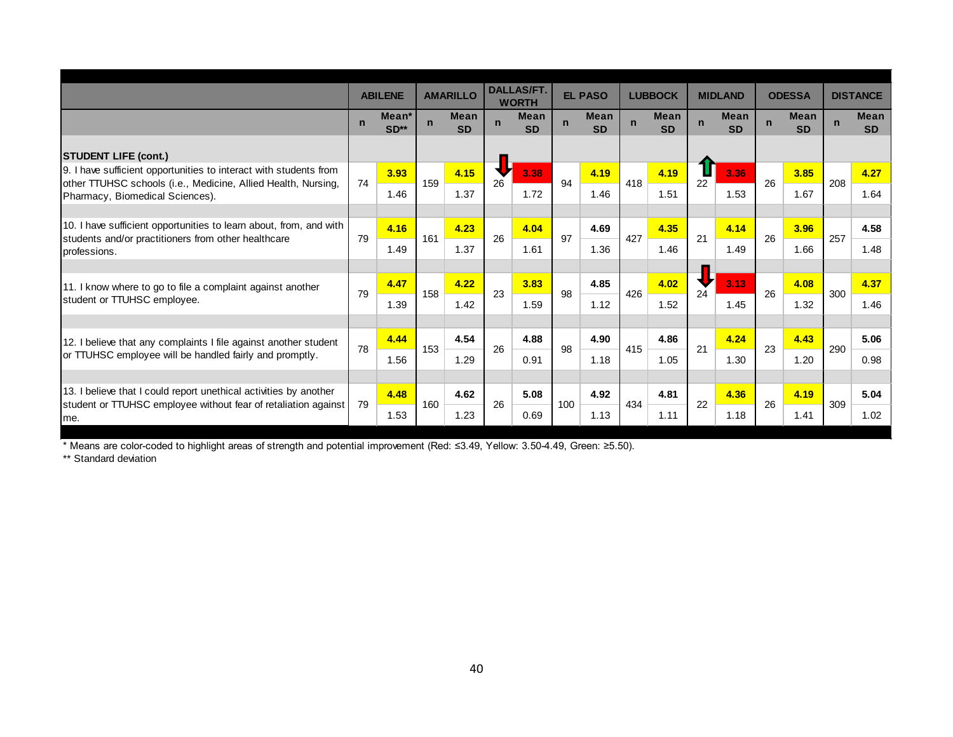|                                                                                                                                            | <b>ABILENE</b> |                 | <b>AMARILLO</b> |                          | <b>DALLAS/FT.</b><br><b>WORTH</b> |                          | <b>EL PASO</b> |                          | <b>LUBBOCK</b> |                          |             | <b>MIDLAND</b>           |             | <b>ODESSA</b>            |             | <b>DISTANCE</b>          |
|--------------------------------------------------------------------------------------------------------------------------------------------|----------------|-----------------|-----------------|--------------------------|-----------------------------------|--------------------------|----------------|--------------------------|----------------|--------------------------|-------------|--------------------------|-------------|--------------------------|-------------|--------------------------|
|                                                                                                                                            | $\mathbf n$    | Mean*<br>$SD**$ | $\mathbf n$     | <b>Mean</b><br><b>SD</b> | $\mathsf{n}$                      | <b>Mean</b><br><b>SD</b> | $\mathbf n$    | <b>Mean</b><br><b>SD</b> | $\mathbf n$    | <b>Mean</b><br><b>SD</b> | $\mathbf n$ | <b>Mean</b><br><b>SD</b> | $\mathbf n$ | <b>Mean</b><br><b>SD</b> | $\mathbf n$ | <b>Mean</b><br><b>SD</b> |
| <b>STUDENT LIFE (cont.)</b>                                                                                                                |                |                 |                 |                          |                                   |                          |                |                          |                |                          |             |                          |             |                          |             |                          |
| 9. I have sufficient opportunities to interact with students from<br>other TTUHSC schools (i.e., Medicine, Allied Health, Nursing,         | 74             | 3.93            | 159             | 4.15                     | 26                                | 3.38                     | 94             | 4.19                     | 418            | 4.19                     | 22          | 3.36<br>1.53             | 26          | 3.85                     | 208         | 4.27                     |
| Pharmacy, Biomedical Sciences).                                                                                                            |                | 1.46            |                 | 1.37                     |                                   | 1.72                     |                | 1.46                     |                | 1.51                     |             |                          |             | 1.67                     |             | 1.64                     |
| 10. I have sufficient opportunities to learn about, from, and with<br>students and/or practitioners from other healthcare                  | 79             | 4.16            | 161             | 4.23                     | 26                                | 4.04                     | 97             | 4.69                     | 427            | 4.35                     | 21          | 4.14                     | 26          | 3.96                     | 257         | 4.58                     |
| professions.                                                                                                                               |                | 1.49            |                 | 1.37                     |                                   | 1.61                     |                | 1.36                     |                | 1.46                     |             | 1.49                     |             | 1.66                     |             | 1.48                     |
|                                                                                                                                            |                | 4.47            | 4.22<br>158     |                          |                                   | 3.83                     |                | 4.85                     |                | 4.02                     | 24          | 3.13                     | 26          | 4.08                     | 300         | 4.37                     |
| 11. I know where to go to file a complaint against another<br>student or TTUHSC employee.                                                  | 79             | 1.39            |                 | 1.42                     | 23                                | 1.59                     | 98             | 1.12                     | 426            | 1.52                     |             | 1.45                     |             | 1.32                     |             | 1.46                     |
|                                                                                                                                            |                |                 |                 |                          |                                   |                          |                |                          |                |                          |             |                          |             |                          |             |                          |
| 12. I believe that any complaints I file against another student                                                                           | 78             | 4.44            | 153             | 4.54                     | 26                                | 4.88                     | 98             | 4.90                     | 415            | 4.86                     | 21          | 4.24                     | 23          | 4.43                     | 290         | 5.06                     |
| or TTUHSC employee will be handled fairly and promptly.                                                                                    |                | 1.56            |                 | 1.29                     |                                   | 0.91                     |                | 1.18                     |                | 1.05                     |             | 1.30                     |             | 1.20                     |             | 0.98                     |
|                                                                                                                                            |                |                 |                 |                          |                                   |                          |                |                          |                |                          |             |                          |             |                          |             |                          |
| 13. I believe that I could report unethical activities by another<br>student or TTUHSC employee without fear of retaliation against<br>me. | 79             | 4.48            | 160             | 4.62                     | 26                                | 5.08                     | 100            | 4.92                     | 434            | 4.81                     | 22          | 4.36                     | 26          | 4.19                     | 309         | 5.04                     |
|                                                                                                                                            |                | 1.53            |                 | 1.23                     |                                   | 0.69                     |                | 1.13                     |                | 1.11                     |             | 1.18                     |             | 1.41                     |             | 1.02                     |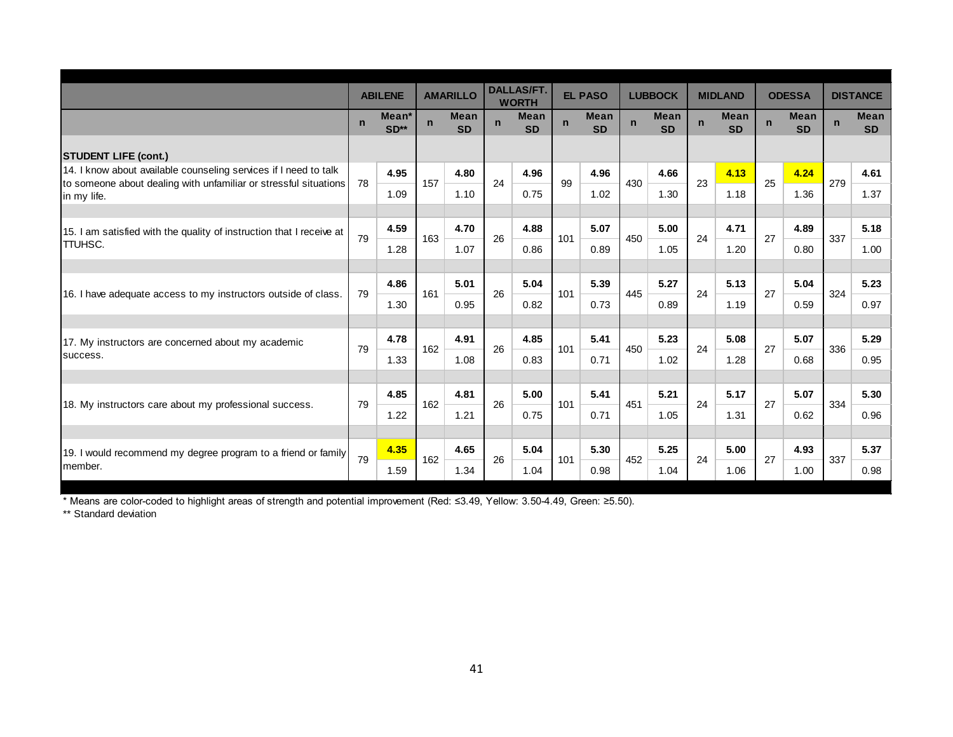|                                                                                                                                      | <b>ABILENE</b> |                 | <b>AMARILLO</b> |                          | <b>DALLAS/FT.</b><br><b>WORTH</b> |                          | <b>EL PASO</b> |                   | <b>LUBBOCK</b> |                          | <b>MIDLAND</b> |                          | <b>ODESSA</b> |                          |              | <b>DISTANCE</b>          |
|--------------------------------------------------------------------------------------------------------------------------------------|----------------|-----------------|-----------------|--------------------------|-----------------------------------|--------------------------|----------------|-------------------|----------------|--------------------------|----------------|--------------------------|---------------|--------------------------|--------------|--------------------------|
|                                                                                                                                      | $\mathbf n$    | Mean*<br>$SD**$ | $\mathbf n$     | <b>Mean</b><br><b>SD</b> | $\mathsf{n}$                      | <b>Mean</b><br><b>SD</b> | $\mathbf n$    | Mean<br><b>SD</b> | $\mathbf n$    | <b>Mean</b><br><b>SD</b> | $\mathbf n$    | <b>Mean</b><br><b>SD</b> | $\mathbf n$   | <b>Mean</b><br><b>SD</b> | $\mathsf{n}$ | <b>Mean</b><br><b>SD</b> |
| <b>STUDENT LIFE (cont.)</b>                                                                                                          |                |                 |                 |                          |                                   |                          |                |                   |                |                          |                |                          |               |                          |              |                          |
| 14. I know about available counseling services if I need to talk<br>to someone about dealing with unfamiliar or stressful situations | 78             | 4.95            | 157             | 4.80                     | 24                                | 4.96                     | 99             | 4.96              | 430            | 4.66                     | 23             | 4.13                     | 25            | 4.24                     | 279          | 4.61                     |
| in my life.                                                                                                                          |                | 1.09            |                 | 1.10                     |                                   | 0.75                     |                | 1.02              |                | 1.30                     |                | 1.18                     |               | 1.36                     |              | 1.37                     |
|                                                                                                                                      |                |                 |                 |                          |                                   |                          |                |                   |                |                          |                |                          |               |                          |              |                          |
| 15. I am satisfied with the quality of instruction that I receive at                                                                 | 79             | 4.59            | 163             | 4.70                     | 26                                | 4.88                     | 101            | 5.07              | 450            | 5.00                     | 24             | 4.71                     | 27            | 4.89                     | 337          | 5.18                     |
| <b>TTUHSC.</b>                                                                                                                       |                | 1.28            |                 | 1.07                     |                                   | 0.86                     |                | 0.89              |                | 1.05                     |                | 1.20                     |               | 0.80                     |              | 1.00                     |
|                                                                                                                                      |                |                 |                 |                          |                                   |                          |                |                   |                |                          |                |                          |               |                          |              |                          |
| 16. I have adequate access to my instructors outside of class.                                                                       | 79             | 4.86            | 161             | 5.01                     | 26                                | 5.04                     | 101            | 5.39              | 445            | 5.27                     | 24             | 5.13                     | 27            | 5.04                     | 324          | 5.23                     |
|                                                                                                                                      |                | 1.30            |                 | 0.95                     |                                   | 0.82                     |                | 0.73              |                | 0.89                     |                | 1.19                     |               | 0.59                     |              | 0.97                     |
|                                                                                                                                      |                |                 |                 |                          |                                   |                          |                |                   |                |                          |                |                          |               |                          |              |                          |
| 17. My instructors are concerned about my academic                                                                                   | 79             | 4.78            | 162             | 4.91                     | 26                                | 4.85                     | 101            | 5.41              | 450            | 5.23                     | 24             | 5.08                     | 27            | 5.07                     | 336          | 5.29                     |
| success.                                                                                                                             |                | 1.33            |                 | 1.08                     |                                   | 0.83                     |                | 0.71              |                | 1.02                     |                | 1.28                     |               | 0.68                     |              | 0.95                     |
|                                                                                                                                      |                |                 |                 |                          |                                   |                          |                |                   |                |                          |                |                          |               |                          |              |                          |
| 18. My instructors care about my professional success.                                                                               | 79             | 4.85            | 162             | 4.81                     | 26                                | 5.00                     | 101            | 5.41              | 451            | 5.21                     | 24             | 5.17                     | 27            | 5.07                     | 334          | 5.30                     |
|                                                                                                                                      |                | 1.22            |                 | 1.21                     |                                   | 0.75                     |                | 0.71              |                | 1.05                     |                | 1.31                     |               | 0.62                     |              | 0.96                     |
|                                                                                                                                      |                |                 |                 |                          |                                   |                          |                |                   |                |                          |                |                          |               |                          |              |                          |
| 19. I would recommend my degree program to a friend or family<br>member.                                                             | 79             | 4.35            | 162             | 4.65                     | 26                                | 5.04                     | 101            | 5.30              | 452            | 5.25                     | 24             | 5.00                     | 27            | 4.93                     | 337          | 5.37                     |
|                                                                                                                                      |                | 1.59            |                 | 1.34                     |                                   | 1.04                     |                | 0.98              |                | 1.04                     |                | 1.06                     |               | 1.00                     |              | 0.98                     |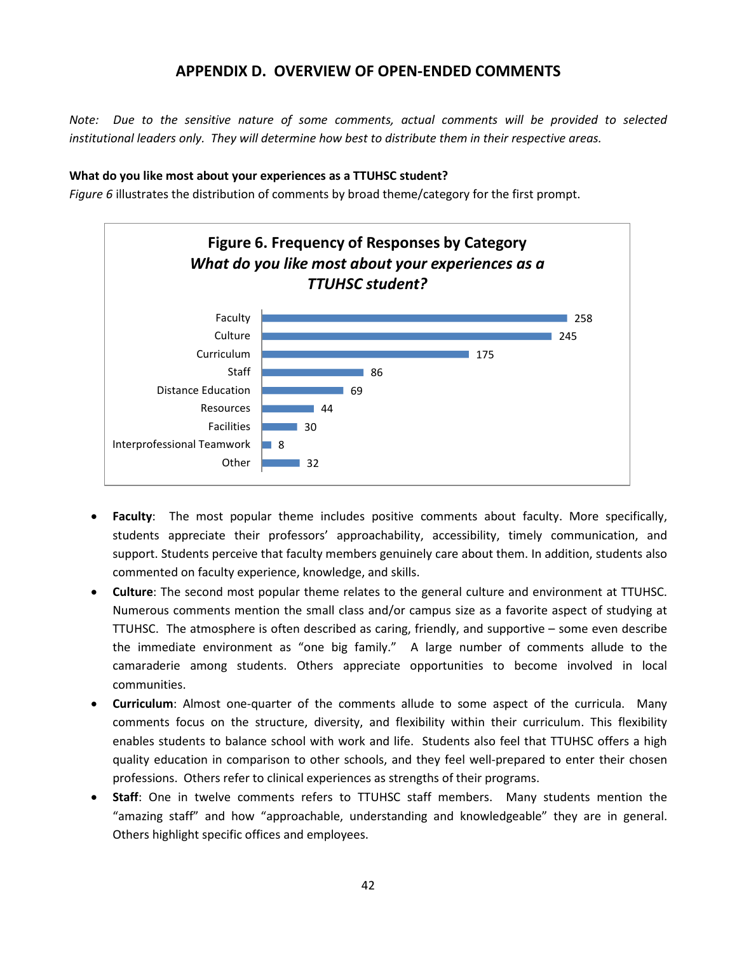### **APPENDIX D. OVERVIEW OF OPEN-ENDED COMMENTS**

*Note: Due to the sensitive nature of some comments, actual comments will be provided to selected institutional leaders only. They will determine how best to distribute them in their respective areas.*

#### **What do you like most about your experiences as a TTUHSC student?**

*Figure 6* illustrates the distribution of comments by broad theme/category for the first prompt.



- **Faculty**: The most popular theme includes positive comments about faculty. More specifically, students appreciate their professors' approachability, accessibility, timely communication, and support. Students perceive that faculty members genuinely care about them. In addition, students also commented on faculty experience, knowledge, and skills.
- **Culture**: The second most popular theme relates to the general culture and environment at TTUHSC. Numerous comments mention the small class and/or campus size as a favorite aspect of studying at TTUHSC. The atmosphere is often described as caring, friendly, and supportive – some even describe the immediate environment as "one big family." A large number of comments allude to the camaraderie among students. Others appreciate opportunities to become involved in local communities.
- **Curriculum**: Almost one-quarter of the comments allude to some aspect of the curricula. Many comments focus on the structure, diversity, and flexibility within their curriculum. This flexibility enables students to balance school with work and life. Students also feel that TTUHSC offers a high quality education in comparison to other schools, and they feel well-prepared to enter their chosen professions. Others refer to clinical experiences as strengths of their programs.
- **Staff**: One in twelve comments refers to TTUHSC staff members. Many students mention the "amazing staff" and how "approachable, understanding and knowledgeable" they are in general. Others highlight specific offices and employees.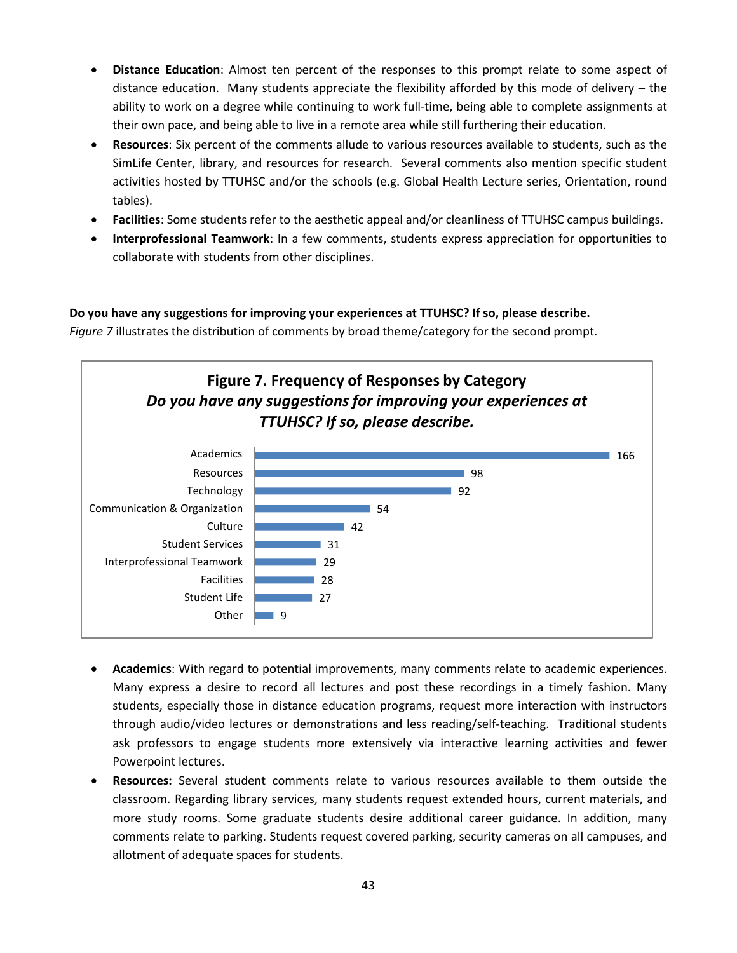- **Distance Education**: Almost ten percent of the responses to this prompt relate to some aspect of distance education. Many students appreciate the flexibility afforded by this mode of delivery – the ability to work on a degree while continuing to work full-time, being able to complete assignments at their own pace, and being able to live in a remote area while still furthering their education.
- **Resources**: Six percent of the comments allude to various resources available to students, such as the SimLife Center, library, and resources for research. Several comments also mention specific student activities hosted by TTUHSC and/or the schools (e.g. Global Health Lecture series, Orientation, round tables).
- **Facilities**: Some students refer to the aesthetic appeal and/or cleanliness of TTUHSC campus buildings.
- **Interprofessional Teamwork**: In a few comments, students express appreciation for opportunities to collaborate with students from other disciplines.

#### **Do you have any suggestions for improving your experiences at TTUHSC? If so, please describe.**

*Figure 7* illustrates the distribution of comments by broad theme/category for the second prompt.



- **Academics**: With regard to potential improvements, many comments relate to academic experiences. Many express a desire to record all lectures and post these recordings in a timely fashion. Many students, especially those in distance education programs, request more interaction with instructors through audio/video lectures or demonstrations and less reading/self-teaching. Traditional students ask professors to engage students more extensively via interactive learning activities and fewer Powerpoint lectures.
- **Resources:** Several student comments relate to various resources available to them outside the classroom. Regarding library services, many students request extended hours, current materials, and more study rooms. Some graduate students desire additional career guidance. In addition, many comments relate to parking. Students request covered parking, security cameras on all campuses, and allotment of adequate spaces for students.